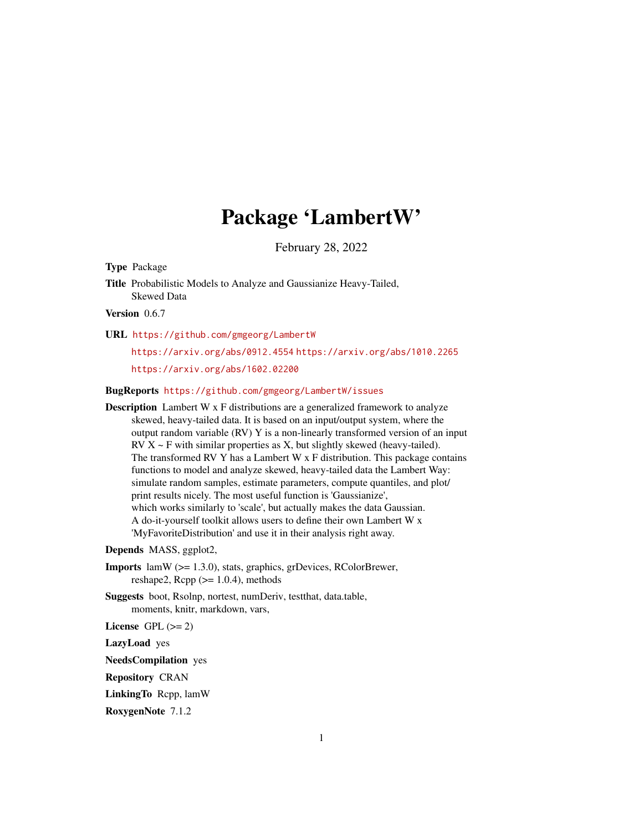# Package 'LambertW'

February 28, 2022

<span id="page-0-0"></span>Type Package

Title Probabilistic Models to Analyze and Gaussianize Heavy-Tailed, Skewed Data

Version 0.6.7

URL <https://github.com/gmgeorg/LambertW>

<https://arxiv.org/abs/0912.4554> <https://arxiv.org/abs/1010.2265> <https://arxiv.org/abs/1602.02200>

BugReports <https://github.com/gmgeorg/LambertW/issues>

Description Lambert W x F distributions are a generalized framework to analyze skewed, heavy-tailed data. It is based on an input/output system, where the output random variable (RV) Y is a non-linearly transformed version of an input  $RV X \sim F$  with similar properties as X, but slightly skewed (heavy-tailed). The transformed RV Y has a Lambert W x F distribution. This package contains functions to model and analyze skewed, heavy-tailed data the Lambert Way: simulate random samples, estimate parameters, compute quantiles, and plot/ print results nicely. The most useful function is 'Gaussianize', which works similarly to 'scale', but actually makes the data Gaussian. A do-it-yourself toolkit allows users to define their own Lambert W x 'MyFavoriteDistribution' and use it in their analysis right away.

Depends MASS, ggplot2,

- Imports lamW (>= 1.3.0), stats, graphics, grDevices, RColorBrewer, reshape2,  $Rcpp (> = 1.0.4)$ , methods
- Suggests boot, Rsolnp, nortest, numDeriv, testthat, data.table, moments, knitr, markdown, vars,

License GPL  $(>= 2)$ 

LazyLoad yes

NeedsCompilation yes

Repository CRAN

LinkingTo Rcpp, lamW

RoxygenNote 7.1.2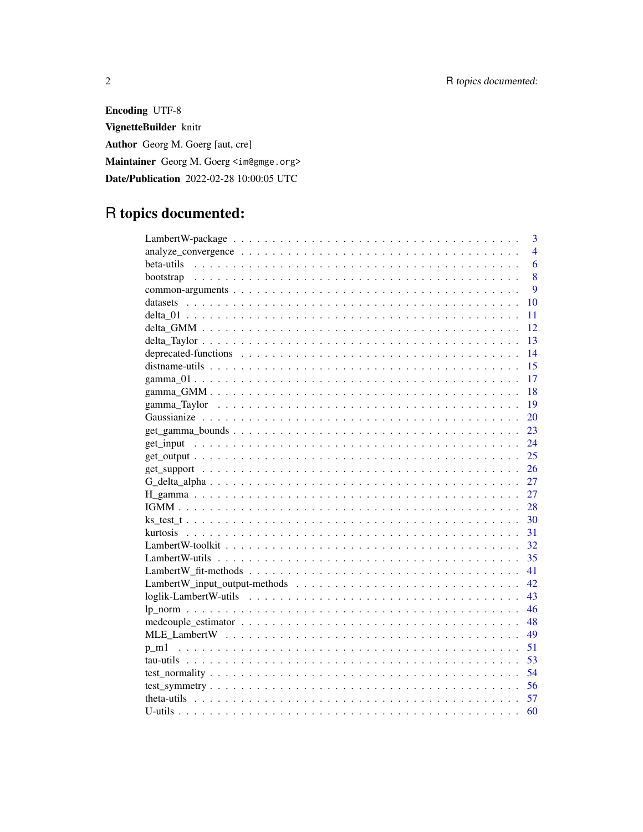**Encoding UTF-8** VignetteBuilder knitr Author Georg M. Goerg [aut, cre] Maintainer Georg M. Goerg <im@gmge.org> Date/Publication 2022-02-28 10:00:05 UTC

## R topics documented:

|    | $\overline{3}$ |
|----|----------------|
|    | $\overline{4}$ |
|    | 6              |
|    | 8              |
|    | 9              |
| 10 |                |
| 11 |                |
| 12 |                |
| 13 |                |
| 14 |                |
| 15 |                |
| 17 |                |
| 18 |                |
| 19 |                |
| 20 |                |
| 23 |                |
| 24 |                |
| 25 |                |
| 26 |                |
| 27 |                |
| 27 |                |
| 28 |                |
|    |                |
| 31 |                |
| 32 |                |
| 35 |                |
| 41 |                |
| 42 |                |
| 43 |                |
| 46 |                |
|    |                |
| 49 |                |
|    |                |
|    |                |
|    |                |
|    |                |
|    |                |
|    |                |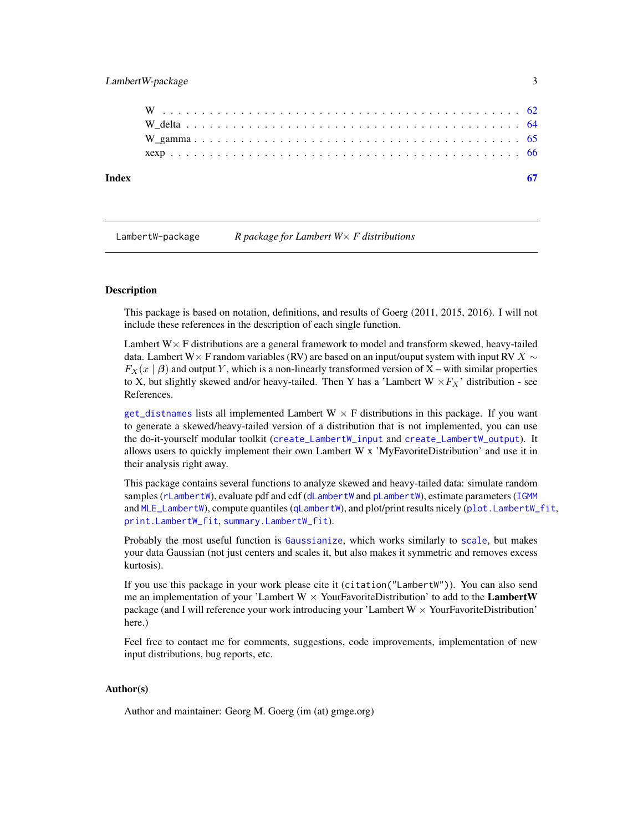#### <span id="page-2-0"></span>LambertW-package 3

| Index |  |
|-------|--|
|       |  |
|       |  |
|       |  |
|       |  |

LambertW-package *R package for Lambert W*× *F distributions*

#### Description

This package is based on notation, definitions, and results of Goerg (2011, 2015, 2016). I will not include these references in the description of each single function.

Lambert  $W \times F$  distributions are a general framework to model and transform skewed, heavy-tailed data. Lambert W×F random variables (RV) are based on an input/ouput system with input RV  $X \sim$  $F_X(x | \beta)$  and output Y, which is a non-linearly transformed version of X – with similar properties to X, but slightly skewed and/or heavy-tailed. Then Y has a 'Lambert W  $\times F_X$ ' distribution - see References.

[get\\_distnames](#page-14-1) lists all implemented Lambert  $W \times F$  distributions in this package. If you want to generate a skewed/heavy-tailed version of a distribution that is not implemented, you can use the do-it-yourself modular toolkit ([create\\_LambertW\\_input](#page-31-1) and [create\\_LambertW\\_output](#page-31-1)). It allows users to quickly implement their own Lambert W x 'MyFavoriteDistribution' and use it in their analysis right away.

This package contains several functions to analyze skewed and heavy-tailed data: simulate random samples ([rLambertW](#page-34-1)), evaluate pdf and cdf ([dLambertW](#page-34-1) and [pLambertW](#page-34-1)), estimate parameters ([IGMM](#page-27-1) and [MLE\\_LambertW](#page-48-1)), compute quantiles ([qLambertW](#page-34-1)), and plot/print results nicely ([plot.LambertW\\_fit](#page-40-1), [print.LambertW\\_fit](#page-40-1), [summary.LambertW\\_fit](#page-40-1)).

Probably the most useful function is [Gaussianize](#page-19-1), which works similarly to [scale](#page-0-0), but makes your data Gaussian (not just centers and scales it, but also makes it symmetric and removes excess kurtosis).

If you use this package in your work please cite it (citation("LambertW")). You can also send me an implementation of your 'Lambert  $W \times$  YourFavoriteDistribution' to add to the Lambert W package (and I will reference your work introducing your 'Lambert  $W \times$  YourFavoriteDistribution' here.)

Feel free to contact me for comments, suggestions, code improvements, implementation of new input distributions, bug reports, etc.

#### Author(s)

Author and maintainer: Georg M. Goerg (im (at) gmge.org)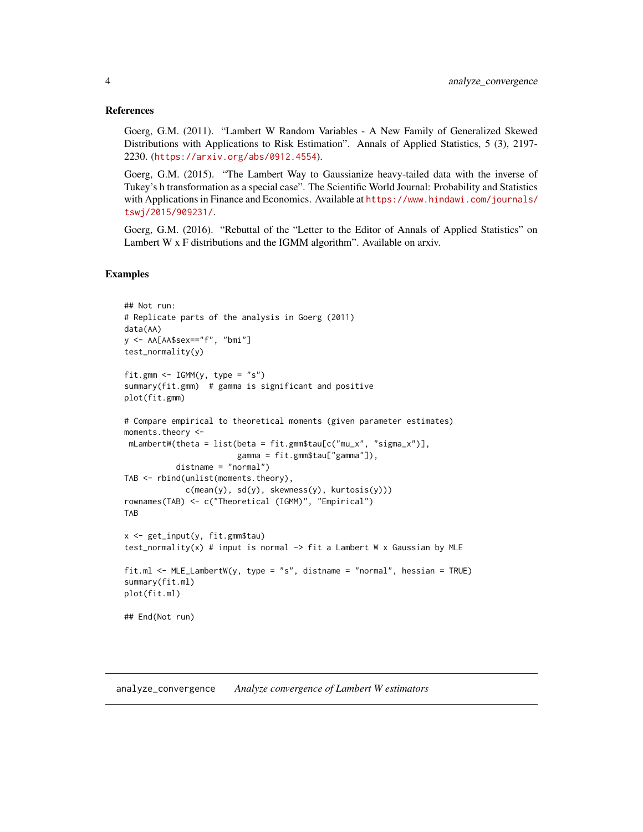#### <span id="page-3-0"></span>References

Goerg, G.M. (2011). "Lambert W Random Variables - A New Family of Generalized Skewed Distributions with Applications to Risk Estimation". Annals of Applied Statistics, 5 (3), 2197- 2230. (<https://arxiv.org/abs/0912.4554>).

Goerg, G.M. (2015). "The Lambert Way to Gaussianize heavy-tailed data with the inverse of Tukey's h transformation as a special case". The Scientific World Journal: Probability and Statistics with Applications in Finance and Economics. Available at [https://www.hindawi.com/journals/](https://www.hindawi.com/journals/tswj/2015/909231/) [tswj/2015/909231/](https://www.hindawi.com/journals/tswj/2015/909231/).

Goerg, G.M. (2016). "Rebuttal of the "Letter to the Editor of Annals of Applied Statistics" on Lambert W x F distributions and the IGMM algorithm". Available on arxiv.

#### Examples

```
## Not run:
# Replicate parts of the analysis in Goerg (2011)
data(AA)
y <- AA[AA$sex=="f", "bmi"]
test_normality(y)
fit.gmm <- IGMM(y, type = "s")
summary(fit.gmm) # gamma is significant and positive
plot(fit.gmm)
# Compare empirical to theoretical moments (given parameter estimates)
moments.theory <-
mLambertW(theta = list(beta = fit.gmm$tau[c("mu_x", "sigma_x")],
                        gamma = fit.gmm$tau["gamma"]),
           distname = "normal")
TAB <- rbind(unlist(moments.theory),
             c(mean(y), sd(y), skewness(y), kurtosis(y)))
rownames(TAB) <- c("Theoretical (IGMM)", "Empirical")
TAB
x <- get_input(y, fit.gmm$tau)
test_normality(x) # input is normal \rightarrow fit a Lambert W x Gaussian by MLE
fit.ml <- MLE_LambertW(y, type = "s", distname = "normal", hessian = TRUE)
summary(fit.ml)
plot(fit.ml)
## End(Not run)
```
<span id="page-3-2"></span><span id="page-3-1"></span>analyze\_convergence *Analyze convergence of Lambert W estimators*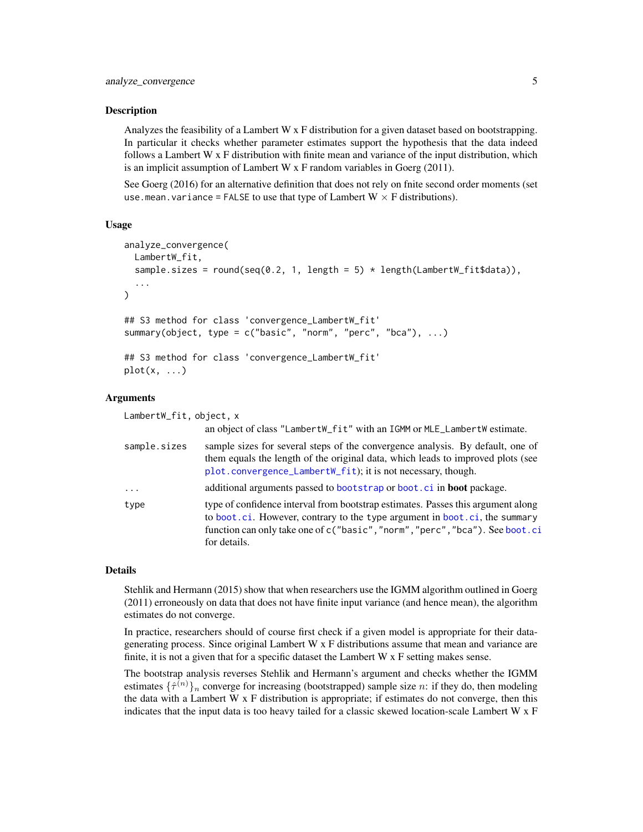<span id="page-4-0"></span>Analyzes the feasibility of a Lambert W x F distribution for a given dataset based on bootstrapping. In particular it checks whether parameter estimates support the hypothesis that the data indeed follows a Lambert W x F distribution with finite mean and variance of the input distribution, which is an implicit assumption of Lambert W x F random variables in Goerg (2011).

See Goerg (2016) for an alternative definition that does not rely on fnite second order moments (set use.mean.variance = FALSE to use that type of Lambert  $W \times F$  distributions).

#### Usage

```
analyze_convergence(
 LambertW_fit,
  sample.sizes = round(seq(0.2, 1, length = 5) * length(LambertW_fit$data)),
  ...
)
## S3 method for class 'convergence_LambertW_fit'
summary(object, type = c("basic", "norm", "perc", "bca"), ...)
## S3 method for class 'convergence_LambertW_fit'
plot(x, \ldots)
```
#### Arguments

| LambertW_fit, object, x |              |                                                                                                                                                                                                                                                                |
|-------------------------|--------------|----------------------------------------------------------------------------------------------------------------------------------------------------------------------------------------------------------------------------------------------------------------|
|                         |              | an object of class "LambertW_fit" with an IGMM or MLE_LambertW estimate.                                                                                                                                                                                       |
|                         | sample.sizes | sample sizes for several steps of the convergence analysis. By default, one of<br>them equals the length of the original data, which leads to improved plots (see<br>plot.convergence_LambertW_fit); it is not necessary, though.                              |
|                         | $\cdots$     | additional arguments passed to bootstrap or boot.ci in <b>boot</b> package.                                                                                                                                                                                    |
|                         | type         | type of confidence interval from bootstrap estimates. Passes this argument along<br>to boot.ci. However, contrary to the type argument in boot.ci, the summary<br>function can only take one of c("basic", "norm", "perc", "bca"). See boot.ci<br>for details. |

#### Details

Stehlik and Hermann (2015) show that when researchers use the IGMM algorithm outlined in Goerg (2011) erroneously on data that does not have finite input variance (and hence mean), the algorithm estimates do not converge.

In practice, researchers should of course first check if a given model is appropriate for their datagenerating process. Since original Lambert W x F distributions assume that mean and variance are finite, it is not a given that for a specific dataset the Lambert W x F setting makes sense.

The bootstrap analysis reverses Stehlik and Hermann's argument and checks whether the IGMM estimates  $\{\hat{\tau}^{(n)}\}_n$  converge for increasing (bootstrapped) sample size n: if they do, then modeling the data with a Lambert W x F distribution is appropriate; if estimates do not converge, then this indicates that the input data is too heavy tailed for a classic skewed location-scale Lambert W x F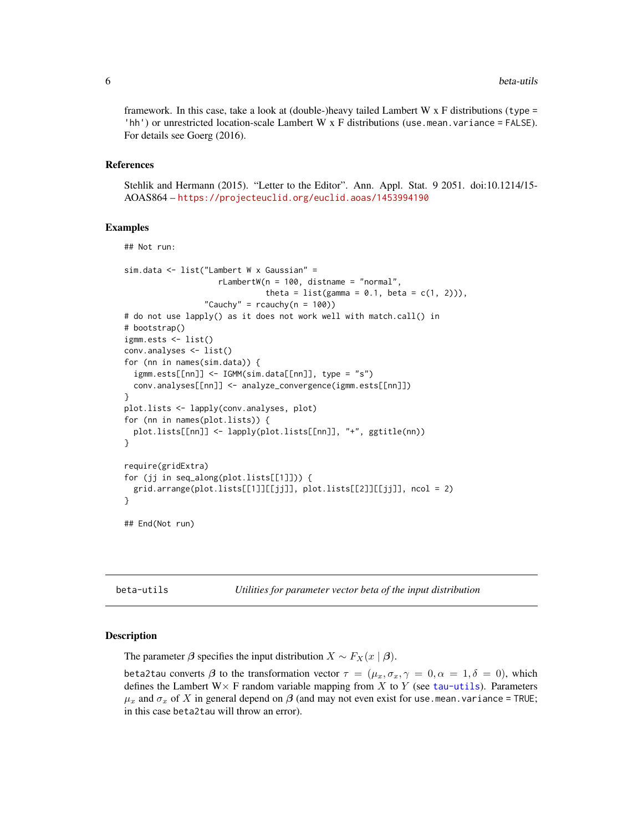framework. In this case, take a look at (double-)heavy tailed Lambert W  $x$  F distributions (type = 'hh') or unrestricted location-scale Lambert W x F distributions (use.mean.variance = FALSE). For details see Goerg (2016).

#### References

Stehlik and Hermann (2015). "Letter to the Editor". Ann. Appl. Stat. 9 2051. doi:10.1214/15- AOAS864 – <https://projecteuclid.org/euclid.aoas/1453994190>

#### Examples

```
## Not run:
sim.data <- list("Lambert W x Gaussian" =
                    rLambertW(n = 100, distname = "normal",theta = list(gamma = 0.1, beta = c(1, 2)),
                 "Cauchy" = r \cdot \text{c^2} (n = 100))
# do not use lapply() as it does not work well with match.call() in
# bootstrap()
igmm.ests <- list()
conv.analyses <- list()
for (nn in names(sim.data)) {
  igmm.ests[[nn]] <- IGMM(sim.data[[nn]], type = "s")
 conv.analyses[[nn]] <- analyze_convergence(igmm.ests[[nn]])
}
plot.lists <- lapply(conv.analyses, plot)
for (nn in names(plot.lists)) {
 plot.lists[[nn]] <- lapply(plot.lists[[nn]], "+", ggtitle(nn))
}
require(gridExtra)
for (jj in seq_along(plot.lists[[1]])) {
 grid.arrange(plot.lists[[1]][[jj]], plot.lists[[2]][[jj]], ncol = 2)
}
## End(Not run)
```
beta-utils *Utilities for parameter vector beta of the input distribution*

#### <span id="page-5-1"></span>Description

The parameter  $\beta$  specifies the input distribution  $X \sim F_X(x \mid \beta)$ .

beta2tau converts  $\beta$  to the transformation vector  $\tau = (\mu_x, \sigma_x, \gamma = 0, \alpha = 1, \delta = 0)$ , which defines the Lambert W $\times$  F random variable mapping from X to Y (see [tau-utils](#page-52-1)). Parameters  $\mu_x$  and  $\sigma_x$  of X in general depend on  $\beta$  (and may not even exist for use mean. variance = TRUE; in this case beta2tau will throw an error).

<span id="page-5-0"></span>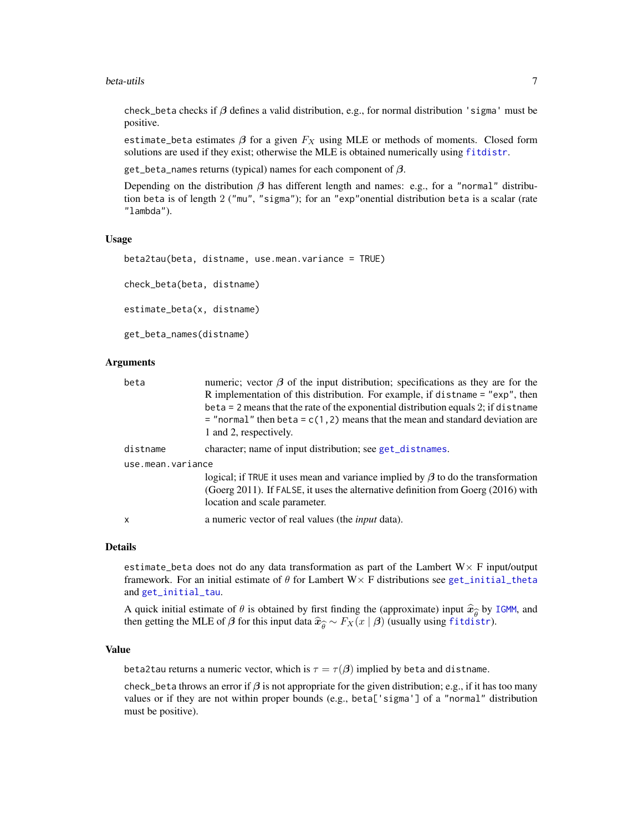#### <span id="page-6-0"></span>beta-utils 7

check\_beta checks if  $\beta$  defines a valid distribution, e.g., for normal distribution 'sigma' must be positive.

estimate\_beta estimates  $\beta$  for a given  $F_X$  using MLE or methods of moments. Closed form solutions are used if they exist; otherwise the MLE is obtained numerically using [fitdistr](#page-0-0).

get\_beta\_names returns (typical) names for each component of  $\beta$ .

Depending on the distribution  $\beta$  has different length and names: e.g., for a "normal" distribution beta is of length 2 ("mu", "sigma"); for an "exp"onential distribution beta is a scalar (rate "lambda").

#### Usage

```
beta2tau(beta, distname, use.mean.variance = TRUE)
```
check\_beta(beta, distname)

estimate\_beta(x, distname)

```
get_beta_names(distname)
```
#### Arguments

| beta              | numeric; vector $\beta$ of the input distribution; specifications as they are for the                                                                                                                        |
|-------------------|--------------------------------------------------------------------------------------------------------------------------------------------------------------------------------------------------------------|
|                   | R implementation of this distribution. For example, if distname $=$ "exp", then                                                                                                                              |
|                   | beta = $2$ means that the rate of the exponential distribution equals $2$ ; if distiname<br>$=$ "normal" then beta = $c(1, 2)$ means that the mean and standard deviation are<br>1 and 2, respectively.      |
| distname          | character; name of input distribution; see get_distnames.                                                                                                                                                    |
| use.mean.variance |                                                                                                                                                                                                              |
|                   | logical; if TRUE it uses mean and variance implied by $\beta$ to do the transformation<br>(Goerg 2011). If FALSE, it uses the alternative definition from Goerg (2016) with<br>location and scale parameter. |
| x                 | a numeric vector of real values (the <i>input</i> data).                                                                                                                                                     |

#### Details

estimate\_beta does not do any data transformation as part of the Lambert  $W \times F$  input/output framework. For an initial estimate of  $\theta$  for Lambert W  $\times$  F distributions see [get\\_initial\\_theta](#page-56-1) and [get\\_initial\\_tau](#page-52-2).

A quick initial estimate of  $\theta$  is obtained by first finding the (approximate) input  $\hat{x}_{\hat{\theta}}$  by [IGMM](#page-27-1), and then getting the MLE of  $\beta$  for this input data  $\hat{x}_{\hat{\theta}} \sim F_X(x \mid \beta)$  (usually using fitdistr). then getting the MLE of  $\beta$  for this input data  $\hat{x}_{\widehat{\theta}} \sim F_X(x \mid \beta)$  (usually using [fitdistr](#page-0-0)).

#### Value

beta2tau returns a numeric vector, which is  $\tau = \tau(\beta)$  implied by beta and distname.

check\_beta throws an error if  $\beta$  is not appropriate for the given distribution; e.g., if it has too many values or if they are not within proper bounds (e.g., beta['sigma'] of a "normal" distribution must be positive).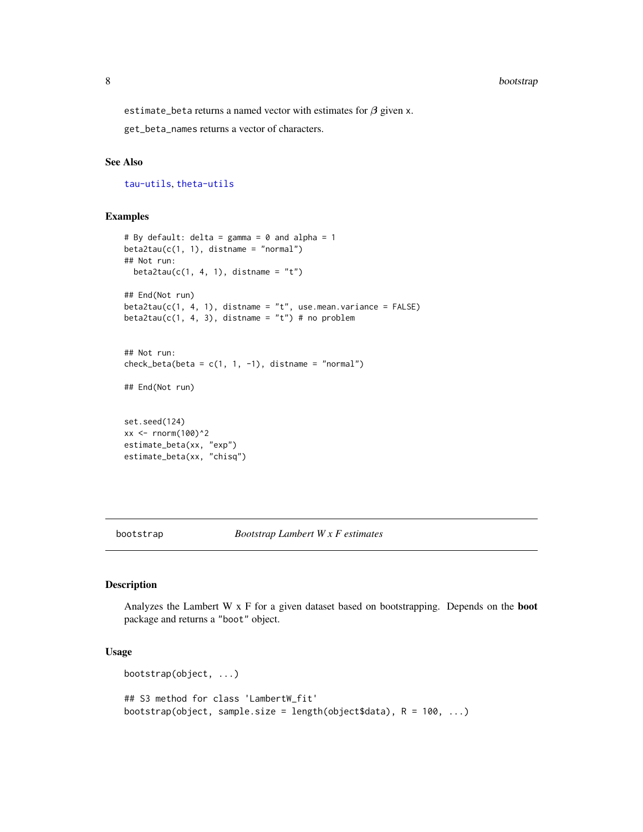#### <span id="page-7-0"></span>8 bootstrap

estimate\_beta returns a named vector with estimates for  $\beta$  given x.

get\_beta\_names returns a vector of characters.

### See Also

[tau-utils](#page-52-1), [theta-utils](#page-56-2)

#### Examples

```
# By default: delta = gamma = 0 and alpha = 1
beta2tau(c(1, 1), distance = "normal")## Not run:
  beta2tau(c(1, 4, 1), distname = "t")## End(Not run)
beta2tau(C(1, 4, 1), distance = "t", use mean-variance = FALSE)beta2tau(c(1, 4, 3), distname = "t") # no problem
## Not run:
check_beta(beta = c(1, 1, -1), distname = "normal")
## End(Not run)
set.seed(124)
xx <- rnorm(100)^2
estimate_beta(xx, "exp")
estimate_beta(xx, "chisq")
```
<span id="page-7-1"></span>bootstrap *Bootstrap Lambert W x F estimates*

#### Description

Analyzes the Lambert W x F for a given dataset based on bootstrapping. Depends on the boot package and returns a "boot" object.

#### Usage

```
bootstrap(object, ...)
## S3 method for class 'LambertW_fit'
bootstrap(object, sample.size = length(object$data), R = 100, ...)
```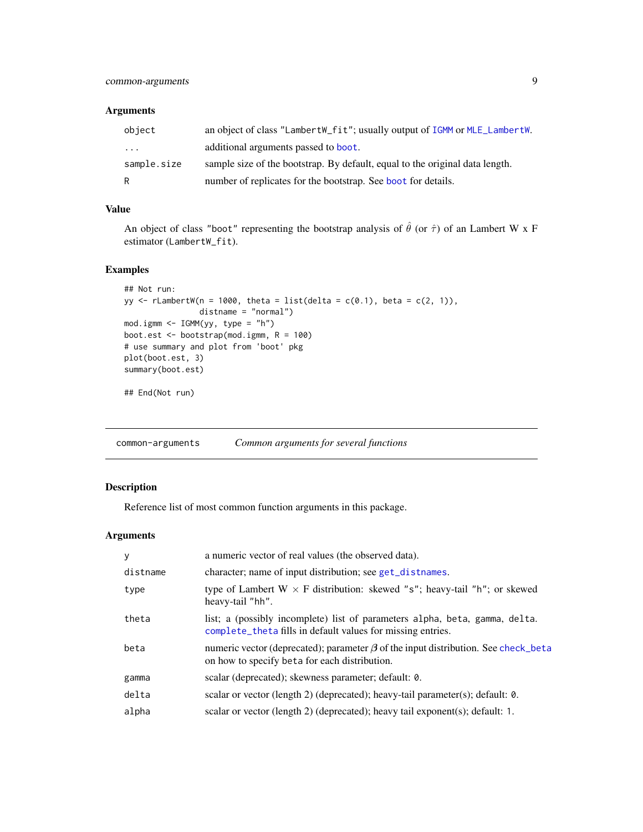#### <span id="page-8-0"></span>Arguments

| object                  | an object of class "LambertW_fit"; usually output of IGMM or MLE_LambertW.   |
|-------------------------|------------------------------------------------------------------------------|
| $\cdot$ $\cdot$ $\cdot$ | additional arguments passed to boot.                                         |
| sample.size             | sample size of the bootstrap. By default, equal to the original data length. |
| R                       | number of replicates for the bootstrap. See boot for details.                |

#### Value

An object of class "boot" representing the bootstrap analysis of  $\hat{\theta}$  (or  $\hat{\tau}$ ) of an Lambert W x F estimator (LambertW\_fit).

#### Examples

```
## Not run:
yy \le rLambertW(n = 1000, theta = list(delta = c(0.1), beta = c(2, 1)),
                distname = "normal")
mod.igmm <- IGMM(yy, type = "h")
boot.est <- bootstrap(mod.igmm, R = 100)
# use summary and plot from 'boot' pkg
plot(boot.est, 3)
summary(boot.est)
```
## End(Not run)

common-arguments *Common arguments for several functions*

#### Description

Reference list of most common function arguments in this package.

#### Arguments

| y        | a numeric vector of real values (the observed data).                                                                                       |
|----------|--------------------------------------------------------------------------------------------------------------------------------------------|
| distname | character; name of input distribution; see get_distnames.                                                                                  |
| type     | type of Lambert W $\times$ F distribution: skewed "s"; heavy-tail "h"; or skewed<br>heavy-tail "hh".                                       |
| theta    | list; a (possibly incomplete) list of parameters alpha, beta, gamma, delta.<br>complete_theta fills in default values for missing entries. |
| beta     | numeric vector (deprecated); parameter $\beta$ of the input distribution. See check_beta<br>on how to specify beta for each distribution.  |
| gamma    | scalar (deprecated); skewness parameter; default: 0.                                                                                       |
| delta    | scalar or vector (length 2) (deprecated); heavy-tail parameter(s); default: 0.                                                             |
| alpha    | scalar or vector (length 2) (deprecated); heavy tail exponent(s); default: 1.                                                              |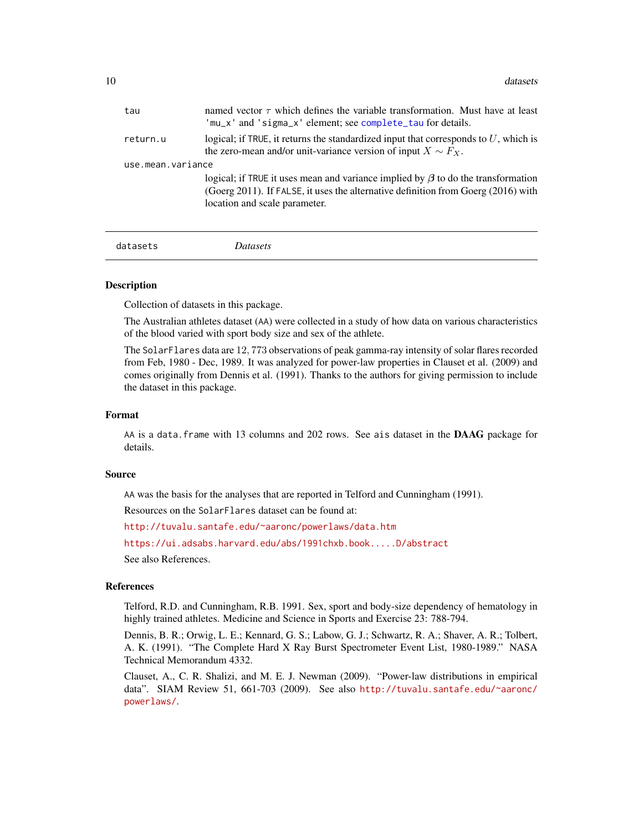<span id="page-9-0"></span>

| tau               | named vector $\tau$ which defines the variable transformation. Must have at least<br>'mu_x' and 'sigma_x' element; see complete_tau for details.                                                             |
|-------------------|--------------------------------------------------------------------------------------------------------------------------------------------------------------------------------------------------------------|
| return.u          | logical; if TRUE, it returns the standardized input that corresponds to $U$ , which is<br>the zero-mean and/or unit-variance version of input $X \sim F_X$ .                                                 |
| use.mean.variance |                                                                                                                                                                                                              |
|                   | logical; if TRUE it uses mean and variance implied by $\beta$ to do the transformation<br>(Goerg 2011). If FALSE, it uses the alternative definition from Goerg (2016) with<br>location and scale parameter. |

| datasets<br><i>Datasets</i> |
|-----------------------------|
|-----------------------------|

Collection of datasets in this package.

The Australian athletes dataset (AA) were collected in a study of how data on various characteristics of the blood varied with sport body size and sex of the athlete.

The SolarFlares data are 12, 773 observations of peak gamma-ray intensity of solar flares recorded from Feb, 1980 - Dec, 1989. It was analyzed for power-law properties in Clauset et al. (2009) and comes originally from Dennis et al. (1991). Thanks to the authors for giving permission to include the dataset in this package.

#### Format

AA is a data. frame with 13 columns and 202 rows. See ais dataset in the **DAAG** package for details.

#### Source

AA was the basis for the analyses that are reported in Telford and Cunningham (1991).

Resources on the SolarFlares dataset can be found at:

<http://tuvalu.santafe.edu/~aaronc/powerlaws/data.htm>

<https://ui.adsabs.harvard.edu/abs/1991chxb.book.....D/abstract>

See also References.

#### References

Telford, R.D. and Cunningham, R.B. 1991. Sex, sport and body-size dependency of hematology in highly trained athletes. Medicine and Science in Sports and Exercise 23: 788-794.

Dennis, B. R.; Orwig, L. E.; Kennard, G. S.; Labow, G. J.; Schwartz, R. A.; Shaver, A. R.; Tolbert, A. K. (1991). "The Complete Hard X Ray Burst Spectrometer Event List, 1980-1989." NASA Technical Memorandum 4332.

Clauset, A., C. R. Shalizi, and M. E. J. Newman (2009). "Power-law distributions in empirical data". SIAM Review 51, 661-703 (2009). See also [http://tuvalu.santafe.edu/~aaronc/](http://tuvalu.santafe.edu/~aaronc/powerlaws/) [powerlaws/](http://tuvalu.santafe.edu/~aaronc/powerlaws/).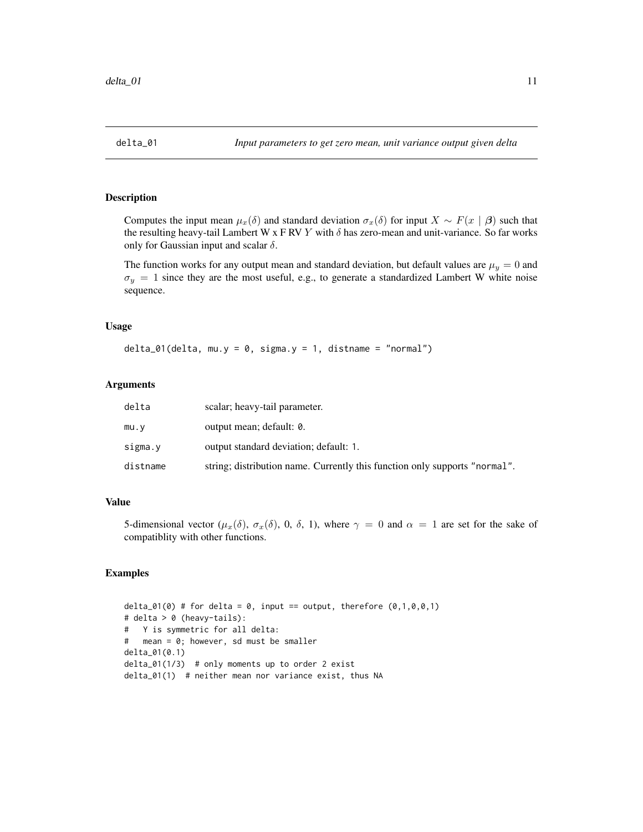<span id="page-10-0"></span>Computes the input mean  $\mu_x(\delta)$  and standard deviation  $\sigma_x(\delta)$  for input  $X \sim F(x \mid \beta)$  such that the resulting heavy-tail Lambert W x F RV Y with  $\delta$  has zero-mean and unit-variance. So far works only for Gaussian input and scalar  $\delta$ .

The function works for any output mean and standard deviation, but default values are  $\mu_y = 0$  and  $\sigma_y = 1$  since they are the most useful, e.g., to generate a standardized Lambert W white noise sequence.

#### Usage

delta\_01(delta, mu.y = 0, sigma.y = 1, distname = "normal")

#### **Arguments**

| delta    | scalar; heavy-tail parameter.                                              |
|----------|----------------------------------------------------------------------------|
| mu.v     | output mean; default: 0.                                                   |
| sigma.v  | output standard deviation; default: 1.                                     |
| distname | string; distribution name. Currently this function only supports "normal". |

#### Value

5-dimensional vector ( $\mu_x(\delta)$ ,  $\sigma_x(\delta)$ , 0,  $\delta$ , 1), where  $\gamma = 0$  and  $\alpha = 1$  are set for the sake of compatiblity with other functions.

```
delta_01(0) # for delta = 0, input == output, therefore (0,1,0,0,1)# delta > 0 (heavy-tails):
# Y is symmetric for all delta:
# mean = 0; however, sd must be smaller
delta_01(0.1)
delta_01(1/3) # only moments up to order 2 exist
delta_01(1) # neither mean nor variance exist, thus NA
```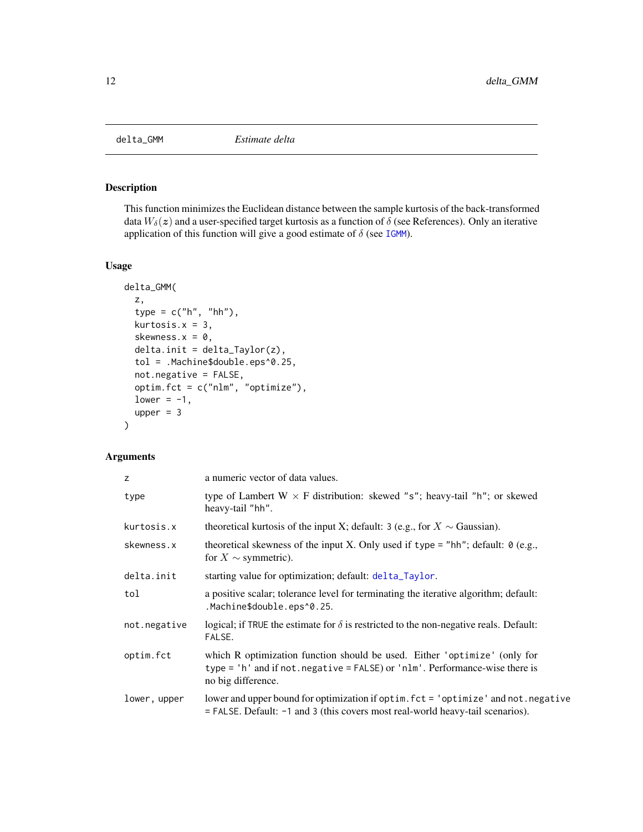<span id="page-11-1"></span><span id="page-11-0"></span>

This function minimizes the Euclidean distance between the sample kurtosis of the back-transformed data  $W_\delta(z)$  and a user-specified target kurtosis as a function of  $\delta$  (see References). Only an iterative application of this function will give a good estimate of  $\delta$  (see [IGMM](#page-27-1)).

#### Usage

```
delta_GMM(
  z,
  type = c("h", "hh"),kurtosis.x = 3,
  skewness.x = 0,
 delta.init = delta_Taylor(z),
  tol = .Machine$double.eps^0.25,
  not.negative = FALSE,
 optim.fct = c("nlm", "optimize"),
  lower = -1,upper = 3)
```
#### Arguments

| Z            | a numeric vector of data values.                                                                                                                                                |
|--------------|---------------------------------------------------------------------------------------------------------------------------------------------------------------------------------|
| type         | type of Lambert $W \times F$ distribution: skewed "s"; heavy-tail "h"; or skewed<br>heavy-tail "hh".                                                                            |
| kurtosis.x   | theoretical kurtosis of the input X; default: 3 (e.g., for $X \sim$ Gaussian).                                                                                                  |
| skewness.x   | theoretical skewness of the input X. Only used if type = "hh"; default: $\theta$ (e.g.,<br>for $X \sim$ symmetric).                                                             |
| delta.init   | starting value for optimization; default: delta_Taylor.                                                                                                                         |
| tol          | a positive scalar; tolerance level for terminating the iterative algorithm; default:<br>.Machine\$double.eps^0.25.                                                              |
| not.negative | logical; if TRUE the estimate for $\delta$ is restricted to the non-negative reals. Default:<br>FALSE.                                                                          |
| optim.fct    | which R optimization function should be used. Either 'optimize' (only for<br>type = 'h' and if not. negative = FALSE) or 'nlm'. Performance-wise there is<br>no big difference. |
| lower, upper | lower and upper bound for optimization if optim. fct = 'optimize' and not. negative<br>$=$ FALSE. Default: $-1$ and 3 (this covers most real-world heavy-tail scenarios).       |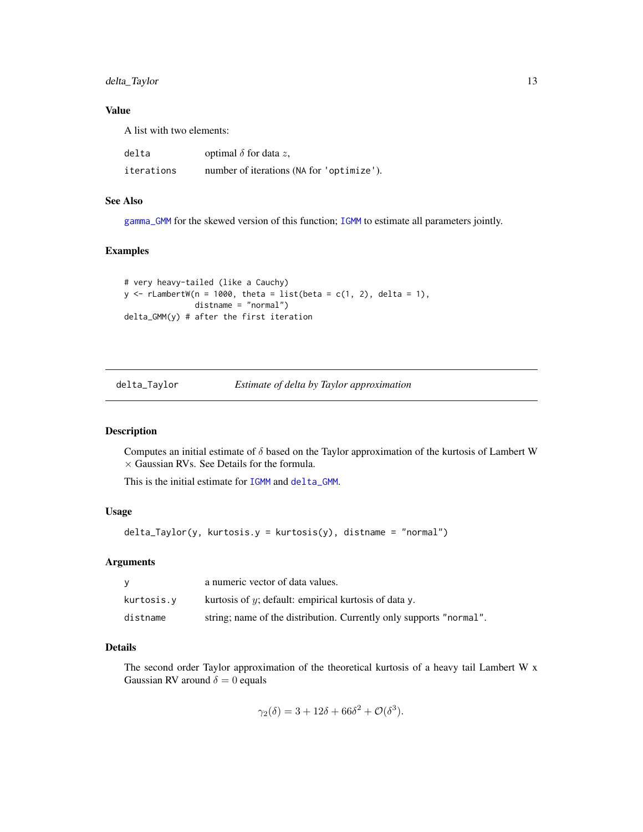<span id="page-12-0"></span>delta\_Taylor 13

#### Value

A list with two elements:

| delta      | optimal $\delta$ for data z,              |
|------------|-------------------------------------------|
| iterations | number of iterations (NA for 'optimize'). |

#### See Also

[gamma\\_GMM](#page-17-1) for the skewed version of this function; [IGMM](#page-27-1) to estimate all parameters jointly.

#### Examples

```
# very heavy-tailed (like a Cauchy)
y \le r rLambertW(n = 1000, theta = list(beta = c(1, 2), delta = 1),
               distname = "normal")
delta_GMM(y) # after the first iteration
```
<span id="page-12-1"></span>delta\_Taylor *Estimate of delta by Taylor approximation*

#### Description

Computes an initial estimate of  $\delta$  based on the Taylor approximation of the kurtosis of Lambert W  $\times$  Gaussian RVs. See Details for the formula.

This is the initial estimate for [IGMM](#page-27-1) and [delta\\_GMM](#page-11-1).

#### Usage

```
delta_Taylor(y, kurtosis.y = kurtosis(y), distance = "normal")
```
#### Arguments

|            | a numeric vector of data values.                                    |
|------------|---------------------------------------------------------------------|
| kurtosis.y | kurtosis of $y$ ; default: empirical kurtosis of data $y$ .         |
| distname   | string; name of the distribution. Currently only supports "normal". |

#### Details

The second order Taylor approximation of the theoretical kurtosis of a heavy tail Lambert W x Gaussian RV around  $\delta = 0$  equals

$$
\gamma_2(\delta) = 3 + 12\delta + 66\delta^2 + \mathcal{O}(\delta^3).
$$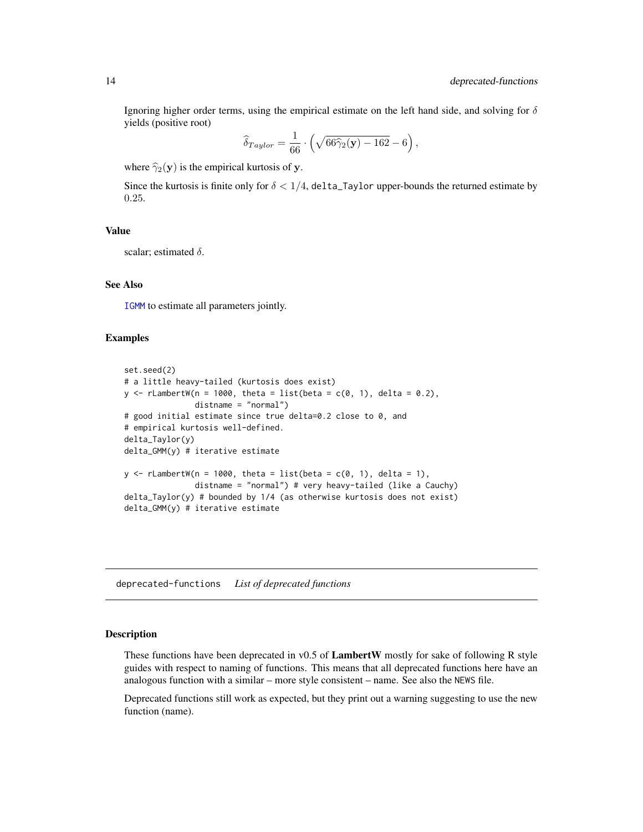<span id="page-13-0"></span>Ignoring higher order terms, using the empirical estimate on the left hand side, and solving for  $\delta$ yields (positive root)

$$
\widehat{\delta}_{Taylor} = \frac{1}{66} \cdot \left( \sqrt{66 \widehat{\gamma}_2(\mathbf{y}) - 162} - 6 \right),\,
$$

where  $\hat{\gamma}_2(\mathbf{y})$  is the empirical kurtosis of y.

Since the kurtosis is finite only for  $\delta < 1/4$ , delta\_Taylor upper-bounds the returned estimate by 0.25.

#### Value

scalar; estimated  $\delta$ .

#### See Also

[IGMM](#page-27-1) to estimate all parameters jointly.

#### Examples

```
set.seed(2)
# a little heavy-tailed (kurtosis does exist)
y \le r rLambertW(n = 1000, theta = list(beta = c(0, 1), delta = 0.2),
               distname = "normal")
# good initial estimate since true delta=0.2 close to 0, and
# empirical kurtosis well-defined.
delta_Taylor(y)
delta_GMM(y) # iterative estimate
y \le r rLambertW(n = 1000, theta = list(beta = c(0, 1), delta = 1),
               distname = "normal") # very heavy-tailed (like a Cauchy)
delta_Taylor(y) # bounded by 1/4 (as otherwise kurtosis does not exist)
delta_GMM(y) # iterative estimate
```
deprecated-functions *List of deprecated functions*

#### Description

These functions have been deprecated in v0.5 of LambertW mostly for sake of following R style guides with respect to naming of functions. This means that all deprecated functions here have an analogous function with a similar – more style consistent – name. See also the NEWS file.

Deprecated functions still work as expected, but they print out a warning suggesting to use the new function (name).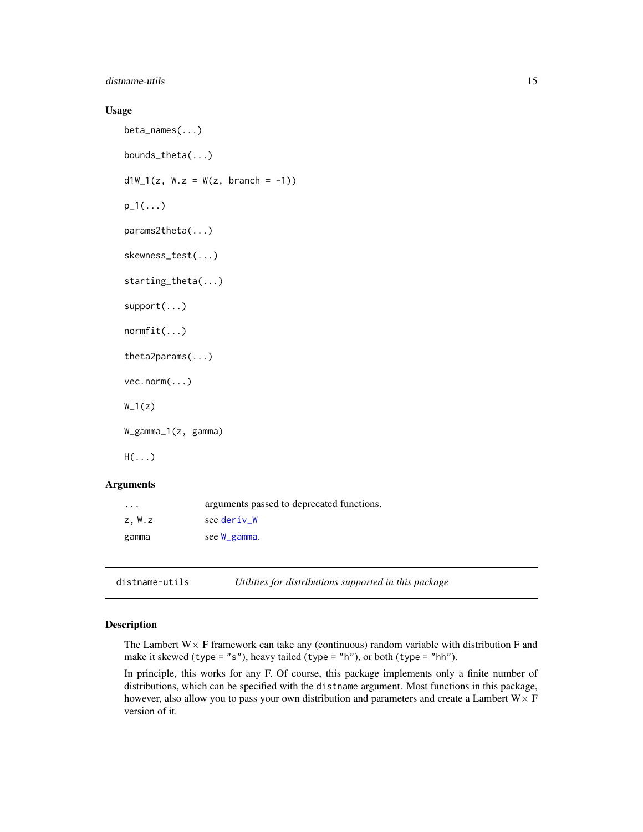#### <span id="page-14-0"></span>distname-utils 15

#### Usage

```
beta_names(...)
   bounds_theta(...)
   d1W_1(z, W.z = W(z, branch = -1))p_1(\ldots)params2theta(...)
   skewness_test(...)
   starting_theta(...)
   support(...)
   normfit(...)
   theta2params(...)
   vec.norm(...)
   W_1(z)W_gamma_1(z, gamma)
   H(\ldots)Arguments
```

| $\cdot$ | arguments passed to deprecated functions. |
|---------|-------------------------------------------|
| Z, W, Z | see deriv W                               |
| gamma   | see W_gamma.                              |

distname-utils *Utilities for distributions supported in this package*

#### <span id="page-14-1"></span>Description

The Lambert  $W \times F$  framework can take any (continuous) random variable with distribution F and make it skewed (type = "s"), heavy tailed (type = "h"), or both (type = "hh").

In principle, this works for any F. Of course, this package implements only a finite number of distributions, which can be specified with the distname argument. Most functions in this package, however, also allow you to pass your own distribution and parameters and create a Lambert  $W \times F$ version of it.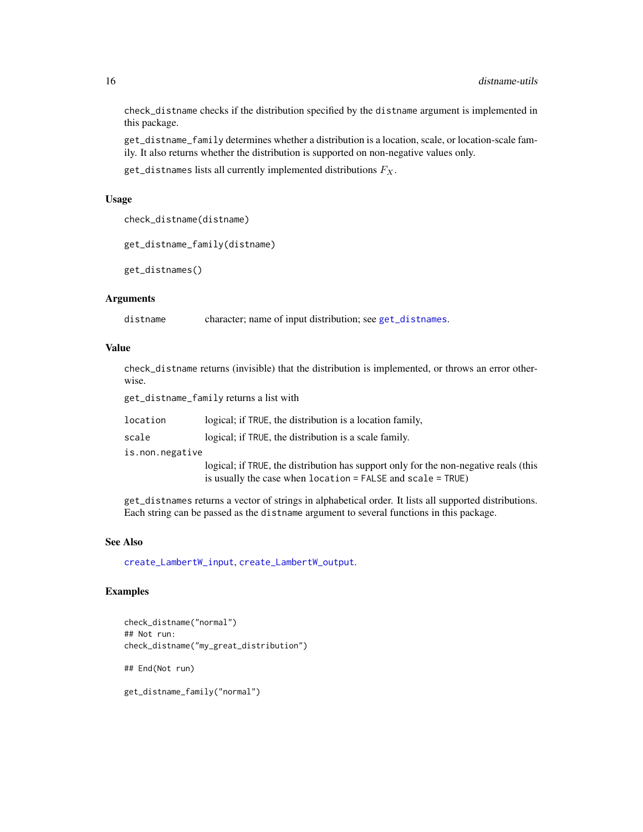check\_distname checks if the distribution specified by the distname argument is implemented in this package.

get\_distname\_family determines whether a distribution is a location, scale, or location-scale family. It also returns whether the distribution is supported on non-negative values only.

get\_distnames lists all currently implemented distributions  $F_X$ .

#### Usage

```
check_distname(distname)
```

```
get_distname_family(distname)
```

```
get_distnames()
```
#### Arguments

distname character; name of input distribution; see [get\\_distnames](#page-14-1).

#### Value

check\_distname returns (invisible) that the distribution is implemented, or throws an error otherwise.

get\_distname\_family returns a list with

location logical; if TRUE, the distribution is a location family, scale logical; if TRUE, the distribution is a scale family. is.non.negative logical; if TRUE, the distribution has support only for the non-negative reals (this is usually the case when location = FALSE and scale = TRUE)

get\_distnames returns a vector of strings in alphabetical order. It lists all supported distributions. Each string can be passed as the distname argument to several functions in this package.

#### See Also

[create\\_LambertW\\_input](#page-31-1), [create\\_LambertW\\_output](#page-31-1).

#### Examples

check\_distname("normal") ## Not run: check\_distname("my\_great\_distribution") ## End(Not run) get\_distname\_family("normal")

<span id="page-15-0"></span>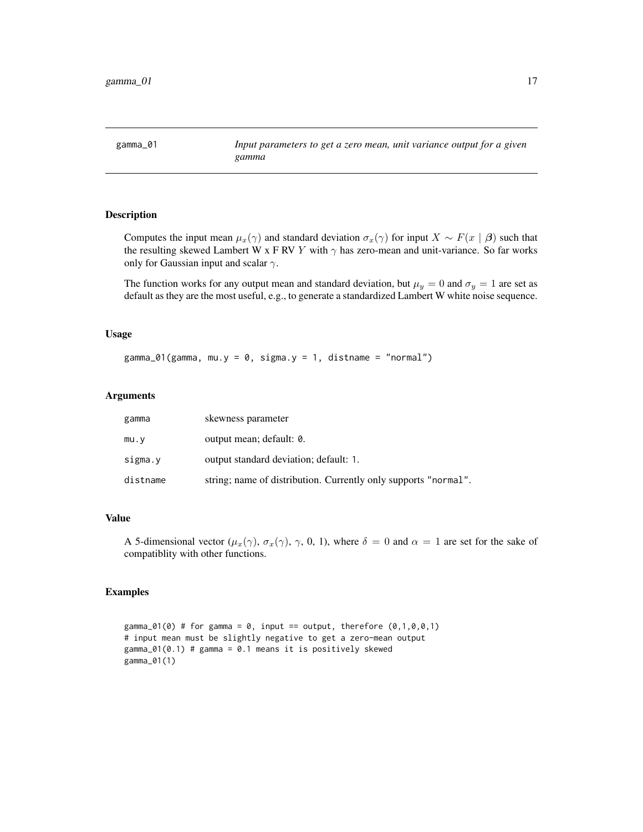<span id="page-16-0"></span>

Computes the input mean  $\mu_x(\gamma)$  and standard deviation  $\sigma_x(\gamma)$  for input  $X \sim F(x \mid \beta)$  such that the resulting skewed Lambert W x F RV Y with  $\gamma$  has zero-mean and unit-variance. So far works only for Gaussian input and scalar  $\gamma$ .

The function works for any output mean and standard deviation, but  $\mu_y = 0$  and  $\sigma_y = 1$  are set as default as they are the most useful, e.g., to generate a standardized Lambert W white noise sequence.

#### Usage

gamma\_01(gamma, mu.y = 0, sigma.y = 1, distname = "normal")

#### **Arguments**

| gamma    | skewness parameter                                              |
|----------|-----------------------------------------------------------------|
| mu.v     | output mean; default: 0.                                        |
| sigma.v  | output standard deviation; default: 1.                          |
| distname | string; name of distribution. Currently only supports "normal". |

#### Value

A 5-dimensional vector  $(\mu_x(\gamma), \sigma_x(\gamma), \gamma, 0, 1)$ , where  $\delta = 0$  and  $\alpha = 1$  are set for the sake of compatiblity with other functions.

#### Examples

gamma\_01(0) # for gamma = 0, input == output, therefore  $(0,1,0,0,1)$ # input mean must be slightly negative to get a zero-mean output gamma\_01(0.1) # gamma = 0.1 means it is positively skewed gamma\_01(1)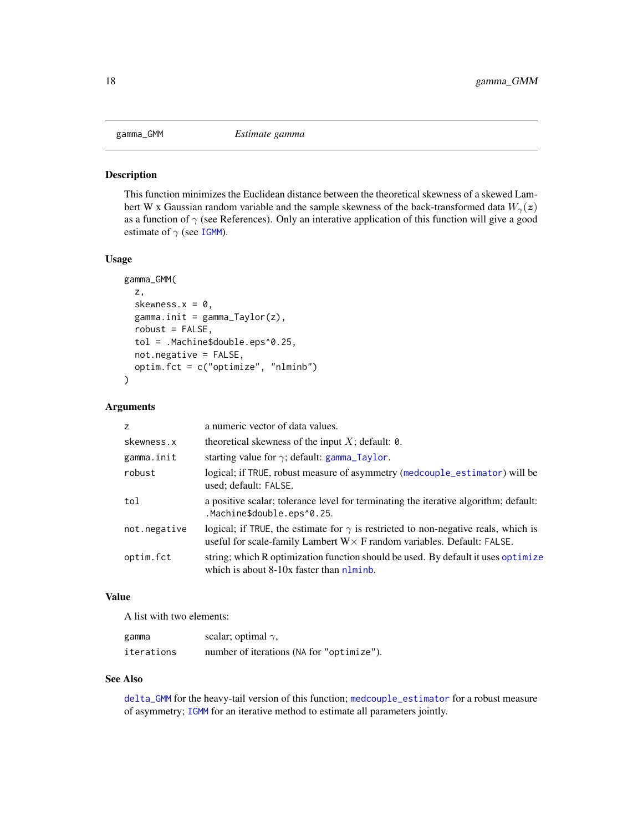<span id="page-17-1"></span><span id="page-17-0"></span>

This function minimizes the Euclidean distance between the theoretical skewness of a skewed Lambert W x Gaussian random variable and the sample skewness of the back-transformed data  $W_{\gamma}(z)$ as a function of  $\gamma$  (see References). Only an interative application of this function will give a good estimate of  $\gamma$  (see [IGMM](#page-27-1)).

#### Usage

```
gamma_GMM(
  z,
  skewness.x = 0,
  gamma.init = gamma_{\text{gamma\_Taylor}}(z),
  robust = FALSE,tol = .Machine$double.eps^0.25,
  not.negative = FALSE,
  optim.fct = c("optimize", "nlminb")
)
```
#### Arguments

| Z            | a numeric vector of data values.                                                                                                                                            |
|--------------|-----------------------------------------------------------------------------------------------------------------------------------------------------------------------------|
| skewness.x   | theoretical skewness of the input $X$ ; default: 0.                                                                                                                         |
| gamma.init   | starting value for $\gamma$ ; default: gamma_Taylor.                                                                                                                        |
| robust       | logical; if TRUE, robust measure of asymmetry (medcouple_estimator) will be<br>used; default: FALSE.                                                                        |
| tol          | a positive scalar; tolerance level for terminating the iterative algorithm; default:<br>.Machine\$double.eps^0.25.                                                          |
| not.negative | logical; if TRUE, the estimate for $\gamma$ is restricted to non-negative reals, which is<br>useful for scale-family Lambert $W \times F$ random variables. Default: FALSE. |
| optim.fct    | string; which R optimization function should be used. By default it uses optimize<br>which is about $8-10x$ faster than $nlminb$ .                                          |

#### Value

A list with two elements:

| gamma      | scalar; optimal $\gamma$ ,                |
|------------|-------------------------------------------|
| iterations | number of iterations (NA for "optimize"). |

#### See Also

[delta\\_GMM](#page-11-1) for the heavy-tail version of this function; [medcouple\\_estimator](#page-47-1) for a robust measure of asymmetry; [IGMM](#page-27-1) for an iterative method to estimate all parameters jointly.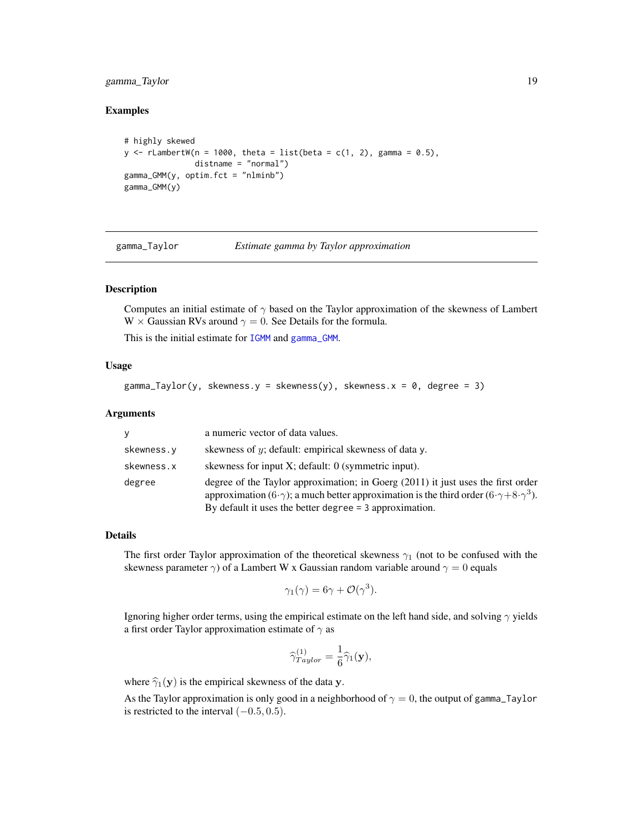#### <span id="page-18-0"></span>gamma\_Taylor 19

#### Examples

```
# highly skewed
y \le r rLambertW(n = 1000, theta = list(beta = c(1, 2), gamma = 0.5),
               distname = "normal")
gamma_GMM(y, optim.fct = "nlminb")
gamma_GMM(y)
```
<span id="page-18-1"></span>gamma\_Taylor *Estimate gamma by Taylor approximation*

#### Description

Computes an initial estimate of  $\gamma$  based on the Taylor approximation of the skewness of Lambert W  $\times$  Gaussian RVs around  $\gamma = 0$ . See Details for the formula.

This is the initial estimate for [IGMM](#page-27-1) and [gamma\\_GMM](#page-17-1).

#### Usage

```
gamma_Taylor(y, skewness.y = skewness(y), skewness.x = 0, degree = 3)
```
#### Arguments

| <b>V</b>   | a numeric vector of data values.                                                                                                                                                                                                                                   |
|------------|--------------------------------------------------------------------------------------------------------------------------------------------------------------------------------------------------------------------------------------------------------------------|
| skewness.y | skewness of $y$ ; default: empirical skewness of data y.                                                                                                                                                                                                           |
| skewness.x | skewness for input $X$ ; default: 0 (symmetric input).                                                                                                                                                                                                             |
| degree     | degree of the Taylor approximation; in Goerg $(2011)$ it just uses the first order<br>approximation (6. $\gamma$ ); a much better approximation is the third order (6. $\gamma + 8 \cdot \gamma^3$ ).<br>By default it uses the better degree $=$ 3 approximation. |

#### Details

The first order Taylor approximation of the theoretical skewness  $\gamma_1$  (not to be confused with the skewness parameter  $\gamma$ ) of a Lambert W x Gaussian random variable around  $\gamma = 0$  equals

$$
\gamma_1(\gamma) = 6\gamma + \mathcal{O}(\gamma^3).
$$

Ignoring higher order terms, using the empirical estimate on the left hand side, and solving  $\gamma$  yields a first order Taylor approximation estimate of  $\gamma$  as

$$
\widehat{\gamma}^{(1)}_{Taylor} = \frac{1}{6} \widehat{\gamma}_1(\mathbf{y}),
$$

where  $\hat{\gamma}_1(\mathbf{y})$  is the empirical skewness of the data y.

As the Taylor approximation is only good in a neighborhood of  $\gamma = 0$ , the output of gamma\_Taylor is restricted to the interval  $(-0.5, 0.5)$ .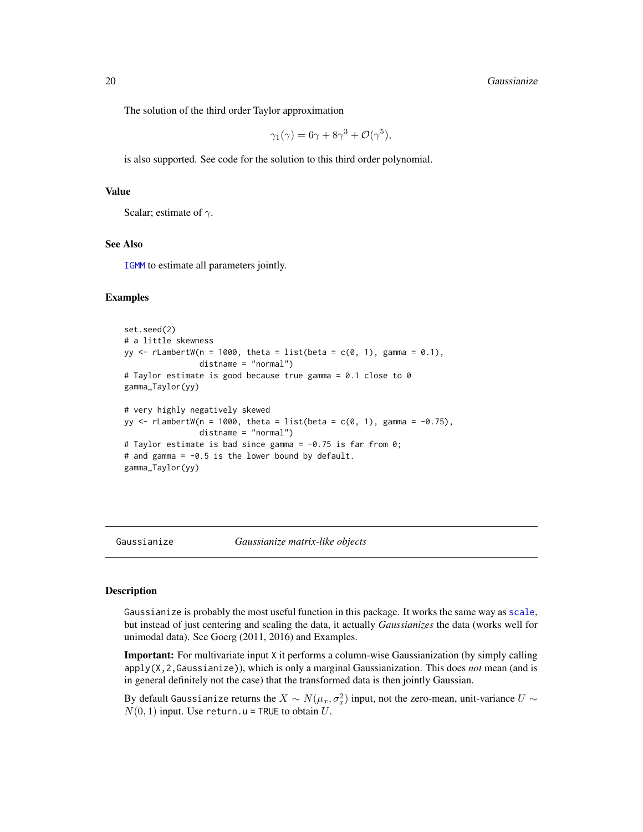$$
\gamma_1(\gamma) = 6\gamma + 8\gamma^3 + \mathcal{O}(\gamma^5),
$$

<span id="page-19-0"></span>is also supported. See code for the solution to this third order polynomial.

#### Value

Scalar; estimate of  $\gamma$ .

#### See Also

[IGMM](#page-27-1) to estimate all parameters jointly.

#### Examples

```
set.seed(2)
# a little skewness
yy \le rLambertW(n = 1000, theta = list(beta = c(0, 1), gamma = 0.1),
                distname = "normal")
# Taylor estimate is good because true gamma = 0.1 close to 0
gamma_Taylor(yy)
# very highly negatively skewed
yy \le rLambertW(n = 1000, theta = list(beta = c(0, 1), gamma = -0.75),
               distname = "normal")
# Taylor estimate is bad since gamma = -0.75 is far from 0;
# and gamma = -0.5 is the lower bound by default.
gamma_Taylor(yy)
```
<span id="page-19-1"></span>

#### Gaussianize *Gaussianize matrix-like objects*

#### **Description**

Gaussianize is probably the most useful function in this package. It works the same way as [scale](#page-0-0), but instead of just centering and scaling the data, it actually *Gaussianizes* the data (works well for unimodal data). See Goerg (2011, 2016) and Examples.

Important: For multivariate input X it performs a column-wise Gaussianization (by simply calling apply(X,2,Gaussianize)), which is only a marginal Gaussianization. This does *not* mean (and is in general definitely not the case) that the transformed data is then jointly Gaussian.

By default Gaussianize returns the  $X\sim N(\mu_x,\sigma_x^2)$  input, not the zero-mean, unit-variance  $U\sim$  $N(0, 1)$  input. Use return.u = TRUE to obtain U.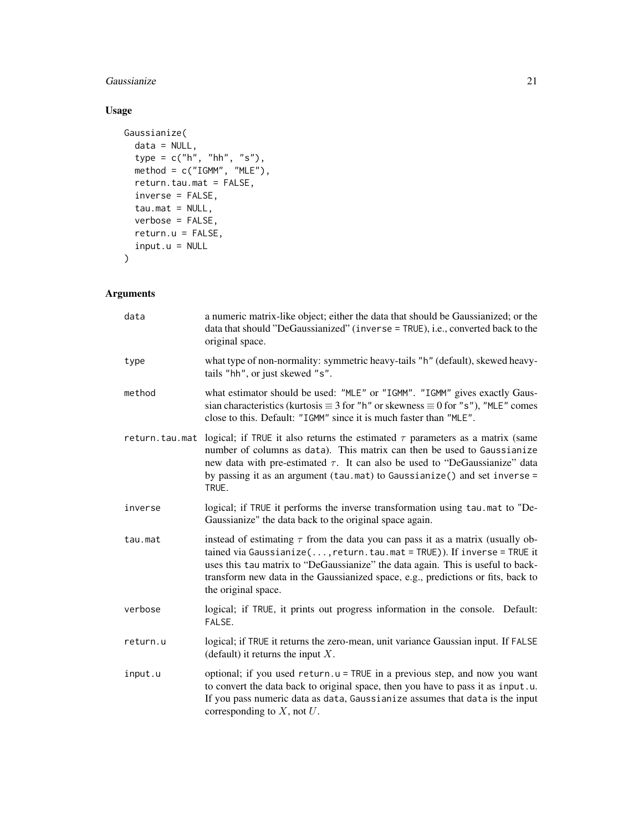#### Gaussianize 21

#### Usage

```
Gaussianize(
  data = NULL,type = c("h", "hh", "s"),method = c("IGMM", "MLE"),
  return.tau.mat = FALSE,
  inverse = FALSE,
  tau.mat = NULL,
  verbose = FALSE,
  return.u = FALSE,
  input.u = NULL
\mathcal{L}
```
### Arguments

| data     | a numeric matrix-like object; either the data that should be Gaussianized; or the<br>data that should "DeGaussianized" (inverse = TRUE), i.e., converted back to the<br>original space.                                                                                                                                                                     |
|----------|-------------------------------------------------------------------------------------------------------------------------------------------------------------------------------------------------------------------------------------------------------------------------------------------------------------------------------------------------------------|
| type     | what type of non-normality: symmetric heavy-tails "h" (default), skewed heavy-<br>tails "hh", or just skewed "s".                                                                                                                                                                                                                                           |
| method   | what estimator should be used: "MLE" or "IGMM". "IGMM" gives exactly Gaus-<br>sian characteristics (kurtosis $\equiv$ 3 for "h" or skewness $\equiv$ 0 for "s"), "MLE" comes<br>close to this. Default: "IGMM" since it is much faster than "MLE".                                                                                                          |
|          | return tau mat logical; if TRUE it also returns the estimated $\tau$ parameters as a matrix (same<br>number of columns as data). This matrix can then be used to Gaussianize<br>new data with pre-estimated $\tau$ . It can also be used to "DeGaussianize" data<br>by passing it as an argument (tau.mat) to Gaussianize() and set inverse =<br>TRUE.      |
| inverse  | logical; if TRUE it performs the inverse transformation using tau mat to "De-<br>Gaussianize" the data back to the original space again.                                                                                                                                                                                                                    |
| tau.mat  | instead of estimating $\tau$ from the data you can pass it as a matrix (usually ob-<br>tained via Gaussianize(, return.tau.mat = TRUE)). If inverse = TRUE it<br>uses this tau matrix to "DeGaussianize" the data again. This is useful to back-<br>transform new data in the Gaussianized space, e.g., predictions or fits, back to<br>the original space. |
| verbose  | logical; if TRUE, it prints out progress information in the console. Default:<br>FALSE.                                                                                                                                                                                                                                                                     |
| return.u | logical; if TRUE it returns the zero-mean, unit variance Gaussian input. If FALSE<br>(default) it returns the input $X$ .                                                                                                                                                                                                                                   |
| input.u  | optional; if you used return. $u = TRUE$ in a previous step, and now you want<br>to convert the data back to original space, then you have to pass it as input.u.<br>If you pass numeric data as data, Gaussianize assumes that data is the input<br>corresponding to $X$ , not $U$ .                                                                       |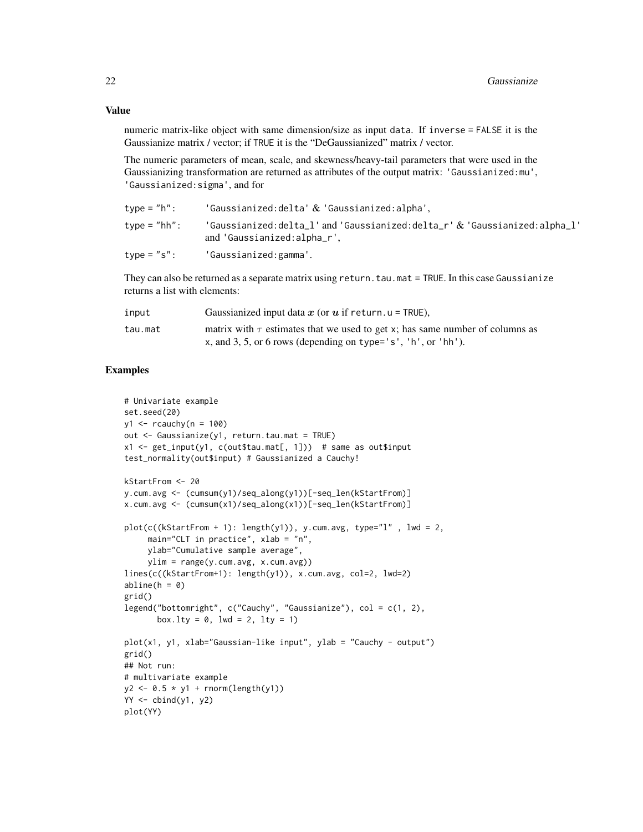numeric matrix-like object with same dimension/size as input data. If inverse = FALSE it is the Gaussianize matrix / vector; if TRUE it is the "DeGaussianized" matrix / vector.

The numeric parameters of mean, scale, and skewness/heavy-tail parameters that were used in the Gaussianizing transformation are returned as attributes of the output matrix: 'Gaussianized:mu', 'Gaussianized:sigma', and for

| type = "h":   | 'Gaussianized:delta' $\&$ 'Gaussianized:alpha',                                                             |
|---------------|-------------------------------------------------------------------------------------------------------------|
| $type="th"$ : | 'Gaussianized:delta_l'and 'Gaussianized:delta_r' $\&$ 'Gaussianized:alpha_l'<br>and 'Gaussianized:alpha_r', |
| $type = "s":$ | 'Gaussianized:gamma'.                                                                                       |

They can also be returned as a separate matrix using return.tau.mat = TRUE. In this case Gaussianize returns a list with elements:

| input   | Gaussianized input data x (or $u$ if return, $u = TRUE$ ).                                                                                         |
|---------|----------------------------------------------------------------------------------------------------------------------------------------------------|
| tau.mat | matrix with $\tau$ estimates that we used to get x; has same number of columns as<br>x, and 3, 5, or 6 rows (depending on type='s', 'h', or 'hh'). |

```
# Univariate example
set.seed(20)
y1 <- rcauchy(n = 100)
out <- Gaussianize(y1, return.tau.mat = TRUE)
x1 \leq get_input(y1, c(out$tau.mat[, 1])) # same as out$input
test_normality(out$input) # Gaussianized a Cauchy!
kStartFrom <- 20
y.cum.avg <- (cumsum(y1)/seq_along(y1))[-seq_len(kStartFrom)]
x.cum.avg <- (cumsum(x1)/seq_along(x1))[-seq_len(kStartFrom)]
plot(c((kStartFrom + 1)): length(y1)), y.cum.avg, type="1", lwd = 2,
     main="CLT in practice", xlab = "n",
     ylab="Cumulative sample average",
     ylim = range(y.cum.avg, x.cum.avg))
lines(c((kStartFrom+1): length(y1)), x.cum.avg, col=2, lwd=2)
abline(h = 0)grid()
legend("bottomright", c("Cauchy", "Gaussianize"), col = c(1, 2),
       box.lty = 0, lwd = 2, lty = 1)
plot(x1, y1, xlab="Gaussian-like input", ylab = "Cauchy - output")grid()
## Not run:
# multivariate example
y2 \leftarrow 0.5 \times y1 + \text{norm}(\text{length}(y1))YY < - \text{cbind}(y1, y2)plot(YY)
```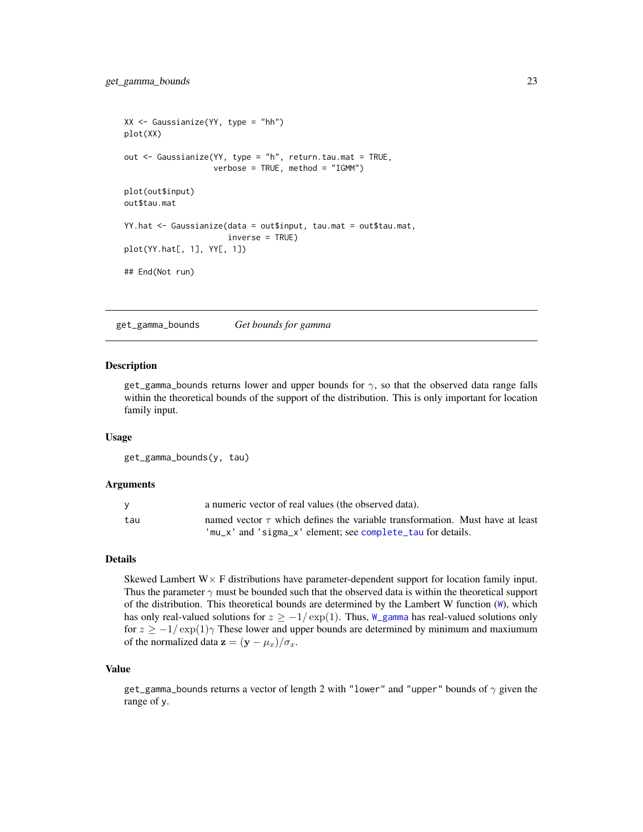```
XX <- Gaussianize(YY, type = "hh")
plot(XX)
out <- Gaussianize(YY, type = "h", return.tau.mat = TRUE,
                   verbose = TRUE, method = "IGMM")plot(out$input)
out$tau.mat
YY.hat <- Gaussianize(data = out$input, tau.mat = out$tau.mat,
                      inverse = TRUE)
plot(YY.hat[, 1], YY[, 1])
## End(Not run)
```
get\_gamma\_bounds *Get bounds for gamma*

#### **Description**

get\_gamma\_bounds returns lower and upper bounds for  $\gamma$ , so that the observed data range falls within the theoretical bounds of the support of the distribution. This is only important for location family input.

#### Usage

```
get_gamma_bounds(y, tau)
```
#### **Arguments**

|     | a numeric vector of real values (the observed data).                              |
|-----|-----------------------------------------------------------------------------------|
| tau | named vector $\tau$ which defines the variable transformation. Must have at least |
|     | 'mu_x' and 'sigma_x' element; see complete_tau for details.                       |

#### Details

Skewed Lambert  $W \times F$  distributions have parameter-dependent support for location family input. Thus the parameter  $\gamma$  must be bounded such that the observed data is within the theoretical support of the distribution. This theoretical bounds are determined by the Lambert W function ([W](#page-61-2)), which has only real-valued solutions for  $z \ge -1/\exp(1)$ . Thus, [W\\_gamma](#page-64-1) has real-valued solutions only for  $z \ge -1/\exp(1)\gamma$  These lower and upper bounds are determined by minimum and maxiumum of the normalized data  $\mathbf{z} = (\mathbf{y} - \mu_x)/\sigma_x$ .

#### Value

get\_gamma\_bounds returns a vector of length 2 with "lower" and "upper" bounds of  $\gamma$  given the range of y.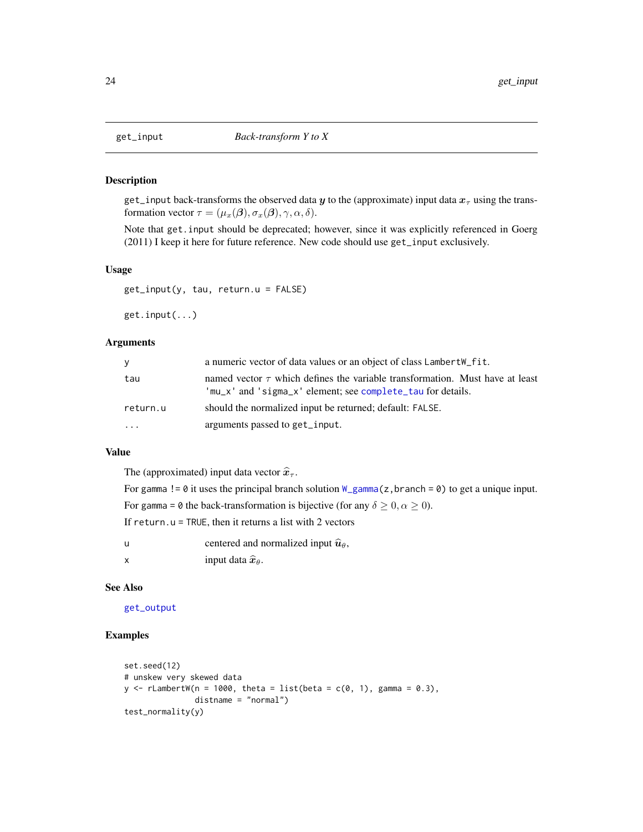get\_input back-transforms the observed data y to the (approximate) input data  $x<sub>\tau</sub>$  using the transformation vector  $\tau = (\mu_x(\boldsymbol{\beta}), \sigma_x(\boldsymbol{\beta}), \gamma, \alpha, \delta).$ 

Note that get.input should be deprecated; however, since it was explicitly referenced in Goerg (2011) I keep it here for future reference. New code should use get\_input exclusively.

#### Usage

```
get_input(y, tau, return.u = FALSE)
```
get.input(...)

#### Arguments

|          | a numeric vector of data values or an object of class LambertW_fit.                                                                              |
|----------|--------------------------------------------------------------------------------------------------------------------------------------------------|
| tau      | named vector $\tau$ which defines the variable transformation. Must have at least<br>'mu_x' and 'sigma_x' element; see complete_tau for details. |
| return.u | should the normalized input be returned; default: FALSE.                                                                                         |
| .        | arguments passed to get_input.                                                                                                                   |

#### Value

The (approximated) input data vector  $\hat{x}_{\tau}$ .

For gamma !=  $\theta$  it uses the principal branch solution  $W_{\text{gamma}}(z,branch = \theta)$  to get a unique input. For gamma = 0 the back-transformation is bijective (for any  $\delta \geq 0, \alpha \geq 0$ ). If return.u = TRUE, then it returns a list with 2 vectors

| centered and normalized input $\hat{u}_{\theta}$ , |
|----------------------------------------------------|
| input data $\widehat{x}_{\theta}$ .                |

#### See Also

[get\\_output](#page-24-1)

```
set.seed(12)
# unskew very skewed data
y \le -rLambertW(n = 1000, theta = list(beta = c(0, 1), gamma = 0.3),
               distname = "normal")
test_normality(y)
```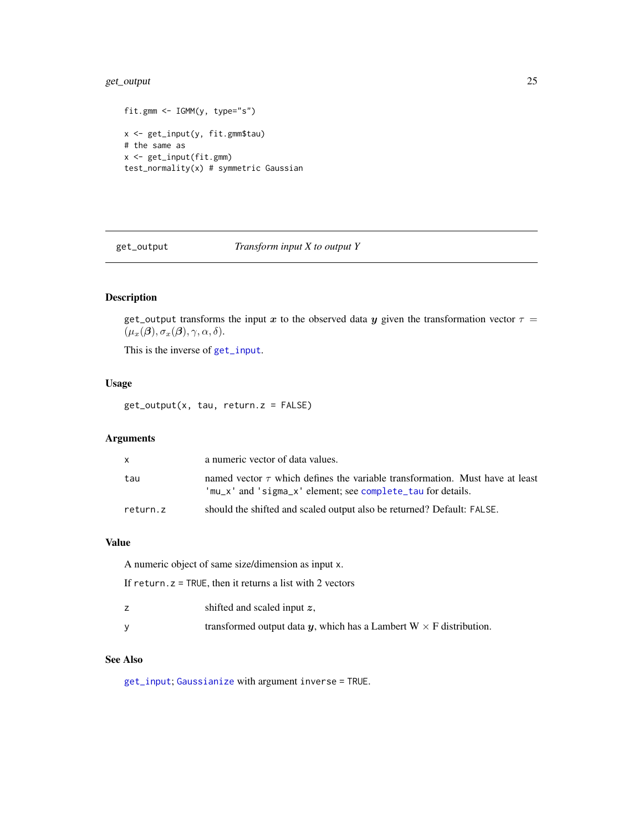#### <span id="page-24-0"></span>get\_output 25

```
fit.gmm <- IGMM(y, type="s")
x <- get_input(y, fit.gmm$tau)
# the same as
x <- get_input(fit.gmm)
test_normality(x) # symmetric Gaussian
```
#### <span id="page-24-1"></span>get\_output *Transform input X to output Y*

#### Description

get\_output transforms the input x to the observed data y given the transformation vector  $\tau =$  $(\mu_x(\boldsymbol{\beta}), \sigma_x(\boldsymbol{\beta}), \gamma, \alpha, \delta).$ 

This is the inverse of [get\\_input](#page-23-1).

#### Usage

get\_output(x, tau, return.z = FALSE)

#### Arguments

| X        | a numeric vector of data values.                                                                                                                 |
|----------|--------------------------------------------------------------------------------------------------------------------------------------------------|
| tau      | named vector $\tau$ which defines the variable transformation. Must have at least<br>'mu_x' and 'sigma_x' element; see complete_tau for details. |
| return.z | should the shifted and scaled output also be returned? Default: FALSE.                                                                           |

#### Value

A numeric object of same size/dimension as input x. If return.  $z = TRUE$ , then it returns a list with 2 vectors z shifted and scaled input z, y transformed output data  $y$ , which has a Lambert  $W \times F$  distribution.

#### See Also

[get\\_input](#page-23-1); [Gaussianize](#page-19-1) with argument inverse = TRUE.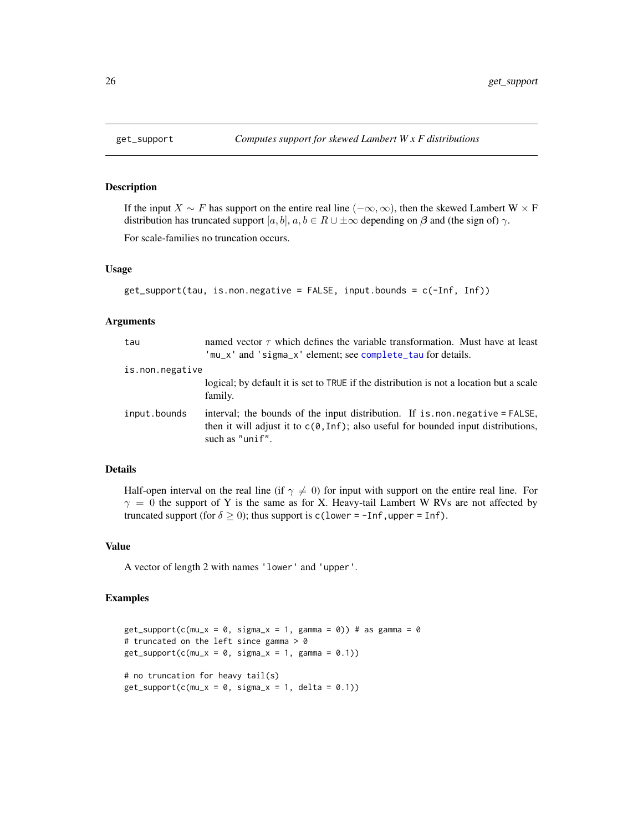If the input  $X \sim F$  has support on the entire real line  $(-\infty, \infty)$ , then the skewed Lambert W  $\times$  F distribution has truncated support [a, b],  $a, b \in R \cup \pm \infty$  depending on  $\beta$  and (the sign of)  $\gamma$ .

For scale-families no truncation occurs.

#### Usage

```
get_support(tau, is.non.negative = FALSE, input.bounds = c(-Inf, Inf))
```
#### Arguments

| tau             | named vector $\tau$ which defines the variable transformation. Must have at least<br>'mu_x' and 'sigma_x' element; see complete_tau for details.                                                  |
|-----------------|---------------------------------------------------------------------------------------------------------------------------------------------------------------------------------------------------|
| is.non.negative |                                                                                                                                                                                                   |
|                 | logical; by default it is set to TRUE if the distribution is not a location but a scale<br>family.                                                                                                |
| input.bounds    | interval; the bounds of the input distribution. If is non negative = FALSE,<br>then it will adjust it to $c(0, \text{Inf})$ ; also useful for bounded input distributions,<br>such as " $unif$ ". |

#### Details

Half-open interval on the real line (if  $\gamma \neq 0$ ) for input with support on the entire real line. For  $\gamma = 0$  the support of Y is the same as for X. Heavy-tail Lambert W RVs are not affected by truncated support (for  $\delta \geq 0$ ); thus support is c(lower = -Inf, upper = Inf).

#### Value

A vector of length 2 with names 'lower' and 'upper'.

```
get\_support(c(mu_x = 0, sigma_x = 1, gamma = 0)) # as gamma = 0
# truncated on the left since gamma > 0
get\_support(c(mu_x = 0, sigma_x = 1, gamma = 0.1))# no truncation for heavy tail(s)
get\_support(c(mu_x = 0, sigma_x = 1, delta = 0.1))
```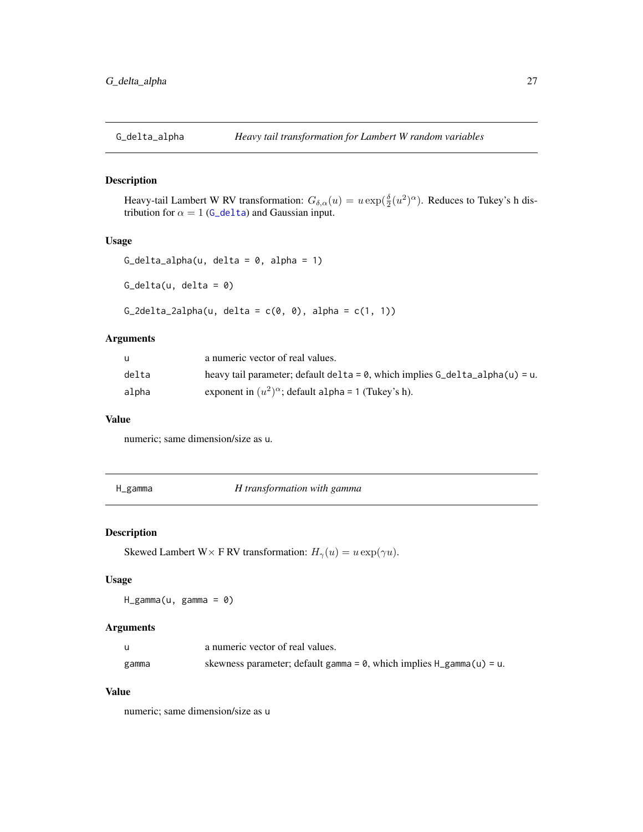<span id="page-26-1"></span><span id="page-26-0"></span>

Heavy-tail Lambert W RV transformation:  $G_{\delta,\alpha}(u) = u \exp(\frac{\delta}{2}(u^2)^\alpha)$ . Reduces to Tukey's h distribution for  $\alpha = 1$  ([G\\_delta](#page-26-1)) and Gaussian input.

#### Usage

```
G_delta_alpha(u, delta = 0, alpha = 1)
G<sup>=</sub> \theta<sup>=</sup> \theta)</sup>
```
G\_2delta\_2alpha(u, delta =  $c(\emptyset, \emptyset)$ , alpha =  $c(1, 1)$ )

#### Arguments

|       | a numeric vector of real values.                                                     |
|-------|--------------------------------------------------------------------------------------|
| delta | heavy tail parameter; default $delta = 0$ , which implies $G_{del} = a1$ pha(u) = u. |
| alpha | exponent in $(u^2)^\alpha$ ; default alpha = 1 (Tukey's h).                          |

#### Value

numeric; same dimension/size as u.

<span id="page-26-2"></span>H\_gamma *H transformation with gamma*

#### Description

Skewed Lambert W× F RV transformation: Hγ(u) = u exp(γu).

#### Usage

 $H_g$ amma(u, gamma = 0)

#### Arguments

| u     | a numeric vector of real values.                                             |
|-------|------------------------------------------------------------------------------|
| gamma | skewness parameter; default gamma = $\theta$ , which implies H_gamma(u) = u. |

#### Value

numeric; same dimension/size as u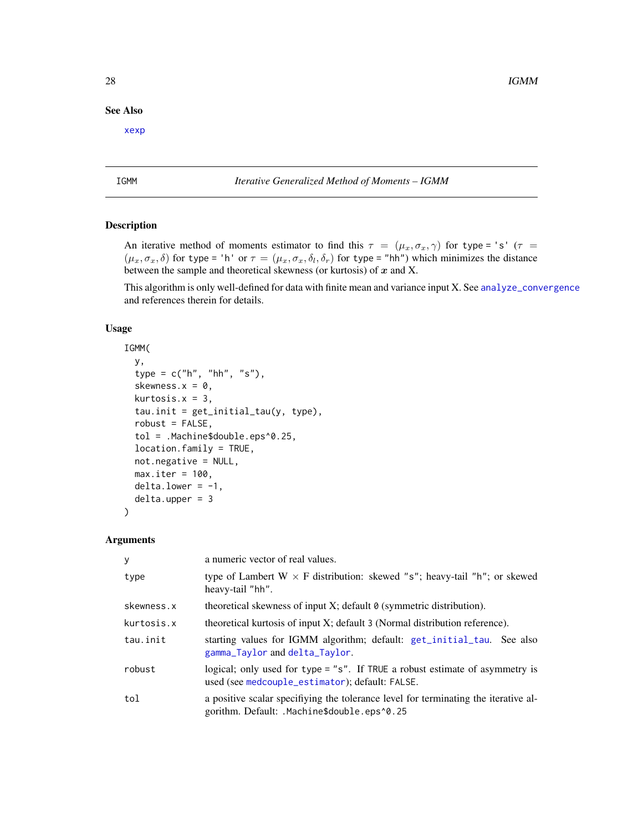#### See Also

[xexp](#page-65-1)

#### <span id="page-27-1"></span>IGMM *Iterative Generalized Method of Moments – IGMM*

#### Description

An iterative method of moments estimator to find this  $\tau = (\mu_x, \sigma_x, \gamma)$  for type = 's' ( $\tau$  =  $(\mu_x, \sigma_x, \delta)$  for type = 'h' or  $\tau = (\mu_x, \sigma_x, \delta_l, \delta_r)$  for type = "hh") which minimizes the distance between the sample and theoretical skewness (or kurtosis) of  $x$  and  $X$ .

This algorithm is only well-defined for data with finite mean and variance input X. See [analyze\\_convergence](#page-3-2) and references therein for details.

#### Usage

```
IGMM(
 y,
  type = c("h", "hh", "s"),
  skewness.x = 0,
  kurtosis.x = 3,
  tau.init = get_initial_tau(y, type),
  robust = FALSE,tol = .Machine$double.eps^0.25,
  location.family = TRUE,
  not.negative = NULL,
 max.iter = 100,delta.lower = -1,delta.upper = 3)
```
#### Arguments

| y          | a numeric vector of real values.                                                                                                   |
|------------|------------------------------------------------------------------------------------------------------------------------------------|
| type       | type of Lambert $W \times F$ distribution: skewed "s"; heavy-tail "h"; or skewed<br>heavy-tail "hh".                               |
| skewness.x | theoretical skewness of input X; default $\theta$ (symmetric distribution).                                                        |
| kurtosis.x | theoretical kurtosis of input X; default 3 (Normal distribution reference).                                                        |
| tau.init   | starting values for IGMM algorithm; default: get_initial_tau. See also<br>gamma_Taylor and delta_Taylor.                           |
| robust     | logical; only used for type = "s". If TRUE a robust estimate of asymmetry is<br>used (see medcouple_estimator); default: FALSE.    |
| tol        | a positive scalar specifiying the tolerance level for terminating the iterative al-<br>gorithm. Default: .Machine\$double.eps^0.25 |

<span id="page-27-0"></span>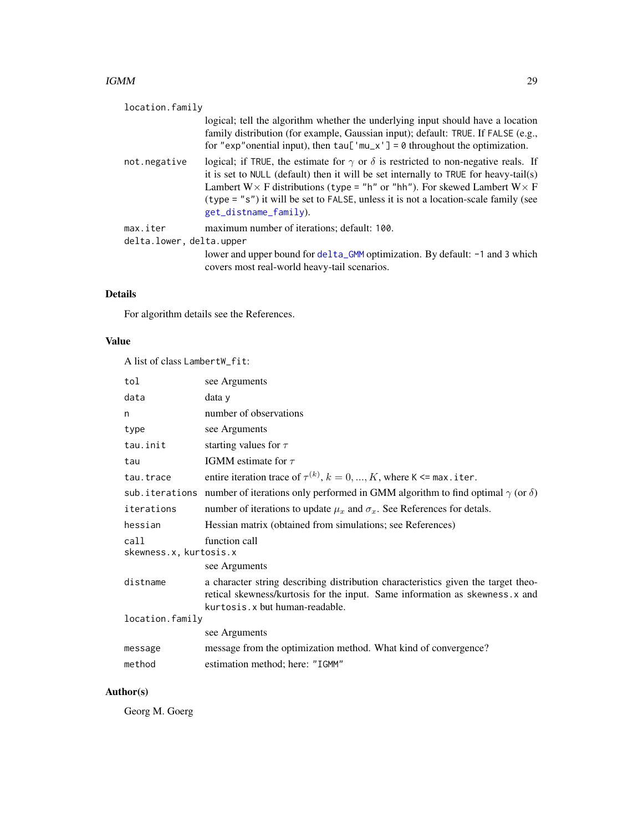#### <span id="page-28-0"></span> $I G M M$  29

| location.family                      |                                                                                                                                                                                                                                                                                                                                                                                                         |
|--------------------------------------|---------------------------------------------------------------------------------------------------------------------------------------------------------------------------------------------------------------------------------------------------------------------------------------------------------------------------------------------------------------------------------------------------------|
|                                      | logical; tell the algorithm whether the underlying input should have a location<br>family distribution (for example, Gaussian input); default: TRUE. If FALSE (e.g.,<br>for "exp" onential input), then $tau$ ['mu_x'] = 0 throughout the optimization.                                                                                                                                                 |
| not.negative                         | logical; if TRUE, the estimate for $\gamma$ or $\delta$ is restricted to non-negative reals. If<br>it is set to NULL (default) then it will be set internally to TRUE for heavy-tail(s)<br>Lambert W $\times$ F distributions (type = "h" or "hh"). For skewed Lambert W $\times$ F<br>(type = "s") it will be set to FALSE, unless it is not a location-scale family (see<br>$get\_distance\_family$ . |
| max.iter<br>delta.lower, delta.upper | maximum number of iterations; default: 100.<br>lower and upper bound for delta_GMM optimization. By default: -1 and 3 which<br>covers most real-world heavy-tail scenarios.                                                                                                                                                                                                                             |

### Details

For algorithm details see the References.

#### Value

A list of class LambertW\_fit:

| tol                            | see Arguments                                                                                                                                                                                       |
|--------------------------------|-----------------------------------------------------------------------------------------------------------------------------------------------------------------------------------------------------|
| data                           | data y                                                                                                                                                                                              |
| n                              | number of observations                                                                                                                                                                              |
| type                           | see Arguments                                                                                                                                                                                       |
| tau.init                       | starting values for $\tau$                                                                                                                                                                          |
| tau                            | IGMM estimate for $\tau$                                                                                                                                                                            |
| tau.trace                      | entire iteration trace of $\tau^{(k)}$ , $k = 0, , K$ , where K <= max.iter.                                                                                                                        |
|                                | sub . i terations number of iterations only performed in GMM algorithm to find optimal $\gamma$ (or $\delta$ )                                                                                      |
| iterations                     | number of iterations to update $\mu_x$ and $\sigma_x$ . See References for detals.                                                                                                                  |
| hessian                        | Hessian matrix (obtained from simulations; see References)                                                                                                                                          |
| call<br>skewness.x, kurtosis.x | function call                                                                                                                                                                                       |
|                                | see Arguments                                                                                                                                                                                       |
| distname                       | a character string describing distribution characteristics given the target theo-<br>retical skewness/kurtosis for the input. Same information as skewness.x and<br>kurtosis. x but human-readable. |
| location.family                |                                                                                                                                                                                                     |
|                                | see Arguments                                                                                                                                                                                       |
| message                        | message from the optimization method. What kind of convergence?                                                                                                                                     |
| method                         | estimation method; here: "IGMM"                                                                                                                                                                     |

#### Author(s)

Georg M. Goerg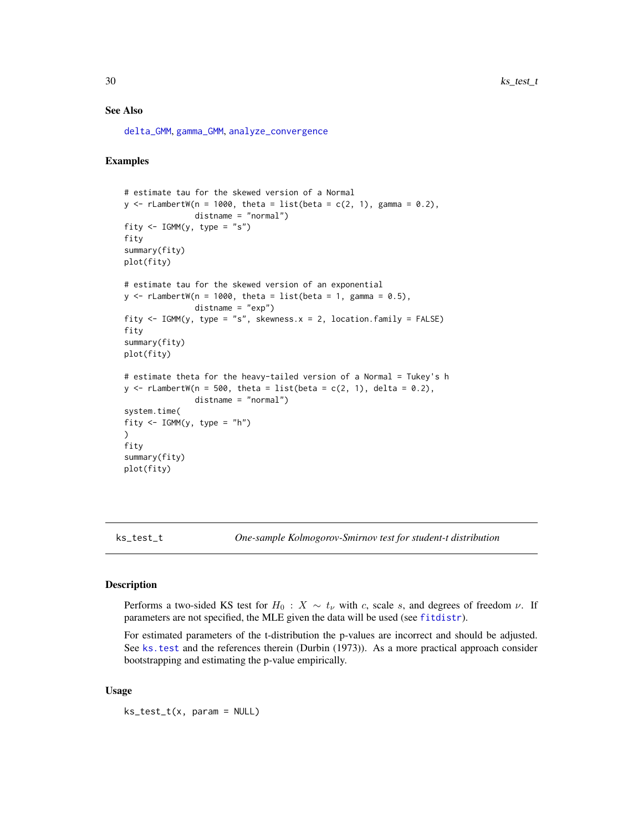#### <span id="page-29-0"></span>See Also

[delta\\_GMM](#page-11-1), [gamma\\_GMM](#page-17-1), [analyze\\_convergence](#page-3-2)

#### Examples

```
# estimate tau for the skewed version of a Normal
y <- rLambertW(n = 1000, theta = list(beta = c(2, 1), gamma = 0.2),
               distname = "normal")
fity \leq IGMM(y, type = "s")
fity
summary(fity)
plot(fity)
# estimate tau for the skewed version of an exponential
y \le -rLambertW(n = 1000, theta = list(beta = 1, gamma = 0.5),
               distname = "exp")
fity \leq IGMM(y, type = "s", skewness.x = 2, location.family = FALSE)
fity
summary(fity)
plot(fity)
# estimate theta for the heavy-tailed version of a Normal = Tukey's h
y \le r rLambertW(n = 500, theta = list(beta = c(2, 1), delta = 0.2),
               distname = "normal")
system.time(
fity \leftarrow IGMM(y, type = "h")
)
fity
summary(fity)
plot(fity)
```
ks\_test\_t *One-sample Kolmogorov-Smirnov test for student-t distribution*

#### Description

Performs a two-sided KS test for  $H_0$  :  $X \sim t_\nu$  with c, scale s, and degrees of freedom  $\nu$ . If parameters are not specified, the MLE given the data will be used (see [fitdistr](#page-0-0)).

For estimated parameters of the t-distribution the p-values are incorrect and should be adjusted. See [ks.test](#page-0-0) and the references therein (Durbin (1973)). As a more practical approach consider bootstrapping and estimating the p-value empirically.

#### Usage

ks\_test\_t(x, param = NULL)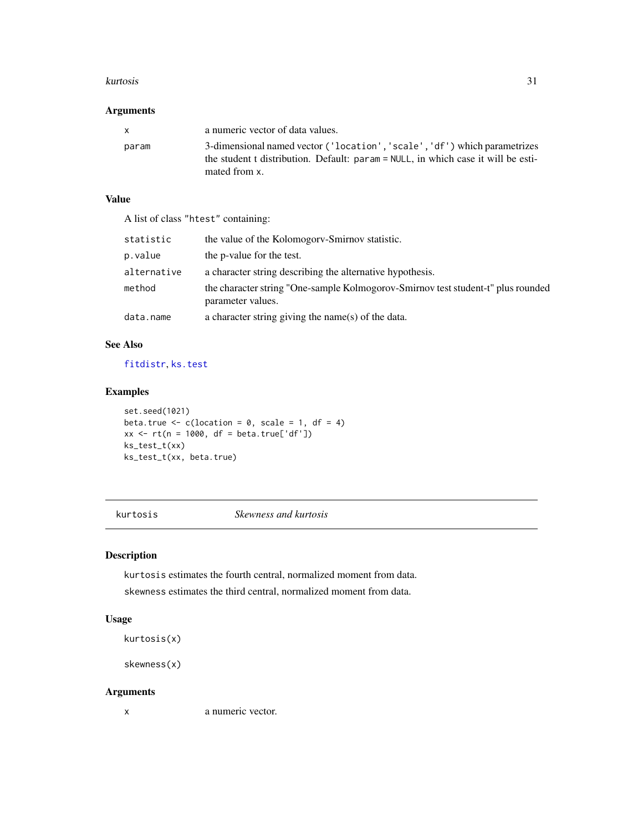#### <span id="page-30-0"></span>kurtosis 31

#### Arguments

| $\mathsf{x}$ | a numeric vector of data values.                                                                                                                                                |
|--------------|---------------------------------------------------------------------------------------------------------------------------------------------------------------------------------|
| param        | 3-dimensional named vector ('location', 'scale', 'df') which parametrizes<br>the student t distribution. Default: param = NULL, in which case it will be esti-<br>mated from x. |

#### Value

A list of class "htest" containing:

| statistic   | the value of the Kolomogory-Smirnov statistic.                                                        |
|-------------|-------------------------------------------------------------------------------------------------------|
| p.value     | the p-value for the test.                                                                             |
| alternative | a character string describing the alternative hypothesis.                                             |
| method      | the character string "One-sample Kolmogorov-Smirnov test student-t" plus rounded<br>parameter values. |
| data.name   | a character string giving the name(s) of the data.                                                    |

#### See Also

[fitdistr](#page-0-0), [ks.test](#page-0-0)

#### Examples

```
set.seed(1021)
beta.true \leq c(location = 0, scale = 1, df = 4)
xx \le -rt(n = 1000, df = beta,true['df'])ks_test_t(xx)
ks_test_t(xx, beta.true)
```
kurtosis *Skewness and kurtosis*

#### Description

kurtosis estimates the fourth central, normalized moment from data. skewness estimates the third central, normalized moment from data.

#### Usage

kurtosis(x)

skewness(x)

#### Arguments

x a numeric vector.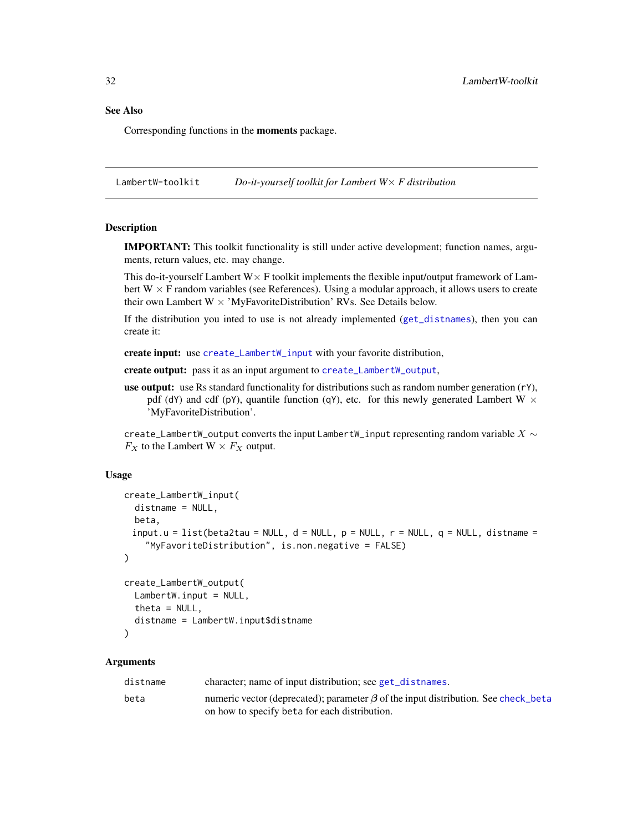#### <span id="page-31-0"></span>See Also

Corresponding functions in the moments package.

LambertW-toolkit *Do-it-yourself toolkit for Lambert W*× *F distribution*

#### <span id="page-31-1"></span>**Description**

IMPORTANT: This toolkit functionality is still under active development; function names, arguments, return values, etc. may change.

This do-it-yourself Lambert  $W \times F$  toolkit implements the flexible input/output framework of Lambert  $W \times F$  random variables (see References). Using a modular approach, it allows users to create their own Lambert  $W \times Y$  MyFavoriteDistribution' RVs. See Details below.

If the distribution you inted to use is not already implemented ([get\\_distnames](#page-14-1)), then you can create it:

create input: use [create\\_LambertW\\_input](#page-31-1) with your favorite distribution,

create output: pass it as an input argument to [create\\_LambertW\\_output](#page-31-1),

use output: use Rs standard functionality for distributions such as random number generation  $(rY)$ , pdf (dY) and cdf (pY), quantile function (qY), etc. for this newly generated Lambert W  $\times$ 'MyFavoriteDistribution'.

create\_LambertW\_output converts the input LambertW\_input representing random variable  $X \sim$  $F_X$  to the Lambert  $W \times F_X$  output.

#### Usage

```
create_LambertW_input(
  distname = NULL,
 beta,
 input.u = list(beta2tau = NULL, d = NULL, p = NULL, r = NULL, q = NULL, distinct = 1"MyFavoriteDistribution", is.non.negative = FALSE)
)
create_LambertW_output(
 LambertW.input = NULL,
  theta = NULL,
  distname = LambertW.input$distname
```

```
)
```
#### Arguments

| distname | character; name of input distribution; see get_distnames.                                |
|----------|------------------------------------------------------------------------------------------|
| beta     | numeric vector (deprecated); parameter $\beta$ of the input distribution. See check_beta |
|          | on how to specify beta for each distribution.                                            |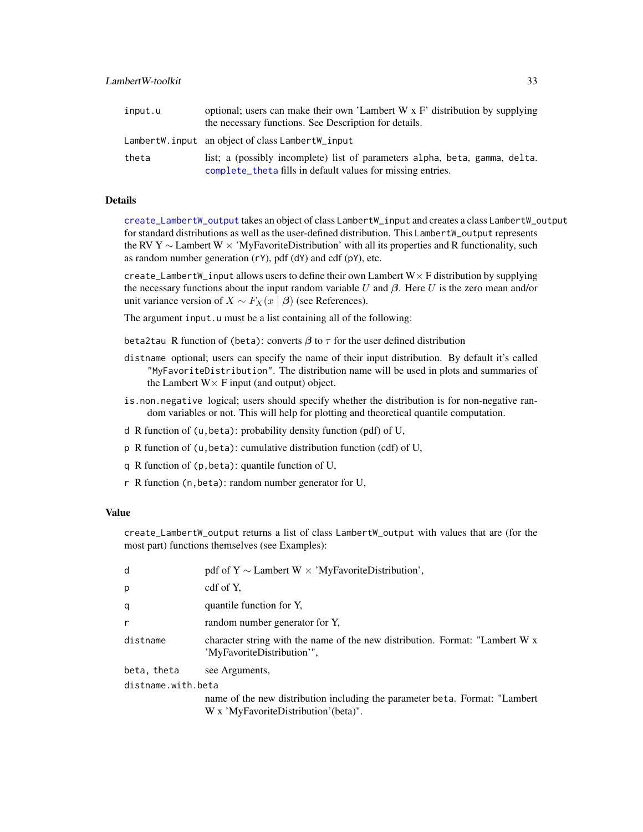#### <span id="page-32-0"></span>LambertW-toolkit 33

| input.u | optional; users can make their own 'Lambert W $x$ F' distribution by supplying<br>the necessary functions. See Description for details.    |
|---------|--------------------------------------------------------------------------------------------------------------------------------------------|
|         | LambertW.input an object of class LambertW_input                                                                                           |
| theta   | list; a (possibly incomplete) list of parameters alpha, beta, gamma, delta.<br>complete_theta fills in default values for missing entries. |

#### Details

[create\\_LambertW\\_output](#page-31-1) takes an object of class LambertW\_input and creates a class LambertW\_output for standard distributions as well as the user-defined distribution. This LambertW\_output represents the RV Y  $\sim$  Lambert W  $\times$  'MyFavoriteDistribution' with all its properties and R functionality, such as random number generation (rY), pdf (dY) and cdf (pY), etc.

create\_LambertW\_input allows users to define their own Lambert  $W \times F$  distribution by supplying the necessary functions about the input random variable U and  $\beta$ . Here U is the zero mean and/or unit variance version of  $X \sim F_X(x \mid \boldsymbol{\beta})$  (see References).

The argument input.u must be a list containing all of the following:

beta2tau R function of (beta): converts  $\beta$  to  $\tau$  for the user defined distribution

- distname optional; users can specify the name of their input distribution. By default it's called "MyFavoriteDistribution". The distribution name will be used in plots and summaries of the Lambert  $W \times F$  input (and output) object.
- is.non.negative logical; users should specify whether the distribution is for non-negative random variables or not. This will help for plotting and theoretical quantile computation.
- d R function of (u,beta): probability density function (pdf) of U,
- p R function of (u,beta): cumulative distribution function (cdf) of U,
- q R function of (p,beta): quantile function of U,
- r R function (n,beta): random number generator for U,

#### Value

create\_LambertW\_output returns a list of class LambertW\_output with values that are (for the most part) functions themselves (see Examples):

| d                  | pdf of $Y \sim$ Lambert W $\times$ 'MyFavoriteDistribution',                                                          |
|--------------------|-----------------------------------------------------------------------------------------------------------------------|
| p                  | cdf of Y.                                                                                                             |
| q                  | quantile function for Y,                                                                                              |
| r                  | random number generator for Y,                                                                                        |
| distname           | character string with the name of the new distribution. Format: "Lambert W x<br>'MyFavoriteDistribution'",            |
| beta, theta        | see Arguments,                                                                                                        |
| distname.with.beta |                                                                                                                       |
|                    | name of the new distribution including the parameter beta. Format: "Lambert"<br>W x 'MyFavoriteDistribution' (beta)". |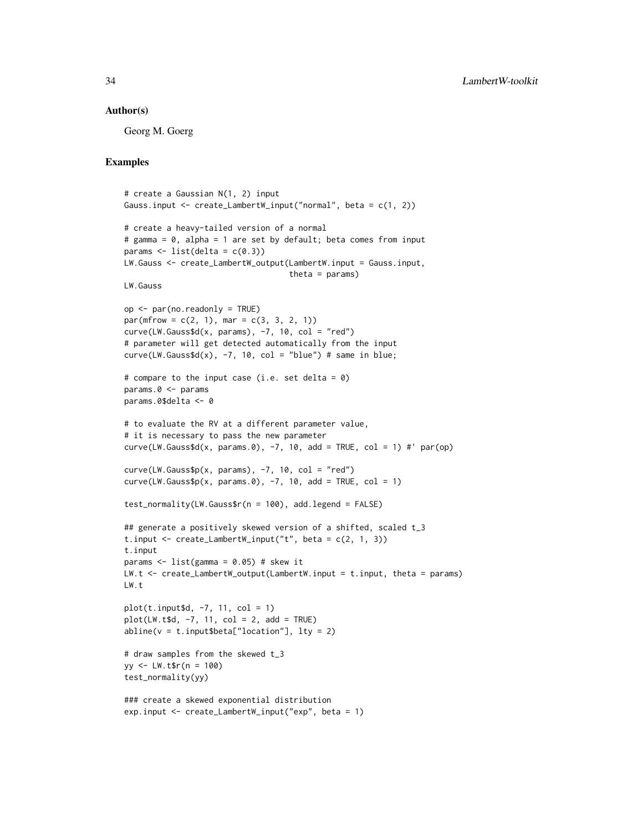#### Author(s)

Georg M. Goerg

```
# create a Gaussian N(1, 2) input
Gauss.input \leq create_LambertW_input("normal", beta = c(1, 2))
# create a heavy-tailed version of a normal
# gamma = 0, alpha = 1 are set by default; beta comes from input
params \leq list(delta = c(0.3))
LW.Gauss <- create_LambertW_output(LambertW.input = Gauss.input,
                                   theta = params)
LW.Gauss
op <- par(no.readonly = TRUE)
par(mfrow = c(2, 1), mar = c(3, 3, 2, 1))curve(LW.Gauss$d(x, params), -7, 10, col = "red")# parameter will get detected automatically from the input
curve(LW.Gauss$d(x), -7, 10, col = "blue") # same in blue;
# compare to the input case (i.e. set delta = \theta)
params.0 <- params
params.0$delta <- 0
# to evaluate the RV at a different parameter value,
# it is necessary to pass the new parameter
curve(LW.Gauss$d(x, params.0), -7, 10, add = TRUE, col = 1) #' par(op)curve(LW.Gauss\p(x, params), -7, 10, col = "red")
curve(LW.Gauss$p(x, params.0), -7, 10, add = TRUE, col = 1)
test_normality(LW.Gauss$r(n = 100), add.legend = FALSE)
## generate a positively skewed version of a shifted, scaled t_3
t.input <- create_LambertW_input("t", beta = c(2, 1, 3))
t.input
params \le list(gamma = 0.05) # skew it
LW.t <- create_LambertW_output(LambertW.input = t.input, theta = params)
LW.t
plot(t.input$d, -7, 11, col = 1)plot(LW.t$d, -7, 11, col = 2, add = TRUE)
abline(v = t.input$beta["location"], lty = 2)
# draw samples from the skewed t_3
yy <- LW.t$r(n = 100)
test_normality(yy)
### create a skewed exponential distribution
exp.input <- create_LambertW_input("exp", beta = 1)
```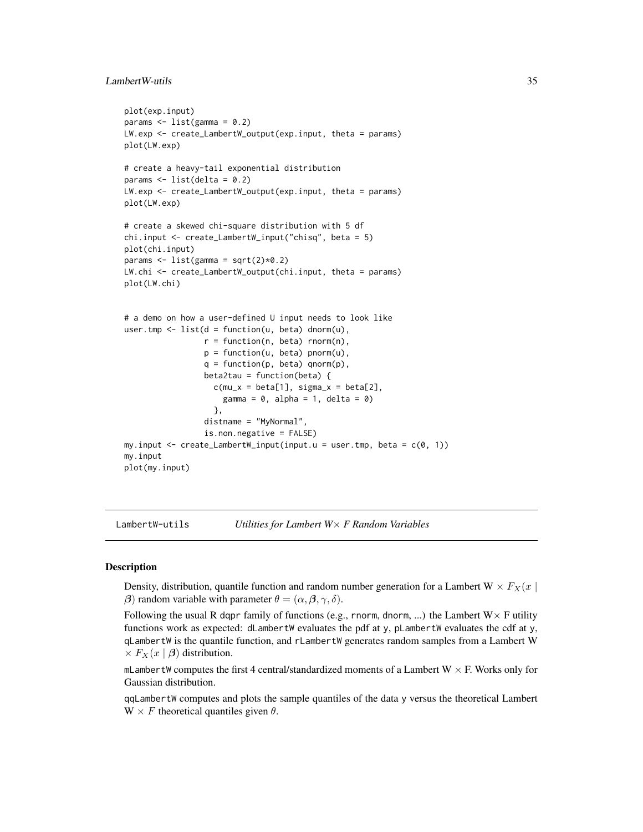#### <span id="page-34-0"></span>LambertW-utils 35

```
plot(exp.input)
params <- list(gamma = 0.2)
LW.exp <- create_LambertW_output(exp.input, theta = params)
plot(LW.exp)
# create a heavy-tail exponential distribution
params <- list(delta = 0.2)
LW.exp <- create_LambertW_output(exp.input, theta = params)
plot(LW.exp)
# create a skewed chi-square distribution with 5 df
chi.input <- create_LambertW_input("chisq", beta = 5)
plot(chi.input)
params \leq list(gamma = sqrt(2)*0.2)
LW.chi <- create_LambertW_output(chi.input, theta = params)
plot(LW.chi)
# a demo on how a user-defined U input needs to look like
user.tmp \le list(d = function(u, beta) dnorm(u),
                 r = function(n, beta) rnorm(n),p = function(u, beta) pnorm(u),
                 q = function(p, beta) qnorm(p),
                 beta2tau = function(beta) {
                   c(mu_x = beta[1], sigma_x = beta[2],gamma = 0, alpha = 1, delta = 0)
                   },
                 distname = "MyNormal",
                 is.non.negative = FALSE)
my.input <- create_LambertW_input(input.u = user.tmp, beta = c(0, 1))
my.input
plot(my.input)
```
LambertW-utils *Utilities for Lambert W*× *F Random Variables*

#### <span id="page-34-1"></span>**Description**

Density, distribution, quantile function and random number generation for a Lambert  $W \times F_X(x)$ β) random variable with parameter  $\theta = (\alpha, \beta, \gamma, \delta)$ .

Following the usual R dqpr family of functions (e.g., rnorm, dnorm, ...) the Lambert  $W \times F$  utility functions work as expected: dLambertW evaluates the pdf at y, pLambertW evaluates the cdf at y, qLambertW is the quantile function, and rLambertW generates random samples from a Lambert W  $\times F_X(x | \beta)$  distribution.

mLambertW computes the first 4 central/standardized moments of a Lambert  $W \times F$ . Works only for Gaussian distribution.

qqLambertW computes and plots the sample quantiles of the data y versus the theoretical Lambert  $W \times F$  theoretical quantiles given  $\theta$ .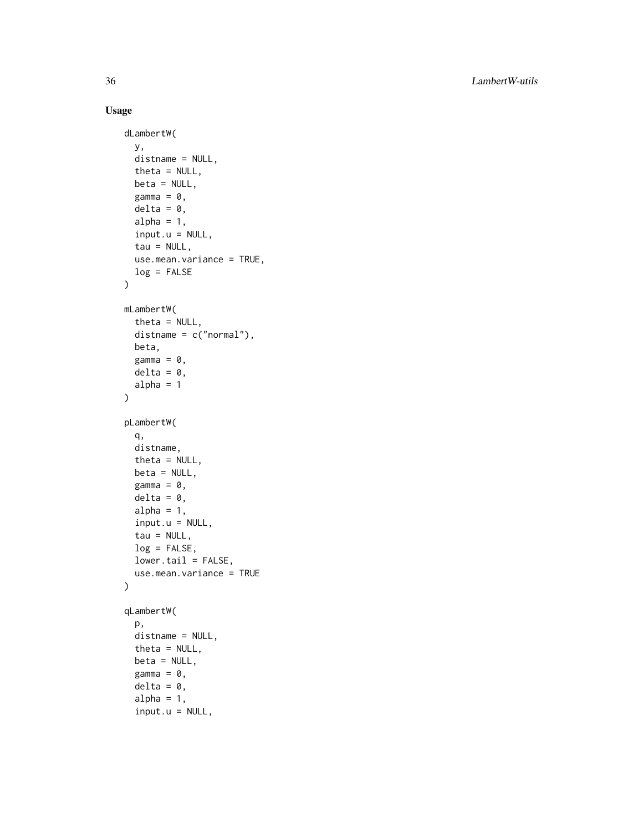#### Usage

```
dLambertW(
  y,
  distname = NULL,
  theta = NULL,
 beta = NULL,
  gamma = 0,
  delta = 0,
  alpha = 1,
  input.u = NULL,tau = NULL,use.mean.variance = TRUE,
  log = FALSE
\mathcal{L}mLambertW(
  theta = NULL,
  distname = c("normal"),
 beta,
  gamma = \theta,
 delta = 0,
  alpha = 1)
pLambertW(
  q,
 distname,
  theta = NULL,
 beta = NULL,gamma = \theta,
  delta = 0,
  alpha = 1,
  input.u = NULL,tau = NULL,log = FALSE,
  lower.tail = FALSE,
  use.mean.variance = TRUE
)
qLambertW(
  p,
  distname = NULL,
  theta = NULL,
  beta = NULL,
  gamma = \theta,
  delta = 0,
  alpha = 1,
```
 $input.u = NULL,$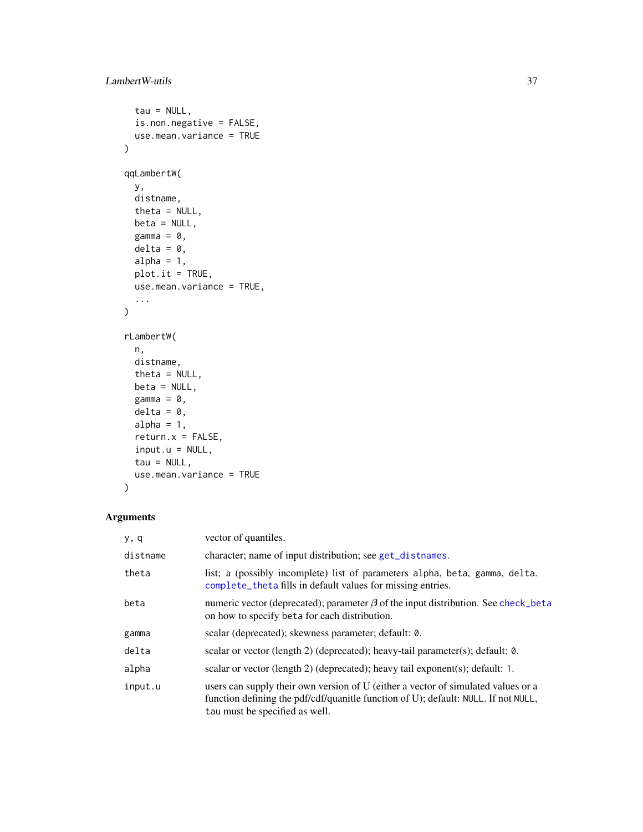```
tau = NULL,is.non.negative = FALSE,
  use.mean.variance = TRUE
\mathcal{L}qqLambertW(
  y,
  distname,
  theta = NULL,
  beta = NULL,gamma = \theta,
  delta = 0,
  alpha = 1,
  plot.it = TRUE,
  use.mean.variance = TRUE,
  ...
\mathcal{L}rLambertW(
  n,
  distname,
  theta = NULL,
  beta = NULL,
  gamma = \theta,
  delta = 0,
  alpha = 1,
  return.x = FALSE,input.u = NULL,tau = NULL,use.mean.variance = TRUE
\mathcal{L}
```
#### Arguments

| y, q     | vector of quantiles.                                                                                                                                                                                      |
|----------|-----------------------------------------------------------------------------------------------------------------------------------------------------------------------------------------------------------|
| distname | character; name of input distribution; see get_distnames.                                                                                                                                                 |
| theta    | list; a (possibly incomplete) list of parameters alpha, beta, gamma, delta.<br>complete_theta fills in default values for missing entries.                                                                |
| beta     | numeric vector (deprecated); parameter $\beta$ of the input distribution. See check_beta<br>on how to specify beta for each distribution.                                                                 |
| gamma    | scalar (deprecated); skewness parameter; default: 0.                                                                                                                                                      |
| delta    | scalar or vector (length 2) (deprecated); heavy-tail parameter(s); default: 0.                                                                                                                            |
| alpha    | scalar or vector (length 2) (deprecated); heavy tail exponent(s); default: 1.                                                                                                                             |
| input.u  | users can supply their own version of U (either a vector of simulated values or a<br>function defining the pdf/cdf/quanitle function of U); default: NULL. If not NULL,<br>tau must be specified as well. |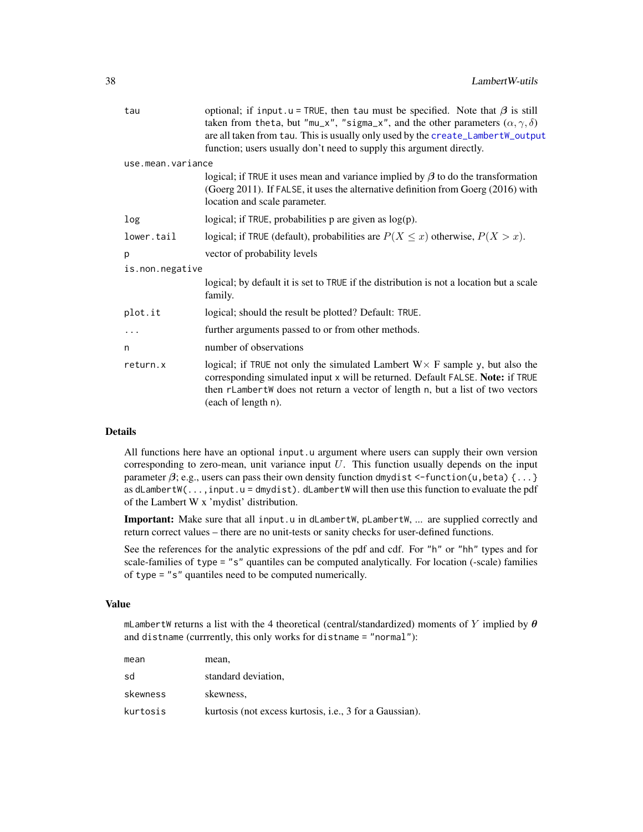<span id="page-37-0"></span>

| tau               | optional; if input $u = TRUE$ , then tau must be specified. Note that $\beta$ is still<br>taken from theta, but "mu_x", "sigma_x", and the other parameters $(\alpha, \gamma, \delta)$<br>are all taken from tau. This is usually only used by the create_LambertW_output<br>function; users usually don't need to supply this argument directly. |
|-------------------|---------------------------------------------------------------------------------------------------------------------------------------------------------------------------------------------------------------------------------------------------------------------------------------------------------------------------------------------------|
| use.mean.variance |                                                                                                                                                                                                                                                                                                                                                   |
|                   | logical; if TRUE it uses mean and variance implied by $\beta$ to do the transformation<br>(Goerg 2011). If FALSE, it uses the alternative definition from Goerg (2016) with<br>location and scale parameter.                                                                                                                                      |
| log               | logical; if TRUE, probabilities $p$ are given as $log(p)$ .                                                                                                                                                                                                                                                                                       |
| lower.tail        | logical; if TRUE (default), probabilities are $P(X \le x)$ otherwise, $P(X > x)$ .                                                                                                                                                                                                                                                                |
| p                 | vector of probability levels                                                                                                                                                                                                                                                                                                                      |
| is.non.negative   |                                                                                                                                                                                                                                                                                                                                                   |
|                   | logical; by default it is set to TRUE if the distribution is not a location but a scale<br>family.                                                                                                                                                                                                                                                |
| plot.it           | logical; should the result be plotted? Default: TRUE.                                                                                                                                                                                                                                                                                             |
| .                 | further arguments passed to or from other methods.                                                                                                                                                                                                                                                                                                |
| n                 | number of observations                                                                                                                                                                                                                                                                                                                            |
| return.x          | logical; if TRUE not only the simulated Lambert $W \times F$ sample y, but also the<br>corresponding simulated input x will be returned. Default FALSE. Note: if TRUE<br>then rLambertW does not return a vector of length n, but a list of two vectors<br>(each of length n).                                                                    |

#### Details

All functions here have an optional input.u argument where users can supply their own version corresponding to zero-mean, unit variance input  $U$ . This function usually depends on the input parameter  $\beta$ ; e.g., users can pass their own density function dmydist <-function(u, beta) {...} as dLambertW(...,input.u = dmydist). dLambertW will then use this function to evaluate the pdf of the Lambert W x 'mydist' distribution.

Important: Make sure that all input.u in dLambertW, pLambertW, ... are supplied correctly and return correct values – there are no unit-tests or sanity checks for user-defined functions.

See the references for the analytic expressions of the pdf and cdf. For "h" or "hh" types and for scale-families of type = "s" quantiles can be computed analytically. For location (-scale) families of type = "s" quantiles need to be computed numerically.

#### Value

mLambertW returns a list with the 4 theoretical (central/standardized) moments of Y implied by  $\theta$ and distname (currrently, this only works for distname = "normal"):

| mean     | mean,                                                   |
|----------|---------------------------------------------------------|
| sd       | standard deviation,                                     |
| skewness | skewness,                                               |
| kurtosis | kurtosis (not excess kurtosis, i.e., 3 for a Gaussian). |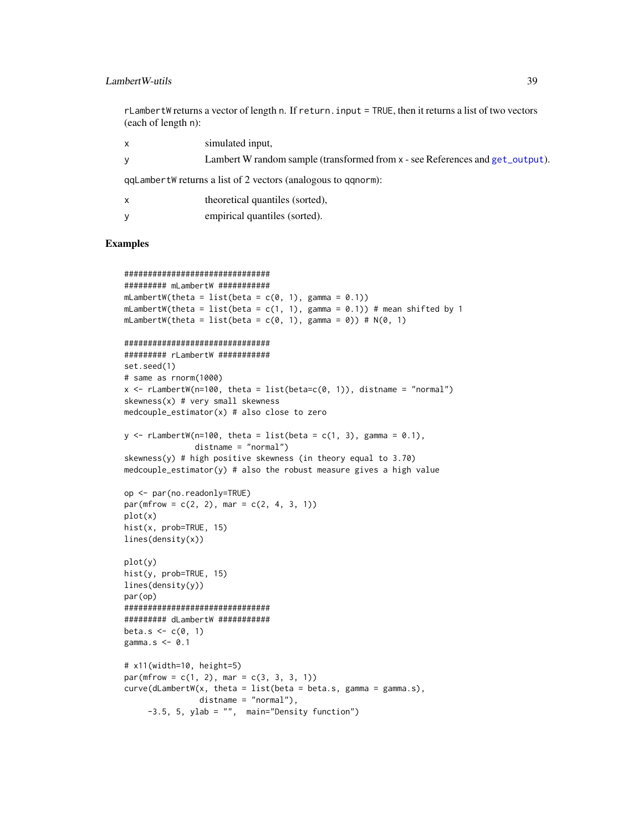#### <span id="page-38-0"></span>LambertW-utils 39

rLambertW returns a vector of length n. If return.input = TRUE, then it returns a list of two vectors (each of length n):

| X | simulated input, |  |
|---|------------------|--|
|---|------------------|--|

y Lambert W random sample (transformed from x - see References and [get\\_output](#page-24-1)). qqLambertW returns a list of 2 vectors (analogous to qqnorm):

| X | theoretical quantiles (sorted), |
|---|---------------------------------|
| У | empirical quantiles (sorted).   |

```
###############################
######### mLambertW ###########
mLambertW(theta = list(beta = c(\emptyset, 1), gamma = \emptyset.1))
mLambertW(theta = list(beta = c(1, 1), gamma = 0.1)) # mean shifted by 1
mLambertW(theta = list(beta = c(\theta, 1), gamma = \theta)) # N(\theta, 1)
###############################
######### rLambertW ###########
set.seed(1)
# same as rnorm(1000)
x \le rLambertW(n=100, theta = list(beta=c(0, 1)), distname = "normal")
skewness(x) # very small skewness
medcouple_estimator(x) # also close to zero
y \le -rLambertW(n=100, theta = list(beta = c(1, 3), gamma = 0.1),
               distname = "normal")
skewness(y) # high positive skewness (in theory equal to 3.70)
medcouple_estimator(y) # also the robust measure gives a high value
op <- par(no.readonly=TRUE)
par(mfrow = c(2, 2), mar = c(2, 4, 3, 1))plot(x)
hist(x, prob=TRUE, 15)
lines(density(x))
plot(y)
hist(y, prob=TRUE, 15)
lines(density(y))
par(op)
###############################
######### dLambertW ###########
beta.s \leq -c(0, 1)gamma.s <- 0.1
# x11(width=10, height=5)
par(mfrow = c(1, 2), mar = c(3, 3, 3, 1))curve(dLambertW(x, theta = list(beta = beta.s, gamma = gamma.s),distname = "normal"),
     -3.5, 5, ylab = "", main="Density function")
```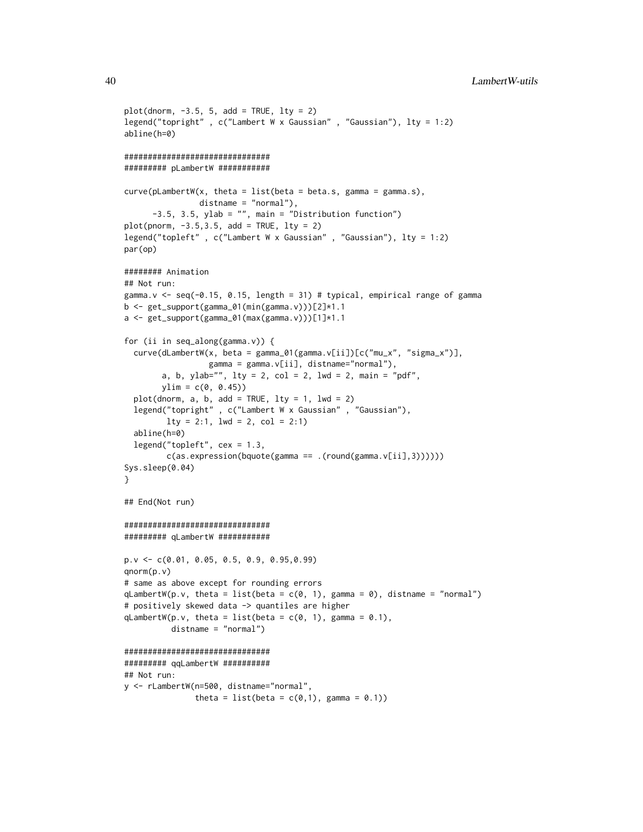```
plot(dnorm, -3.5, 5, add = TRUE, lty = 2)legend("topright" , c("Lambert W x Gaussian" , "Gaussian"), lty = 1:2)
abline(h=0)
###############################
######### pLambertW ###########
curve(plambertW(x, theta = list(beta = beta.s, gamma = gamma.s),distname = "normal"),
      -3.5, 3.5, ylab = "", main = "Distribution function")
plot(pnorm, -3.5, 3.5, add = TRUE, lty = 2)legend("topleft" , c("Lambert W x Gaussian" , "Gaussian"), lty = 1:2)
par(op)
######## Animation
## Not run:
gamma.v <- seq(-0.15, 0.15, length = 31) # typical, empirical range of gamma
b <- get_support(gamma_01(min(gamma.v)))[2]*1.1
a <- get_support(gamma_01(max(gamma.v)))[1]*1.1
for (ii in seq_along(gamma.v)) {
  curve(dLambertW(x, beta = gamma_01(gamma.v[ii])[c("mu_x", "sigma_x")],
                  gamma = gamma.v[ii], distname="normal"),
        a, b, ylab="", lty = 2, col = 2, lwd = 2, main = "pdf",
        ylim = c(0, 0.45)plot(dnorm, a, b, add = TRUE, lty = 1, lwd = 2)legend("topright" , c("Lambert W x Gaussian" , "Gaussian"),
        lty = 2:1, lwd = 2, col = 2:1)
  abline(h=0)
  legend("topleft", cex = 1.3,
        c(as.expression(bquote(gamma == .(round(gamma.v[ii],3))))))
Sys.sleep(0.04)
}
## End(Not run)
###############################
######### qLambertW ###########
p.v <- c(0.01, 0.05, 0.5, 0.9, 0.95,0.99)
qnorm(p.v)
# same as above except for rounding errors
qlambertW(p.v, theta = list(beta = c(0, 1), gamma = 0), distname = "normal")# positively skewed data -> quantiles are higher
qLambertW(p.v, theta = list(beta = c(0, 1), gamma = 0.1),
          distname = "normal")
###############################
######### qqLambertW ##########
## Not run:
y <- rLambertW(n=500, distname="normal",
               theta = list(beta = c(0,1), gamma = 0.1))
```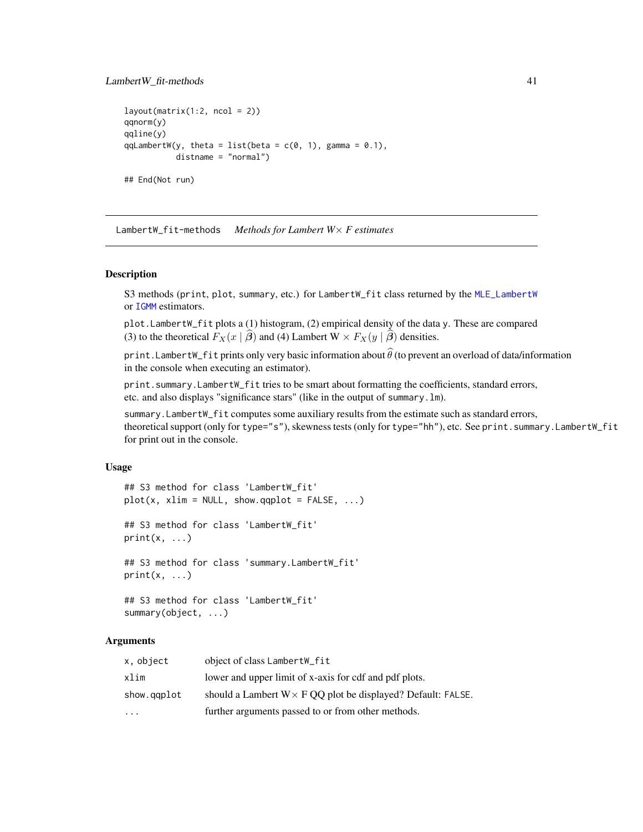#### <span id="page-40-0"></span>LambertW\_fit-methods 41

```
layout(matrix(1:2, ncol = 2))qqnorm(y)
qqline(y)
qqLambertW(y, theta = list(beta = c(0, 1), gamma = 0.1),
           distname = "normal")
## End(Not run)
```
LambertW\_fit-methods *Methods for Lambert W*× *F estimates*

#### <span id="page-40-1"></span>Description

S3 methods (print, plot, summary, etc.) for LambertW\_fit class returned by the [MLE\\_LambertW](#page-48-1) or [IGMM](#page-27-1) estimators.

plot.LambertW\_fit plots a (1) histogram, (2) empirical density of the data y. These are compared (3) to the theoretical  $F_X(x | \hat{\boldsymbol{\beta}})$  and (4) Lambert  $W \times F_X(y | \hat{\boldsymbol{\beta}})$  densities.

print. LambertW\_fit prints only very basic information about  $\hat{\theta}$  (to prevent an overload of data/information in the console when executing an estimator).

print.summary.LambertW\_fit tries to be smart about formatting the coefficients, standard errors, etc. and also displays "significance stars" (like in the output of summary.lm).

summary.LambertW\_fit computes some auxiliary results from the estimate such as standard errors, theoretical support (only for type="s"), skewness tests (only for type="hh"), etc. See print.summary.LambertW\_fit for print out in the console.

#### Usage

```
## S3 method for class 'LambertW_fit'
plot(x, xlim = NULL, show.qqplot = FALSE, ...)## S3 method for class 'LambertW_fit'
print(x, \ldots)## S3 method for class 'summary.LambertW_fit'
print(x, \ldots)## S3 method for class 'LambertW_fit'
summary(object, ...)
```
#### Arguments

| x, object   | object of class LambertW_fit                                       |
|-------------|--------------------------------------------------------------------|
| xlim        | lower and upper limit of x-axis for cdf and pdf plots.             |
| show.gaplot | should a Lambert $W \times FQQ$ plot be displayed? Default: FALSE. |
| $\ddotsc$   | further arguments passed to or from other methods.                 |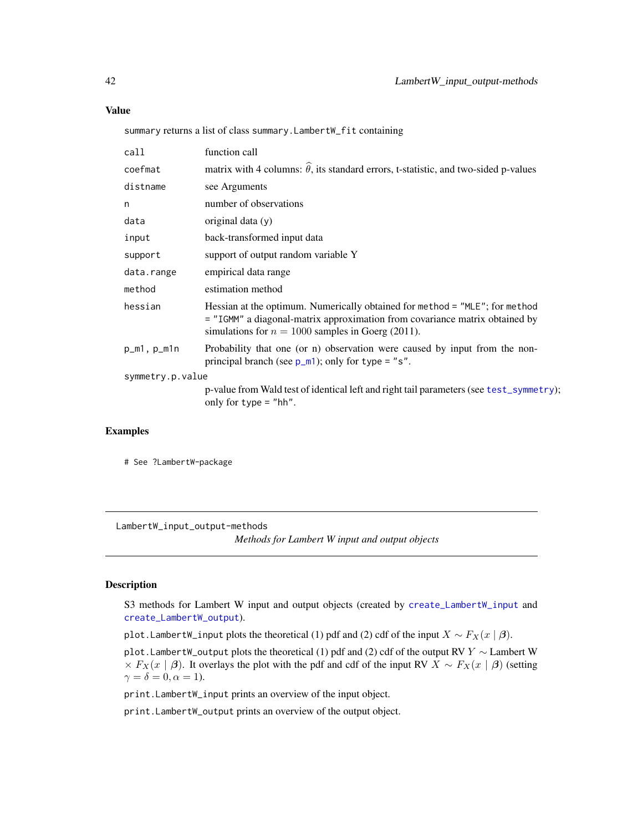<span id="page-41-0"></span>summary returns a list of class summary.LambertW\_fit containing

| call             | function call                                                                                                                                                                                                     |  |
|------------------|-------------------------------------------------------------------------------------------------------------------------------------------------------------------------------------------------------------------|--|
| coefmat          | matrix with 4 columns: $\hat{\theta}$ , its standard errors, t-statistic, and two-sided p-values                                                                                                                  |  |
| distname         | see Arguments                                                                                                                                                                                                     |  |
| n                | number of observations                                                                                                                                                                                            |  |
| data             | original data (y)                                                                                                                                                                                                 |  |
| input            | back-transformed input data                                                                                                                                                                                       |  |
| support          | support of output random variable Y                                                                                                                                                                               |  |
| data.range       | empirical data range                                                                                                                                                                                              |  |
| method           | estimation method                                                                                                                                                                                                 |  |
| hessian          | Hessian at the optimum. Numerically obtained for method = "MLE"; for method<br>= "IGMM" a diagonal-matrix approximation from covariance matrix obtained by<br>simulations for $n = 1000$ samples in Goerg (2011). |  |
| $p_m1$ , $p_m1n$ | Probability that one (or n) observation were caused by input from the non-<br>principal branch (see $p_m$ 1); only for type = "s".                                                                                |  |
| symmetry.p.value |                                                                                                                                                                                                                   |  |
|                  | p-value from Wald test of identical left and right tail parameters (see test_symmetry);<br>only for type $=$ "hh".                                                                                                |  |

#### Examples

# See ?LambertW-package

LambertW\_input\_output-methods

*Methods for Lambert W input and output objects*

#### Description

S3 methods for Lambert W input and output objects (created by [create\\_LambertW\\_input](#page-31-1) and [create\\_LambertW\\_output](#page-31-1)).

plot.LambertW\_input plots the theoretical (1) pdf and (2) cdf of the input  $X \sim F_X(x \mid \boldsymbol{\beta})$ .

plot.LambertW\_output plots the theoretical (1) pdf and (2) cdf of the output RV Y ∼ Lambert W  $\times F_X(x \mid \boldsymbol{\beta})$ . It overlays the plot with the pdf and cdf of the input RV  $X \sim F_X(x \mid \boldsymbol{\beta})$  (setting  $\gamma = \delta = 0, \alpha = 1$ ).

print.LambertW\_input prints an overview of the input object.

print.LambertW\_output prints an overview of the output object.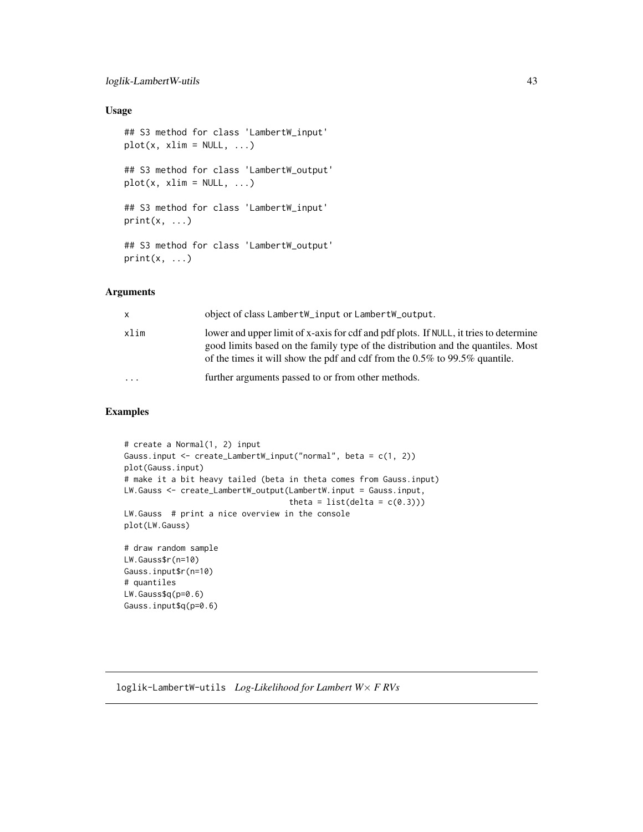#### <span id="page-42-0"></span>loglik-LambertW-utils 43

#### Usage

```
## S3 method for class 'LambertW_input'
plot(x, xlim = NULL, ...)## S3 method for class 'LambertW_output'
plot(x, xlim = NULL, ...)## S3 method for class 'LambertW_input'
print(x, \ldots)## S3 method for class 'LambertW_output'
print(x, \ldots)
```
#### Arguments

| X         | object of class LambertW_input or LambertW_output.                                                                                                                                                                                                         |
|-----------|------------------------------------------------------------------------------------------------------------------------------------------------------------------------------------------------------------------------------------------------------------|
| xlim      | lower and upper limit of x-axis for cdf and pdf plots. If NULL, it tries to determine<br>good limits based on the family type of the distribution and the quantiles. Most<br>of the times it will show the pdf and cdf from the $0.5\%$ to 99.5% quantile. |
| $\ddotsc$ | further arguments passed to or from other methods.                                                                                                                                                                                                         |

#### Examples

```
# create a Normal(1, 2) input
Gauss.input <- create_LambertW_input("normal", beta = c(1, 2))
plot(Gauss.input)
# make it a bit heavy tailed (beta in theta comes from Gauss.input)
LW.Gauss <- create_LambertW_output(LambertW.input = Gauss.input,
                                   theta = list(detta = c(0.3)))LW.Gauss # print a nice overview in the console
plot(LW.Gauss)
# draw random sample
LW.Gauss$r(n=10)
Gauss.input$r(n=10)
# quantiles
LW.Gauss$q(p=0.6)
Gauss.input$q(p=0.6)
```
loglik-LambertW-utils *Log-Likelihood for Lambert W*× *F RVs*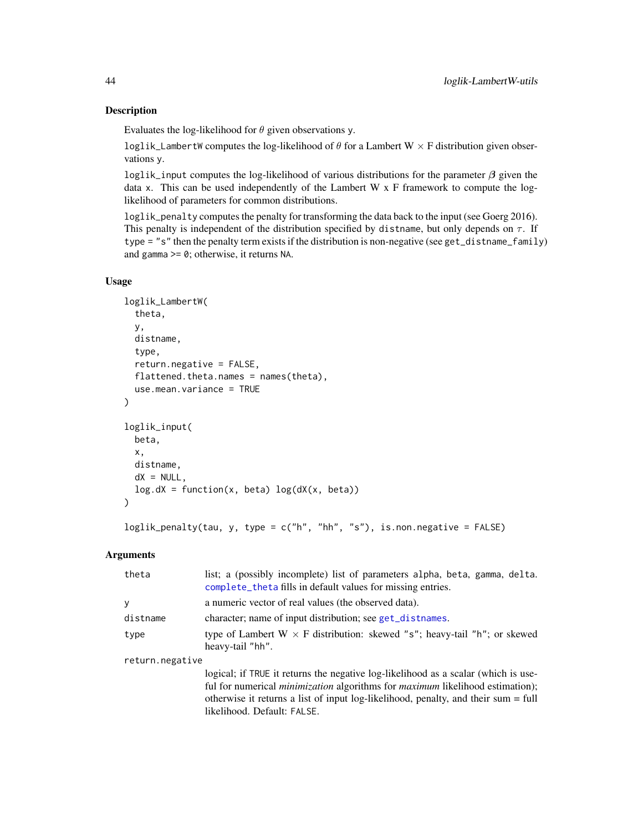Evaluates the log-likelihood for  $\theta$  given observations y.

loglik\_LambertW computes the log-likelihood of  $\theta$  for a Lambert W  $\times$  F distribution given observations y.

loglik\_input computes the log-likelihood of various distributions for the parameter  $\beta$  given the data x. This can be used independently of the Lambert W x F framework to compute the loglikelihood of parameters for common distributions.

loglik\_penalty computes the penalty for transforming the data back to the input (see Goerg 2016). This penalty is independent of the distribution specified by distname, but only depends on  $\tau$ . If type = "s" then the penalty term exists if the distribution is non-negative (see get\_distname\_family) and gamma >= 0; otherwise, it returns NA.

#### Usage

```
loglik_LambertW(
  theta,
 y,
 distname,
  type,
  return.negative = FALSE,
 flattened.theta.names = names(theta),
 use.mean.variance = TRUE
)
loglik_input(
 beta,
 x,
 distname,
  dX = NULL,log.dX = function(x, beta) log(dX(x, beta)))
```
 $loglik\_penalty(tau, y, type = c("h", "hh", "s"), is non-negative = FALSE)$ 

#### **Arguments**

| theta           | list; a (possibly incomplete) list of parameters alpha, beta, gamma, delta.<br>complete_theta fills in default values for missing entries.                                                                                                                                                             |  |
|-----------------|--------------------------------------------------------------------------------------------------------------------------------------------------------------------------------------------------------------------------------------------------------------------------------------------------------|--|
| y               | a numeric vector of real values (the observed data).                                                                                                                                                                                                                                                   |  |
| distname        | character; name of input distribution; see get_distnames.                                                                                                                                                                                                                                              |  |
| type            | type of Lambert $W \times F$ distribution: skewed "s"; heavy-tail "h"; or skewed<br>heavy-tail "hh".                                                                                                                                                                                                   |  |
| return.negative |                                                                                                                                                                                                                                                                                                        |  |
|                 | logical; if TRUE it returns the negative log-likelihood as a scalar (which is use-<br>ful for numerical <i>minimization</i> algorithms for <i>maximum</i> likelihood estimation);<br>otherwise it returns a list of input log-likelihood, penalty, and their sum = full<br>likelihood. Default: FALSE. |  |

<span id="page-43-0"></span>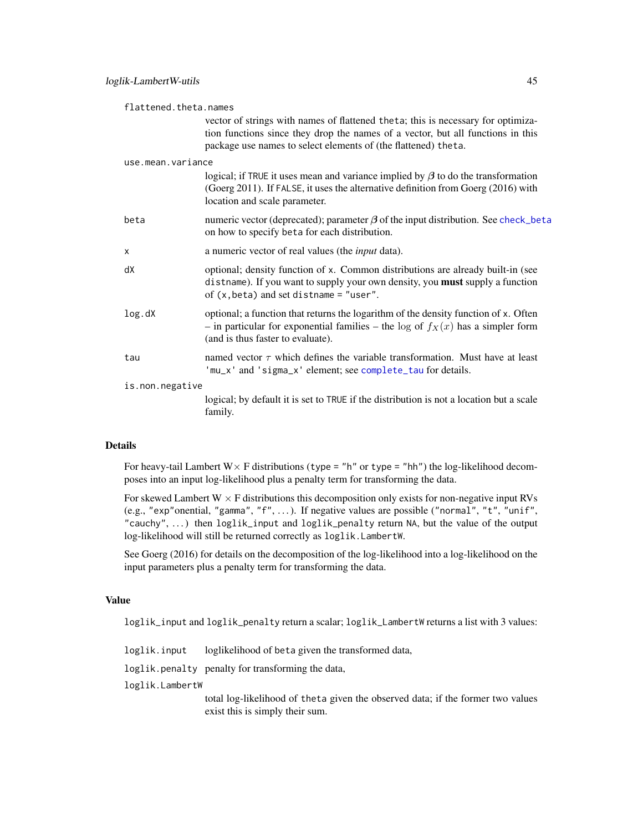<span id="page-44-0"></span>flattened.theta.names vector of strings with names of flattened theta; this is necessary for optimization functions since they drop the names of a vector, but all functions in this package use names to select elements of (the flattened) theta. use.mean.variance logical; if TRUE it uses mean and variance implied by  $\beta$  to do the transformation (Goerg 2011). If FALSE, it uses the alternative definition from Goerg (2016) with location and scale parameter. beta numeric vector (deprecated); parameter  $\beta$  of the input distribution. See [check\\_beta](#page-5-1) on how to specify beta for each distribution. x a numeric vector of real values (the *input* data). dX optional; density function of x. Common distributions are already built-in (see distname). If you want to supply your own density, you must supply a function of (x,beta) and set distname = "user". log.dX optional; a function that returns the logarithm of the density function of x. Often – in particular for exponential families – the log of  $f_X(x)$  has a simpler form (and is thus faster to evaluate). tau named vector  $\tau$  which defines the variable transformation. Must have at least 'mu\_x' and 'sigma\_x' element; see [complete\\_tau](#page-52-2) for details. is.non.negative logical; by default it is set to TRUE if the distribution is not a location but a scale family.

#### Details

For heavy-tail Lambert  $W \times F$  distributions (type = "h" or type = "hh") the log-likelihood decomposes into an input log-likelihood plus a penalty term for transforming the data.

For skewed Lambert  $W \times F$  distributions this decomposition only exists for non-negative input RVs (e.g., "exp"onential, "gamma", "f", . . . ). If negative values are possible ("normal", "t", "unif", "cauchy", ...) then  $loglik$  input and  $loglik$  penalty return NA, but the value of the output log-likelihood will still be returned correctly as loglik.LambertW.

See Goerg (2016) for details on the decomposition of the log-likelihood into a log-likelihood on the input parameters plus a penalty term for transforming the data.

#### Value

loglik\_input and loglik\_penalty return a scalar; loglik\_LambertW returns a list with 3 values:

- loglik.input loglikelihood of beta given the transformed data,
- loglik.penalty penalty for transforming the data,

loglik.LambertW

total log-likelihood of theta given the observed data; if the former two values exist this is simply their sum.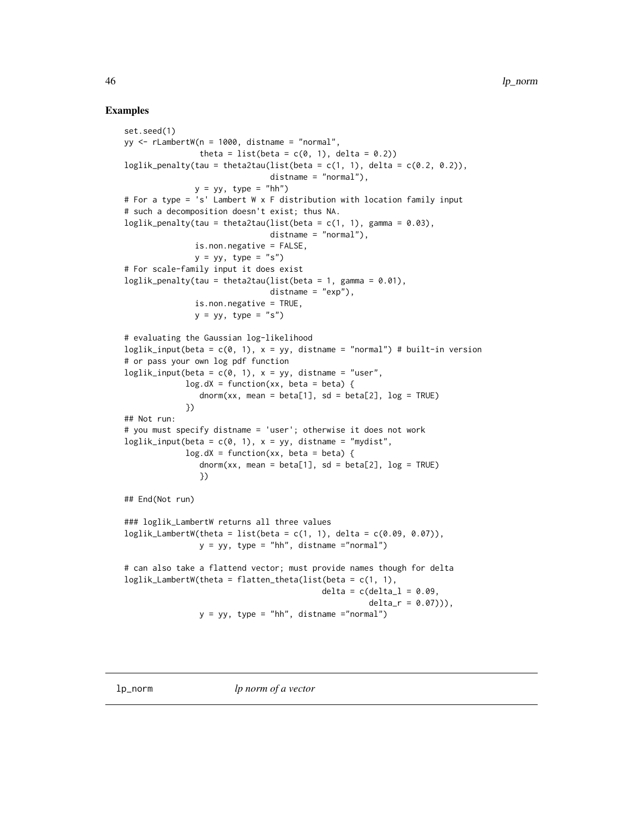#### Examples

```
set.seed(1)
yy \le - rLambertW(n = 1000, distname = "normal",
                theta = list(beta = c(0, 1), delta = 0.2))
loglik_penalty(tau = theta2tau(list(beta = c(1, 1), delta = c(0.2, 0.2)),
                               distname = "normal"),
               y = yy, type = "hh")# For a type = 's' Lambert W x F distribution with location family input
# such a decomposition doesn't exist; thus NA.
loglik_penalty(tau = theta2tau(list(beta = c(1, 1), gamma = 0.03),
                               distname = "normal"),
               is.non.negative = FALSE,
               y = yy, type = "s")# For scale-family input it does exist
loglik\_penalty(tau = theta2tau(list(beta = 1, gamma = 0.01),distname = "exp"),
               is.non.negative = TRUE,
               y = yy, type = "s")# evaluating the Gaussian log-likelihood
loglik_input(beta = c(\emptyset, 1), x = yy, distname = "normal") # built-in version
# or pass your own log pdf function
loglik\_input(beta = c(0, 1), x = yy, distance = "user",log.dX = function(xx, beta = beta) {
                dnorm(xx, mean = beta[1], sd = beta[2], log = TRUE)
             })
## Not run:
# you must specify distname = 'user'; otherwise it does not work
loglik\_input(beta = c(0, 1), x = yy, distance = "mydist",log.dX = function(xx, beta = beta) {
                dnorm(xx, mean = beta[1], sd = beta[2], log = TRUE)
                })
## End(Not run)
### loglik_LambertW returns all three values
loglik_LambertW(theta = list(beta = c(1, 1), delta = c(0.09, 0.07)),
                y = yy, type = "hh", distname ="normal")
# can also take a flattend vector; must provide names though for delta
loglik_LambertW(theta = flatten_theta(list(beta = c(1, 1),
                                          delta = c(delta_1 = 0.09,delta_r = 0.07)),
                y = yy, type = "hh", distname ="normal")
```
lp\_norm *lp norm of a vector*

<span id="page-45-0"></span>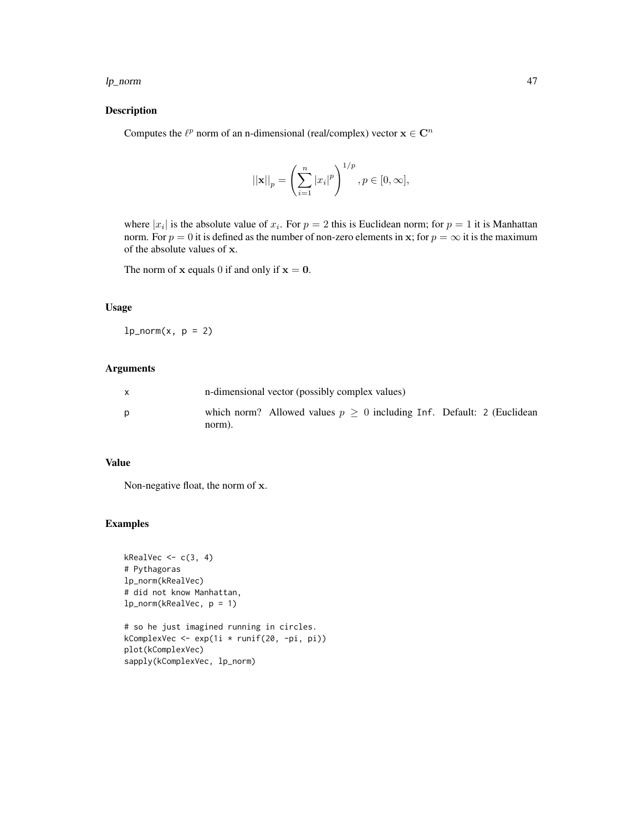#### lp\_norm and the contract of the contract of the contract of the contract of the contract of the contract of the contract of the contract of the contract of the contract of the contract of the contract of the contract of th

#### Description

Computes the  $\ell^p$  norm of an n-dimensional (real/complex) vector  $\mathbf{x} \in \mathbb{C}^n$ 

$$
||\mathbf{x}||_p = \left(\sum_{i=1}^n |x_i|^p\right)^{1/p}, p \in [0, \infty],
$$

where  $|x_i|$  is the absolute value of  $x_i$ . For  $p = 2$  this is Euclidean norm; for  $p = 1$  it is Manhattan norm. For  $p = 0$  it is defined as the number of non-zero elements in x; for  $p = \infty$  it is the maximum of the absolute values of x.

The norm of  $x$  equals 0 if and only if  $x = 0$ .

#### Usage

 $lp\_norm(x, p = 2)$ 

#### Arguments

|   |        | n-dimensional vector (possibly complex values)                             |  |
|---|--------|----------------------------------------------------------------------------|--|
| D | norm). | which norm? Allowed values $p \geq 0$ including Inf. Default: 2 (Euclidean |  |

#### Value

Non-negative float, the norm of x.

```
kRealVec \leq c(3, 4)
# Pythagoras
lp_norm(kRealVec)
# did not know Manhattan,
lp_norm(kRealVec, p = 1)
```

```
# so he just imagined running in circles.
kComplexVec <- exp(1i * runif(20, -pi, pi))
plot(kComplexVec)
sapply(kComplexVec, lp_norm)
```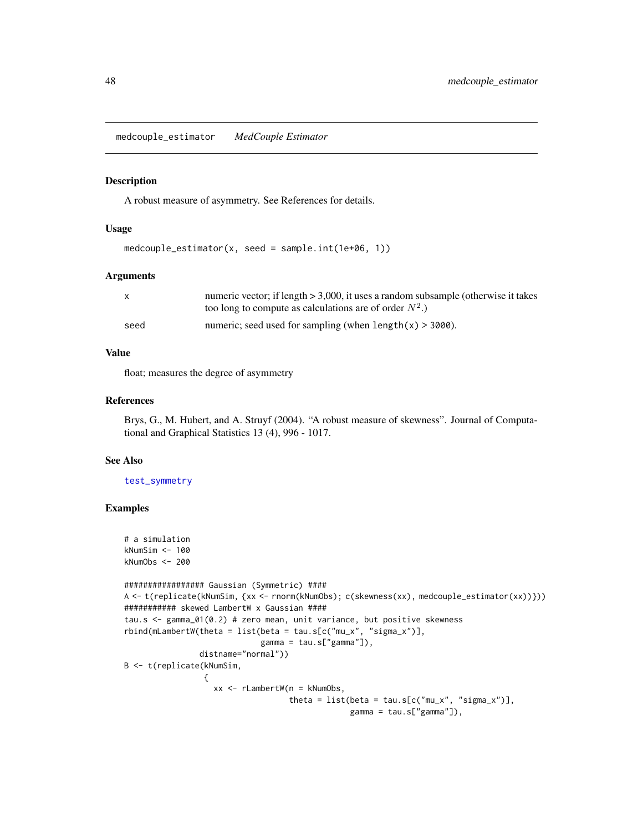<span id="page-47-1"></span><span id="page-47-0"></span>medcouple\_estimator *MedCouple Estimator*

#### Description

A robust measure of asymmetry. See References for details.

#### Usage

```
medcouple_estimator(x, seed = sample.int(1e+06, 1))
```
#### Arguments

| X    | numeric vector; if length $> 3,000$ , it uses a random subsample (otherwise it takes |
|------|--------------------------------------------------------------------------------------|
|      | too long to compute as calculations are of order $N^2$ .)                            |
| seed | numeric; seed used for sampling (when $length(x) > 3000$ ).                          |

#### Value

float; measures the degree of asymmetry

#### References

Brys, G., M. Hubert, and A. Struyf (2004). "A robust measure of skewness". Journal of Computational and Graphical Statistics 13 (4), 996 - 1017.

#### See Also

[test\\_symmetry](#page-55-1)

```
# a simulation
kNumSim <- 100
kNumObs <- 200
################# Gaussian (Symmetric) ####
A <- t(replicate(kNumSim, {xx <- rnorm(kNumObs); c(skewness(xx), medcouple_estimator(xx))}))
########### skewed LambertW x Gaussian ####
tau.s <- gamma_01(0.2) # zero mean, unit variance, but positive skewness
rbind(mLambertW(theta = list(beta = tau.s[c("mu_x", "sigma_x")],
                             gamma = tau.s['gamma"]),
                distname="normal"))
B <- t(replicate(kNumSim,
                 {
                   xx \leq -rLambertW(n = kNumObs,
                                    theta = list(beta = tau.s[c("mu_x", "sigma_x x")),
                                                 gamma = tau.s['gamma"]),
```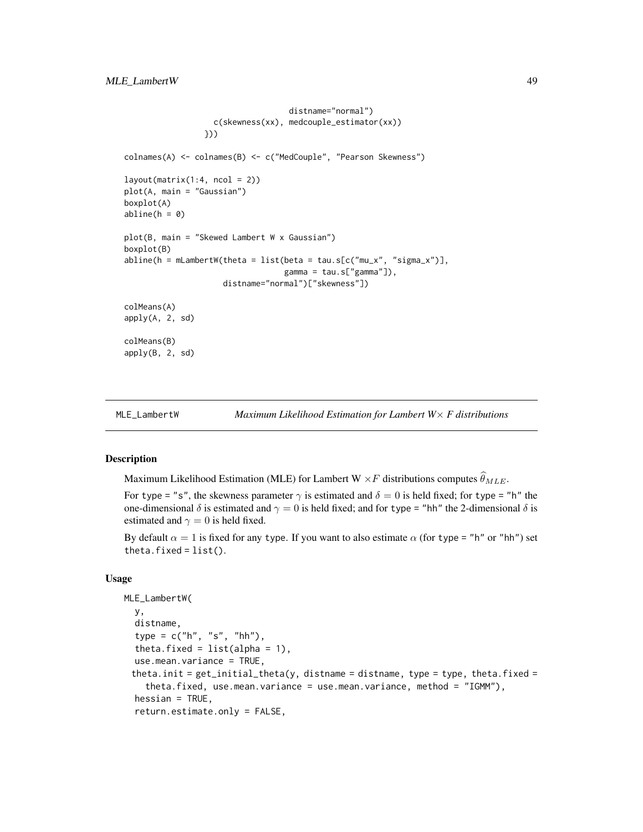```
distname="normal")
                   c(skewness(xx), medcouple_estimator(xx))
                 }))
colnames(A) <- colnames(B) <- c("MedCouple", "Pearson Skewness")
layout(matrix(1:4, ncol = 2))plot(A, main = "Gaussian")
boxplot(A)
abline(h = 0)plot(B, main = "Skewed Lambert W x Gaussian")
boxplot(B)
abline(h = mLambertW(theta = list(beta = tau.s[c("mu_x", "sigma_x"))],gamma = tau.s['gamma"]),
                     distname="normal")["skewness"])
colMeans(A)
apply(A, 2, sd)
colMeans(B)
apply(B, 2, sd)
```
MLE\_LambertW *Maximum Likelihood Estimation for Lambert W*× *F distributions*

#### Description

Maximum Likelihood Estimation (MLE) for Lambert W  $\times F$  distributions computes  $\hat{\theta}_{MLE}$ .

For type = "s", the skewness parameter  $\gamma$  is estimated and  $\delta = 0$  is held fixed; for type = "h" the one-dimensional  $\delta$  is estimated and  $\gamma = 0$  is held fixed; and for type = "hh" the 2-dimensional  $\delta$  is estimated and  $\gamma = 0$  is held fixed.

By default  $\alpha = 1$  is fixed for any type. If you want to also estimate  $\alpha$  (for type = "h" or "hh") set theta.fixed =  $list()$ .

#### Usage

```
MLE_LambertW(
  y,
  distname,
  type = c("h", "s", "hh"),
  theta.fixed = list(alpha = 1),
  use.mean.variance = TRUE,
 theta.init = get\_initial\_theta(y, distance = distance, type = type, theta, fixed =theta.fixed, use.mean.variance = use.mean.variance, method = "IGMM"),
  hessian = TRUE,
  return.estimate.only = FALSE,
```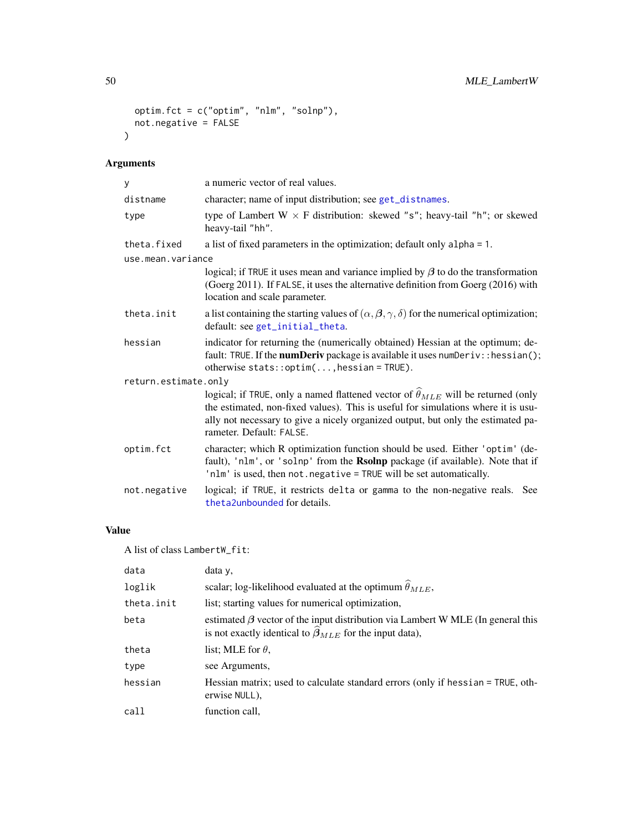```
optim.fct = c("optim", "nlm", "solnp"),
  not.negative = FALSE
\mathcal{L}
```
### Arguments

| У                    | a numeric vector of real values.                                                                                                                                                                                                                                                                    |  |
|----------------------|-----------------------------------------------------------------------------------------------------------------------------------------------------------------------------------------------------------------------------------------------------------------------------------------------------|--|
| distname             | character; name of input distribution; see get_distnames.                                                                                                                                                                                                                                           |  |
| type                 | type of Lambert $W \times F$ distribution: skewed "s"; heavy-tail "h"; or skewed<br>heavy-tail "hh".                                                                                                                                                                                                |  |
| theta.fixed          | a list of fixed parameters in the optimization; default only alpha = 1.                                                                                                                                                                                                                             |  |
| use.mean.variance    |                                                                                                                                                                                                                                                                                                     |  |
|                      | logical; if TRUE it uses mean and variance implied by $\beta$ to do the transformation<br>(Goerg 2011). If FALSE, it uses the alternative definition from Goerg (2016) with<br>location and scale parameter.                                                                                        |  |
| theta.init           | a list containing the starting values of $(\alpha, \beta, \gamma, \delta)$ for the numerical optimization;<br>default: see get_initial_theta.                                                                                                                                                       |  |
| hessian              | indicator for returning the (numerically obtained) Hessian at the optimum; de-<br>fault: TRUE. If the numDeriv package is available it uses numDeriv:: hessian();<br>otherwise $stats::optim(), hessian = TRUE).$                                                                                   |  |
| return.estimate.only |                                                                                                                                                                                                                                                                                                     |  |
|                      | logical; if TRUE, only a named flattened vector of $\hat{\theta}_{MLE}$ will be returned (only<br>the estimated, non-fixed values). This is useful for simulations where it is usu-<br>ally not necessary to give a nicely organized output, but only the estimated pa-<br>rameter. Default: FALSE. |  |
| optim.fct            | character; which R optimization function should be used. Either 'optim' (de-<br>fault), 'nlm', or 'solnp' from the Rsolnp package (if available). Note that if<br>'nlm' is used, then not . negative = TRUE will be set automatically.                                                              |  |
| not.negative         | logical; if TRUE, it restricts delta or gamma to the non-negative reals. See<br>theta2unbounded for details.                                                                                                                                                                                        |  |

#### Value

A list of class LambertW\_fit:

| data       | data y,                                                                                                                                                 |
|------------|---------------------------------------------------------------------------------------------------------------------------------------------------------|
| loglik     | scalar; log-likelihood evaluated at the optimum $\theta_{MLE}$ ,                                                                                        |
| theta.init | list; starting values for numerical optimization,                                                                                                       |
| beta       | estimated $\beta$ vector of the input distribution via Lambert W MLE (In general this<br>is not exactly identical to $\beta_{MLE}$ for the input data), |
| theta      | list; MLE for $\theta$ ,                                                                                                                                |
| type       | see Arguments,                                                                                                                                          |
| hessian    | Hessian matrix; used to calculate standard errors (only if hessian = TRUE, oth-<br>erwise NULL),                                                        |
| call       | function call.                                                                                                                                          |

<span id="page-49-0"></span>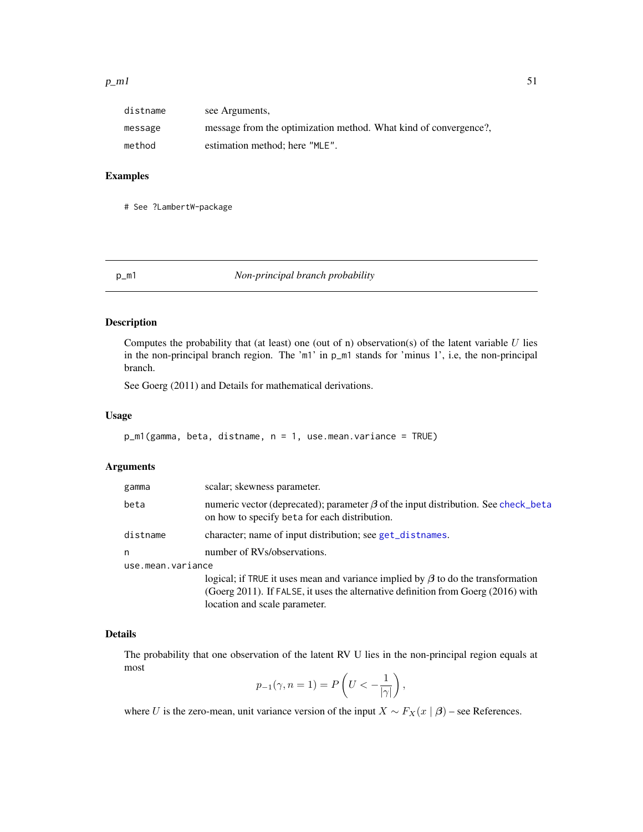<span id="page-50-0"></span>

| distname | see Arguments,                                                   |
|----------|------------------------------------------------------------------|
| message  | message from the optimization method. What kind of convergence?, |
| method   | estimation method: here "MLE".                                   |

#### Examples

# See ?LambertW-package

<span id="page-50-1"></span>

p\_m1 *Non-principal branch probability*

#### Description

Computes the probability that (at least) one (out of n) observation(s) of the latent variable  $U$  lies in the non-principal branch region. The 'm1' in p\_m1 stands for 'minus 1', i.e, the non-principal branch.

See Goerg (2011) and Details for mathematical derivations.

#### Usage

```
p_m1(gamma, beta, distname, n = 1, use.mean.variance = TRUE)
```
#### Arguments

| gamma             | scalar; skewness parameter.                                                                                                                                                                                                                                   |
|-------------------|---------------------------------------------------------------------------------------------------------------------------------------------------------------------------------------------------------------------------------------------------------------|
| beta              | numeric vector (deprecated); parameter $\beta$ of the input distribution. See check_beta<br>on how to specify beta for each distribution.                                                                                                                     |
| distname          | character; name of input distribution; see get_distnames.                                                                                                                                                                                                     |
| n                 | number of RVs/observations.                                                                                                                                                                                                                                   |
| use.mean.variance |                                                                                                                                                                                                                                                               |
|                   | 1 $1 + 1$ $1 + 0$ $1 + 0$ $1 + 1$ $1 + 0$ $1 + 1$ $1 + 0$ $1 + 1$ $1 + 0$ $1 + 1$ $1 + 0$ $1 + 1$ $1 + 0$ $1 + 1$ $1 + 0$ $1 + 1$ $1 + 0$ $1 + 1$ $1 + 0$ $1 + 1$ $1 + 0$ $1 + 1$ $1 + 0$ $1 + 1$ $1 + 0$ $1 + 0$ $1 + 0$ $1 + 0$ $1 + 0$ $1 + 0$ $1 + 0$ $1$ |

logical; if TRUE it uses mean and variance implied by  $\beta$  to do the transformation (Goerg 2011). If FALSE, it uses the alternative definition from Goerg (2016) with location and scale parameter.

#### Details

The probability that one observation of the latent RV U lies in the non-principal region equals at most

$$
p_{-1}(\gamma, n=1) = P\left(U < -\frac{1}{|\gamma|}\right),
$$

where U is the zero-mean, unit variance version of the input  $X \sim F_X(x \mid \beta)$  – see References.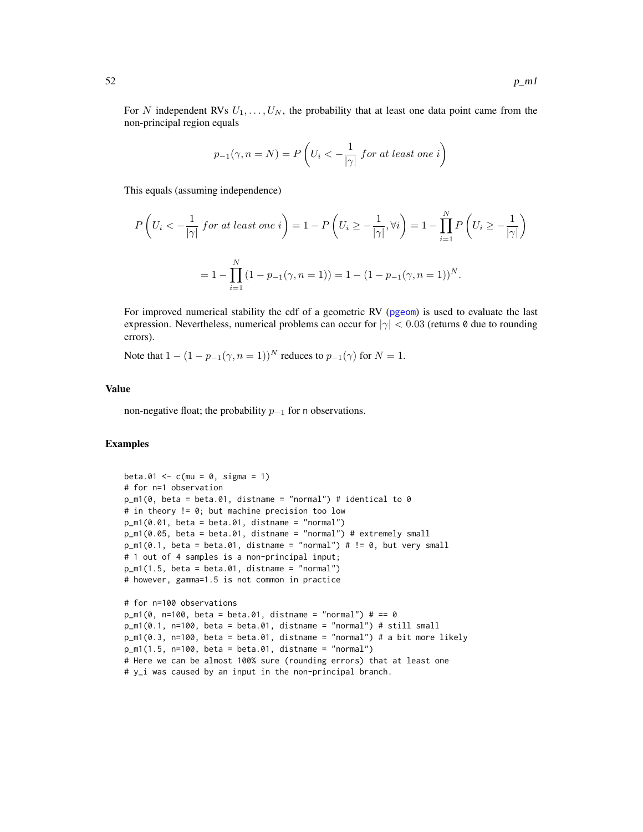<span id="page-51-0"></span>For N independent RVs  $U_1, \ldots, U_N$ , the probability that at least one data point came from the non-principal region equals

$$
p_{-1}(\gamma, n = N) = P\left(U_i < -\frac{1}{|\gamma|} \text{ for at least one } i\right)
$$

This equals (assuming independence)

$$
P\left(U_i < -\frac{1}{|\gamma|} \text{ for at least one } i\right) = 1 - P\left(U_i \ge -\frac{1}{|\gamma|}, \forall i\right) = 1 - \prod_{i=1}^N P\left(U_i \ge -\frac{1}{|\gamma|}\right)
$$
\n
$$
= 1 - \prod_{i=1}^N \left(1 - p_{-1}(\gamma, n = 1)\right) = 1 - \left(1 - p_{-1}(\gamma, n = 1)\right)^N.
$$

For improved numerical stability the cdf of a geometric RV ([pgeom](#page-0-0)) is used to evaluate the last expression. Nevertheless, numerical problems can occur for  $|\gamma| < 0.03$  (returns 0 due to rounding errors).

Note that  $1 - (1 - p_{-1}(\gamma, n = 1))^N$  reduces to  $p_{-1}(\gamma)$  for  $N = 1$ .

#### Value

non-negative float; the probability  $p_{-1}$  for n observations.

```
beta.01 \leq c(mu = 0, sigma = 1)
# for n=1 observation
p_m1(0, beta = beta.01, distance = "normal") # identical to 0# in theory != 0; but machine precision too low
p_m1(0.01, beta = beta.01, distance = "normal")p_m1(0.05, beta = beta.01, distance = "normal") # extremely smallp_m1(0.1, beta = beta.01, distance = "normal") # != 0, but very small# 1 out of 4 samples is a non-principal input;
p_m1(1.5, beta = beta.01, distance = "normal")# however, gamma=1.5 is not common in practice
# for n=100 observations
p_m1(0, n=100, beta = beta.01, distance = "normal") # == 0p_m1(0.1, n=100, beta = beta.01, distance = "normal") # still smallp_m(0.3, n=100, beta = beta.01, distance = "normal") # a bit more likelyp_m1(1.5, n=100, beta = beta.01, distance = "normal")# Here we can be almost 100% sure (rounding errors) that at least one
```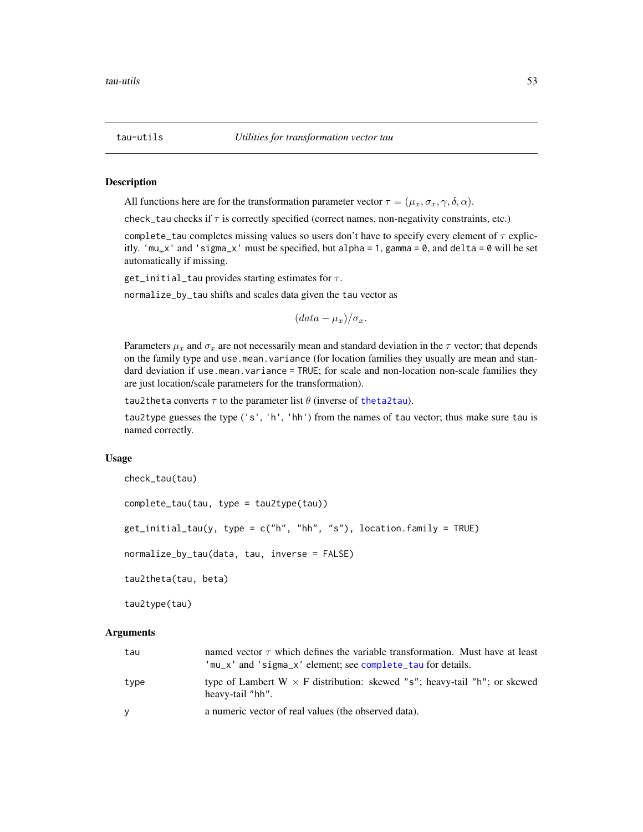<span id="page-52-2"></span><span id="page-52-1"></span><span id="page-52-0"></span>

All functions here are for the transformation parameter vector  $\tau = (\mu_x, \sigma_x, \gamma, \delta, \alpha)$ .

check\_tau checks if  $\tau$  is correctly specified (correct names, non-negativity constraints, etc.)

complete\_tau completes missing values so users don't have to specify every element of  $\tau$  explicitly. 'mu\_x' and 'sigma\_x' must be specified, but alpha = 1, gamma =  $0$ , and delta =  $0$  will be set automatically if missing.

get\_initial\_tau provides starting estimates for  $\tau$ .

normalize\_by\_tau shifts and scales data given the tau vector as

 $(data - \mu_x)/\sigma_x$ .

Parameters  $\mu_x$  and  $\sigma_x$  are not necessarily mean and standard deviation in the  $\tau$  vector; that depends on the family type and use.mean.variance (for location families they usually are mean and standard deviation if use.mean.variance = TRUE; for scale and non-location non-scale families they are just location/scale parameters for the transformation).

tau2theta converts  $\tau$  to the parameter list  $\theta$  (inverse of [theta2tau](#page-56-1)).

tau2type guesses the type ('s', 'h', 'hh') from the names of tau vector; thus make sure tau is named correctly.

#### Usage

```
check_tau(tau)
```

```
complete_tau(tau, type = tau2type(tau))
get\_initial\_tau(y, type = c("h", "hh", "s"), location. family = TRUE)normalize_by_tau(data, tau, inverse = FALSE)
tau2theta(tau, beta)
```
tau2type(tau)

#### **Arguments**

| tau  | named vector $\tau$ which defines the variable transformation. Must have at least<br>'mu_x' and 'sigma_x' element; see complete_tau for details. |
|------|--------------------------------------------------------------------------------------------------------------------------------------------------|
| type | type of Lambert W $\times$ F distribution: skewed "s"; heavy-tail "h"; or skewed<br>heavy-tail "hh".                                             |
| У    | a numeric vector of real values (the observed data).                                                                                             |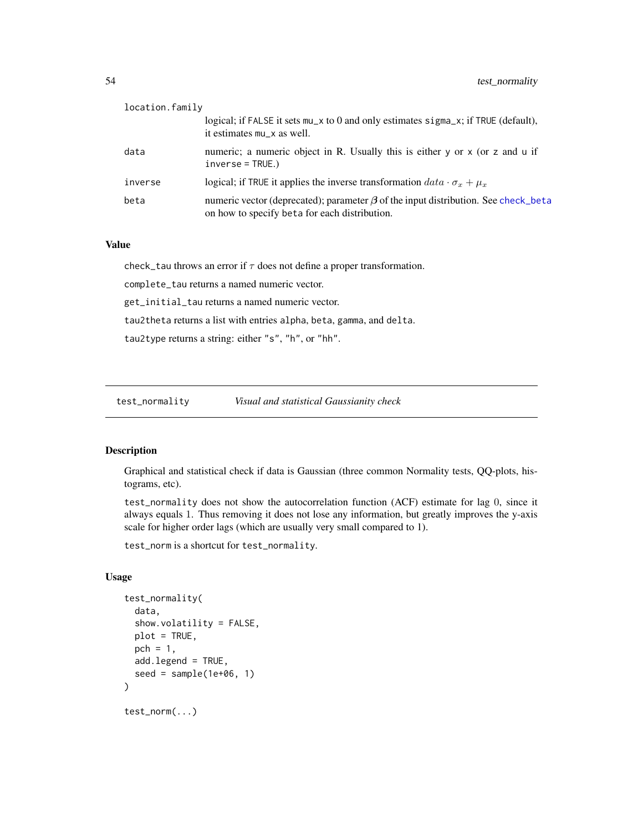<span id="page-53-0"></span>

| location.family |                                                                                                                                           |
|-----------------|-------------------------------------------------------------------------------------------------------------------------------------------|
|                 | logical; if FALSE it sets $mu_x$ to 0 and only estimates sigma $_x$ ; if TRUE (default),<br>it estimates mu_x as well.                    |
| data            | numeric; a numeric object in R. Usually this is either y or x (or z and u if<br>$inverse = TRUE.$ )                                       |
| inverse         | logical; if TRUE it applies the inverse transformation $data \cdot \sigma_x + \mu_x$                                                      |
| beta            | numeric vector (deprecated); parameter $\beta$ of the input distribution. See check_beta<br>on how to specify beta for each distribution. |

#### Value

check\_tau throws an error if  $\tau$  does not define a proper transformation.

complete\_tau returns a named numeric vector.

get\_initial\_tau returns a named numeric vector.

tau2theta returns a list with entries alpha, beta, gamma, and delta.

tau2type returns a string: either "s", "h", or "hh".

test\_normality *Visual and statistical Gaussianity check*

#### Description

Graphical and statistical check if data is Gaussian (three common Normality tests, QQ-plots, histograms, etc).

test\_normality does not show the autocorrelation function (ACF) estimate for lag 0, since it always equals 1. Thus removing it does not lose any information, but greatly improves the y-axis scale for higher order lags (which are usually very small compared to 1).

```
test_norm is a shortcut for test_normality.
```
#### Usage

```
test_normality(
  data,
  show.volatility = FALSE,
 plot = TRUE,
 pch = 1,
 add.legend = TRUE,
  seed = sample(1e+06, 1))
test_norm(...)
```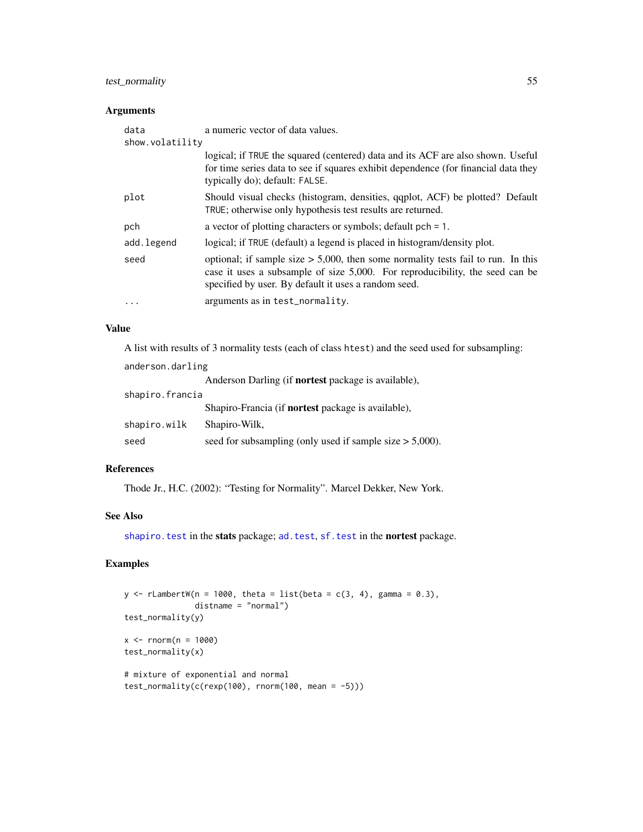#### <span id="page-54-0"></span>test\_normality 55

#### Arguments

| data<br>show.volatility | a numeric vector of data values.                                                                                                                                                                                            |
|-------------------------|-----------------------------------------------------------------------------------------------------------------------------------------------------------------------------------------------------------------------------|
|                         | logical; if TRUE the squared (centered) data and its ACF are also shown. Useful<br>for time series data to see if squares exhibit dependence (for financial data they<br>typically do); default: FALSE.                     |
| plot                    | Should visual checks (histogram, densities, qqplot, ACF) be plotted? Default<br>TRUE; otherwise only hypothesis test results are returned.                                                                                  |
| pch                     | a vector of plotting characters or symbols; default $pch = 1$ .                                                                                                                                                             |
| add.legend              | logical; if TRUE (default) a legend is placed in histogram/density plot.                                                                                                                                                    |
| seed                    | optional; if sample size $> 5,000$ , then some normality tests fail to run. In this<br>case it uses a subsample of size 5,000. For reproducibility, the seed can be<br>specified by user. By default it uses a random seed. |
| .                       | arguments as in test_normality.                                                                                                                                                                                             |
|                         |                                                                                                                                                                                                                             |

#### Value

A list with results of 3 normality tests (each of class htest) and the seed used for subsampling:

| anderson.darling |                                                             |
|------------------|-------------------------------------------------------------|
|                  | Anderson Darling (if <b>nortest</b> package is available),  |
| shapiro.francia  |                                                             |
|                  | Shapiro-Francia (if <b>nortest</b> package is available),   |
| shapiro.wilk     | Shapiro-Wilk,                                               |
| seed             | seed for subsampling (only used if sample size $> 5,000$ ). |

#### References

Thode Jr., H.C. (2002): "Testing for Normality". Marcel Dekker, New York.

#### See Also

[shapiro.test](#page-0-0) in the stats package; [ad.test](#page-0-0), [sf.test](#page-0-0) in the nortest package.

```
y \le rLambertW(n = 1000, theta = list(beta = c(3, 4), gamma = 0.3),
               distname = "normal")
test_normality(y)
x < - rnorm(n = 1000)
test_normality(x)
# mixture of exponential and normal
test_normality(c(rexp(100), rnorm(100, mean = -5)))
```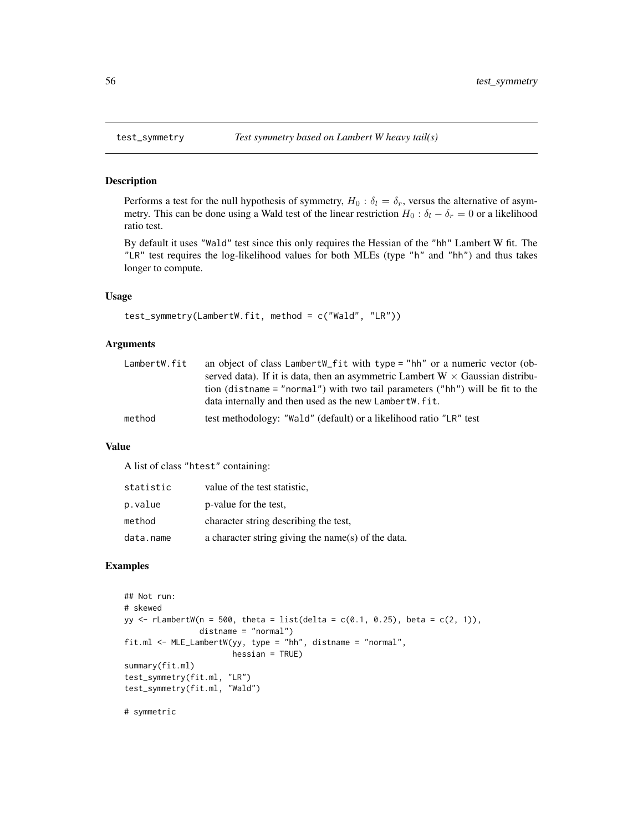<span id="page-55-1"></span><span id="page-55-0"></span>

Performs a test for the null hypothesis of symmetry,  $H_0$ :  $\delta_l = \delta_r$ , versus the alternative of asymmetry. This can be done using a Wald test of the linear restriction  $H_0$ :  $\delta_l - \delta_r = 0$  or a likelihood ratio test.

By default it uses "Wald" test since this only requires the Hessian of the "hh" Lambert W fit. The "LR" test requires the log-likelihood values for both MLEs (type "h" and "hh") and thus takes longer to compute.

#### Usage

```
test_symmetry(LambertW.fit, method = c("Wald", "LR"))
```
#### **Arguments**

| LambertW.fit | an object of class LambertW fit with type = "hh" or a numeric vector (ob-             |
|--------------|---------------------------------------------------------------------------------------|
|              | served data). If it is data, then an asymmetric Lambert $W \times$ Gaussian distribu- |
|              | tion (distname = "normal") with two tail parameters ("hh") will be fit to the         |
|              | data internally and then used as the new LambertW. fit.                               |
| method       | test methodology: "Wald" (default) or a likelihood ratio "LR" test                    |

#### Value

A list of class "htest" containing:

| statistic | value of the test statistic.                       |
|-----------|----------------------------------------------------|
| p.value   | p-value for the test,                              |
| method    | character string describing the test,              |
| data.name | a character string giving the name(s) of the data. |

```
## Not run:
# skewed
yy <- rLambertW(n = 500, theta = list(delta = c(0.1, 0.25), beta = c(2, 1)),
                distname = "normal")
fit.ml \leq MLE_LambertW(yy, type = "hh", distname = "normal",
                       hessian = TRUE)
summary(fit.ml)
test_symmetry(fit.ml, "LR")
test_symmetry(fit.ml, "Wald")
# symmetric
```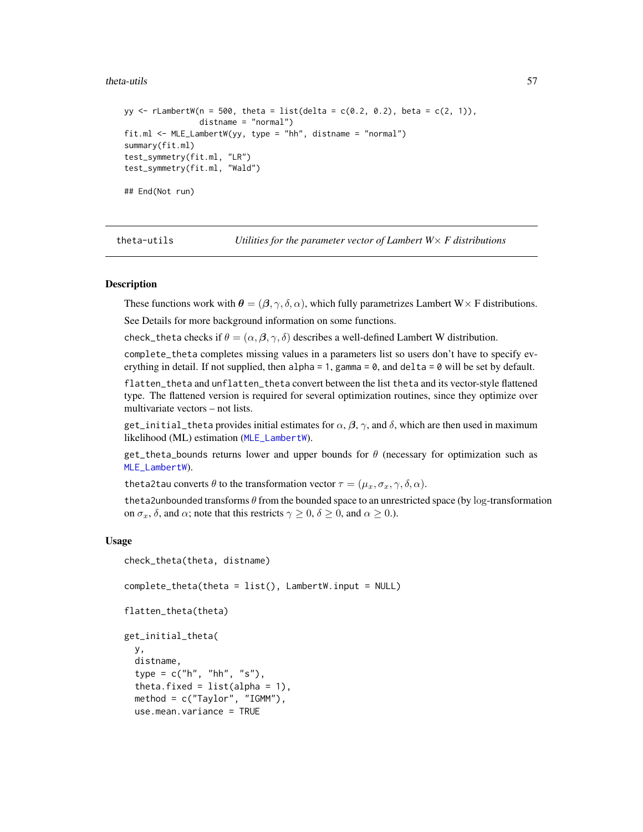#### <span id="page-56-0"></span>theta-utils 57

```
yy <- rLambertW(n = 500, theta = list(delta = c(0.2, 0.2), beta = c(2, 1)),
                distname = "normal")
fit.ml <- MLE_LambertW(yy, type = "hh", distname = "normal")
summary(fit.ml)
test_symmetry(fit.ml, "LR")
test_symmetry(fit.ml, "Wald")
## End(Not run)
```
<span id="page-56-2"></span>

theta-utils *Utilities for the parameter vector of Lambert W*× *F distributions*

#### <span id="page-56-1"></span>**Description**

These functions work with  $\theta = (\beta, \gamma, \delta, \alpha)$ , which fully parametrizes Lambert W $\times$  F distributions. See Details for more background information on some functions.

check\_theta checks if  $\theta = (\alpha, \beta, \gamma, \delta)$  describes a well-defined Lambert W distribution.

complete\_theta completes missing values in a parameters list so users don't have to specify everything in detail. If not supplied, then alpha = 1, gamma =  $\theta$ , and delta =  $\theta$  will be set by default.

flatten\_theta and unflatten\_theta convert between the list theta and its vector-style flattened type. The flattened version is required for several optimization routines, since they optimize over multivariate vectors – not lists.

get\_initial\_theta provides initial estimates for  $\alpha$ ,  $\beta$ ,  $\gamma$ , and  $\delta$ , which are then used in maximum likelihood (ML) estimation ([MLE\\_LambertW](#page-48-1)).

get\_theta\_bounds returns lower and upper bounds for  $\theta$  (necessary for optimization such as [MLE\\_LambertW](#page-48-1)).

theta2tau converts  $\theta$  to the transformation vector  $\tau = (\mu_x, \sigma_x, \gamma, \delta, \alpha)$ .

theta2unbounded transforms  $\theta$  from the bounded space to an unrestricted space (by log-transformation on  $\sigma_x$ ,  $\delta$ , and  $\alpha$ ; note that this restricts  $\gamma \geq 0$ ,  $\delta \geq 0$ , and  $\alpha \geq 0$ .).

#### Usage

```
check_theta(theta, distname)
```
complete\_theta(theta = list(), LambertW.input = NULL)

```
flatten_theta(theta)
```

```
get_initial_theta(
 y,
  distname,
  type = c("h", "hh", "s"),
  theta.fixed = list(alpha = 1),
  method = c("Taylor", "IGMM"),
  use.mean.variance = TRUE
```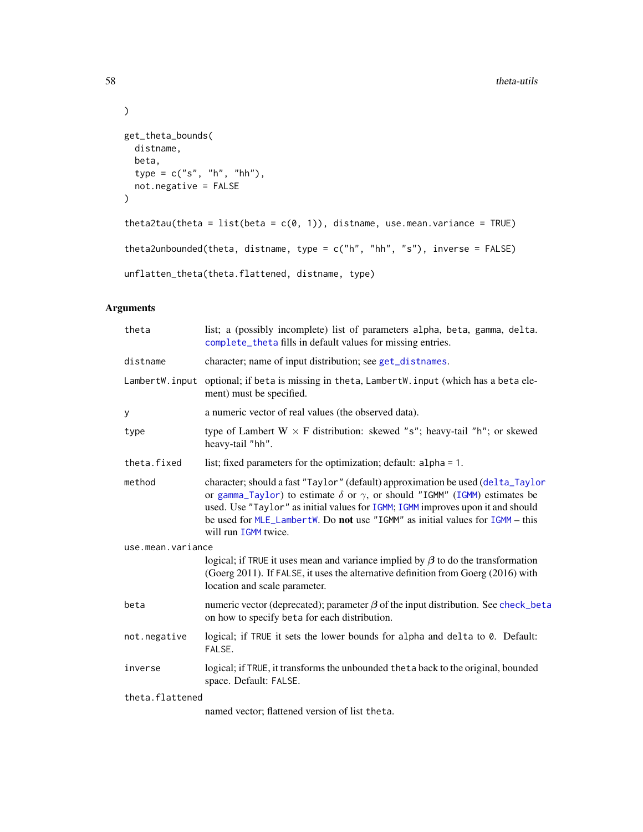```
get_theta_bounds(
  distname,
  beta,
  type = c("s", "h", "hh"),not.negative = FALSE
\mathcal{L}
```
theta2tau(theta = list(beta =  $c(0, 1)$ ), distname, use.mean.variance = TRUE) theta2unbounded(theta, distname, type =  $c("h", "hh", "s"), inverse = FALSE)$ unflatten\_theta(theta.flattened, distname, type)

#### Arguments

| theta             | list; a (possibly incomplete) list of parameters alpha, beta, gamma, delta.<br>complete_theta fills in default values for missing entries.                                                                                                                                                                                                                              |
|-------------------|-------------------------------------------------------------------------------------------------------------------------------------------------------------------------------------------------------------------------------------------------------------------------------------------------------------------------------------------------------------------------|
| distname          | character; name of input distribution; see get_distnames.                                                                                                                                                                                                                                                                                                               |
|                   | LambertW. input optional; if beta is missing in theta, LambertW. input (which has a beta ele-<br>ment) must be specified.                                                                                                                                                                                                                                               |
| У                 | a numeric vector of real values (the observed data).                                                                                                                                                                                                                                                                                                                    |
| type              | type of Lambert $W \times F$ distribution: skewed "s"; heavy-tail "h"; or skewed<br>heavy-tail "hh".                                                                                                                                                                                                                                                                    |
| theta.fixed       | list; fixed parameters for the optimization; default: alpha = 1.                                                                                                                                                                                                                                                                                                        |
| method            | character; should a fast "Taylor" (default) approximation be used (delta_Taylor<br>or gamma_Taylor) to estimate $\delta$ or $\gamma$ , or should "IGMM" (IGMM) estimates be<br>used. Use "Taylor" as initial values for IGMM; IGMM improves upon it and should<br>be used for MLE_LambertW. Do not use "IGMM" as initial values for IGMM - this<br>will run IGMM twice. |
| use.mean.variance |                                                                                                                                                                                                                                                                                                                                                                         |
|                   | logical; if TRUE it uses mean and variance implied by $\beta$ to do the transformation<br>(Goerg 2011). If FALSE, it uses the alternative definition from Goerg (2016) with<br>location and scale parameter.                                                                                                                                                            |
| beta              | numeric vector (deprecated); parameter $\beta$ of the input distribution. See check_beta<br>on how to specify beta for each distribution.                                                                                                                                                                                                                               |
| not.negative      | logical; if TRUE it sets the lower bounds for alpha and delta to 0. Default:<br>FALSE.                                                                                                                                                                                                                                                                                  |
| inverse           | logical; if TRUE, it transforms the unbounded the ta back to the original, bounded<br>space. Default: FALSE.                                                                                                                                                                                                                                                            |
| theta.flattened   |                                                                                                                                                                                                                                                                                                                                                                         |
|                   | named vector; flattened version of list theta.                                                                                                                                                                                                                                                                                                                          |

<span id="page-57-0"></span>

 $\lambda$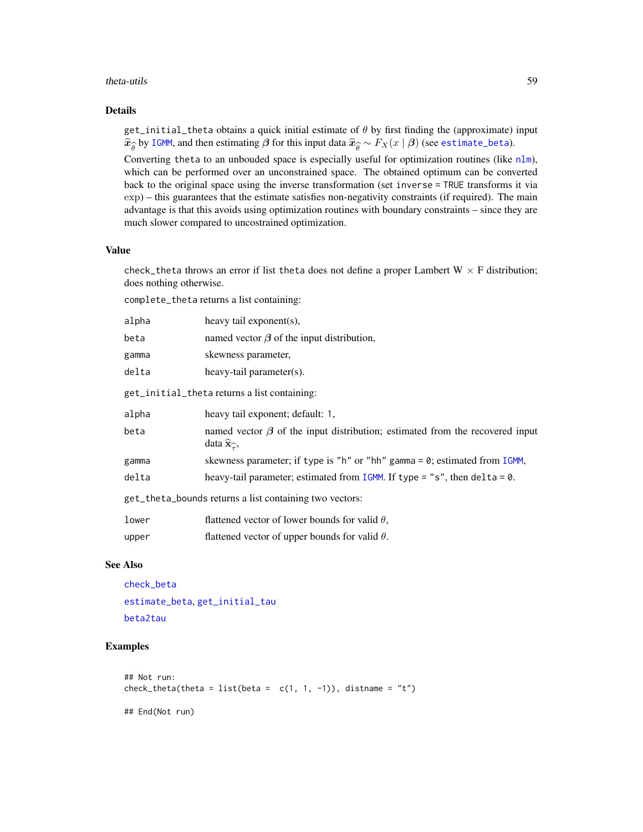#### <span id="page-58-0"></span>theta-utils 59

#### Details

get\_initial\_theta obtains a quick initial estimate of  $\theta$  by first finding the (approximate) input  $\hat{x}_{\hat{\theta}}$  by [IGMM](#page-27-1), and then estimating  $\beta$  for this input data  $\hat{x}_{\hat{\theta}} \sim F_X(x \mid \beta)$  (see [estimate\\_beta](#page-5-1)).

Converting theta to an unbouded space is especially useful for optimization routines (like [nlm](#page-0-0)), which can be performed over an unconstrained space. The obtained optimum can be converted back to the original space using the inverse transformation (set inverse = TRUE transforms it via exp) – this guarantees that the estimate satisfies non-negativity constraints (if required). The main advantage is that this avoids using optimization routines with boundary constraints – since they are much slower compared to uncostrained optimization.

#### Value

check\_theta throws an error if list theta does not define a proper Lambert  $W \times F$  distribution; does nothing otherwise.

complete\_theta returns a list containing:

| alpha                                                   | heavy tail exponent(s),                                                                                           |  |
|---------------------------------------------------------|-------------------------------------------------------------------------------------------------------------------|--|
| beta                                                    | named vector $\beta$ of the input distribution,                                                                   |  |
| gamma                                                   | skewness parameter,                                                                                               |  |
| delta                                                   | heavy-tail parameter(s).                                                                                          |  |
| get_initial_theta returns a list containing:            |                                                                                                                   |  |
| alpha                                                   | heavy tail exponent; default: 1,                                                                                  |  |
| beta                                                    | named vector $\beta$ of the input distribution; estimated from the recovered input<br>data $\hat{\mathbf{x}}_2$ , |  |
| gamma                                                   | skewness parameter; if type is "h" or "hh" gamma = $\theta$ ; estimated from IGMM,                                |  |
| delta                                                   | heavy-tail parameter; estimated from $IGMM$ . If type = "s", then delta = 0.                                      |  |
| get_theta_bounds returns a list containing two vectors: |                                                                                                                   |  |
| lower                                                   | flattened vector of lower bounds for valid $\theta$ ,                                                             |  |
| upper                                                   | flattened vector of upper bounds for valid $\theta$ .                                                             |  |

#### See Also

[check\\_beta](#page-5-1) [estimate\\_beta](#page-5-1), [get\\_initial\\_tau](#page-52-2) [beta2tau](#page-5-1)

```
## Not run:
check_theta(theta = list(beta = c(1, 1, -1)), distname = "t")
## End(Not run)
```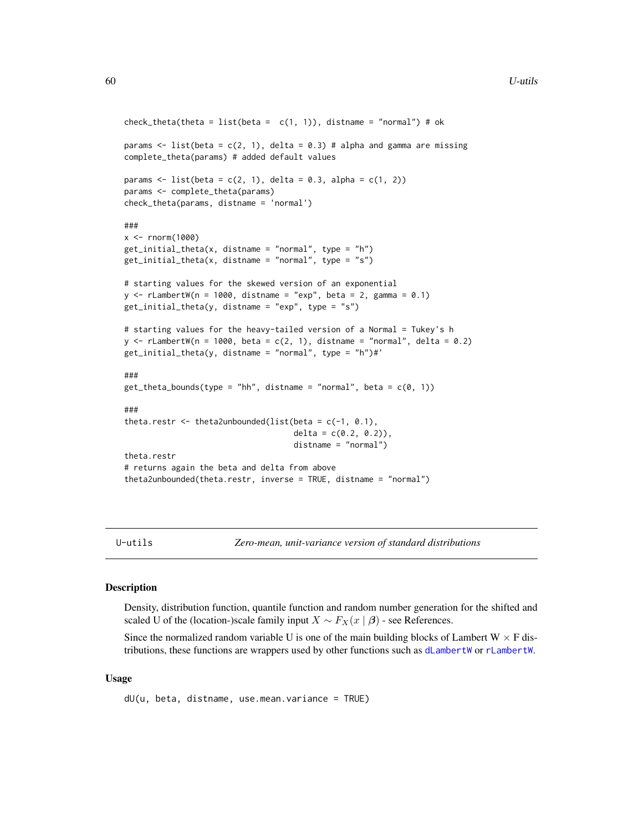```
check_theta(theta = list(beta = c(1, 1)), distname = "normal") # ok
params \le list(beta = c(2, 1), delta = 0.3) # alpha and gamma are missing
complete_theta(params) # added default values
params <- list(beta = c(2, 1), delta = 0.3, alpha = c(1, 2))
params <- complete_theta(params)
check_theta(params, distname = 'normal')
###
x < - rnorm(1000)
get_initial_theta(x, distname = "normal", type = "h")
get\_initial\_theta(x, distance = "normal", type = "s")# starting values for the skewed version of an exponential
y \le r rLambertW(n = 1000, distname = "exp", beta = 2, gamma = 0.1)
get_initial_theta(y, distname = "exp", type = "s")
# starting values for the heavy-tailed version of a Normal = Tukey's h
y \le rLambertW(n = 1000, beta = c(2, 1), distname = "normal", delta = 0.2)
get\_initial\_theta(y, distance = "normal", type = "h")#'
###
get\_theta\_bounds(type = "hh", distance = "normal", beta = c(0, 1))###
theta.restr \leq theta2unbounded(list(beta = c(-1, 0.1),
                                    delta = c(0.2, 0.2),
                                    distname = "normal")
theta.restr
# returns again the beta and delta from above
theta2unbounded(theta.restr, inverse = TRUE, distname = "normal")
```
U-utils *Zero-mean, unit-variance version of standard distributions*

#### **Description**

Density, distribution function, quantile function and random number generation for the shifted and scaled U of the (location-)scale family input  $X \sim F_X(x \mid \boldsymbol{\beta})$  - see References.

Since the normalized random variable U is one of the main building blocks of Lambert  $W \times F$  distributions, these functions are wrappers used by other functions such as [dLambertW](#page-34-1) or [rLambertW](#page-34-1).

#### Usage

dU(u, beta, distname, use.mean.variance = TRUE)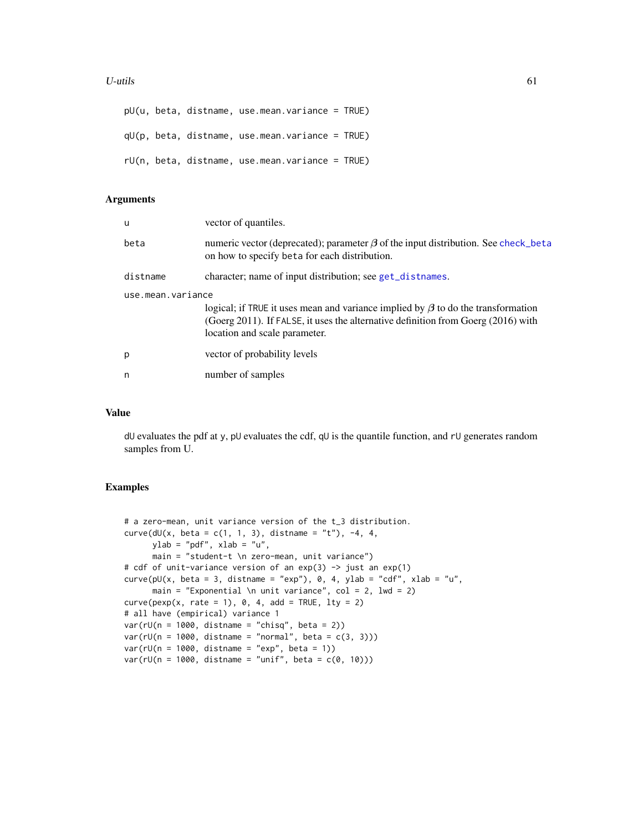#### <span id="page-60-0"></span>U-utils  $\qquad \qquad 61$

pU(u, beta, distname, use.mean.variance = TRUE)  $qU(p, beta, distance, use. mean. variance = TRUE)$ rU(n, beta, distname, use.mean.variance = TRUE)

#### Arguments

| <b>u</b>          | vector of quantiles.                                                                                                                                                                                         |  |
|-------------------|--------------------------------------------------------------------------------------------------------------------------------------------------------------------------------------------------------------|--|
| beta              | numeric vector (deprecated); parameter $\beta$ of the input distribution. See check_beta<br>on how to specify beta for each distribution.                                                                    |  |
| distname          | character; name of input distribution; see get_distnames.                                                                                                                                                    |  |
| use.mean.variance |                                                                                                                                                                                                              |  |
|                   | logical; if TRUE it uses mean and variance implied by $\beta$ to do the transformation<br>(Goerg 2011). If FALSE, it uses the alternative definition from Goerg (2016) with<br>location and scale parameter. |  |
| p                 | vector of probability levels                                                                                                                                                                                 |  |
| n                 | number of samples                                                                                                                                                                                            |  |

#### Value

dU evaluates the pdf at y, pU evaluates the cdf, qU is the quantile function, and  $rU$  generates random samples from U.

```
# a zero-mean, unit variance version of the t_3 distribution.
curve(dU(x, beta = c(1, 1, 3), distname = "t"), -4, 4,
     ylab = "pdf", xlab = "u",
      main = "student-t \n zero-mean, unit variance")
# cdf of unit-variance version of an exp(3) -> just an exp(1)
curve(pU(x, beta = 3, distname = "exp"), \theta, 4, ylab = "cdf", xlab = "u",
     main = "Exponential \n unit variance", col = 2, lwd = 2)
curve(pexp(x, rate = 1), 0, 4, add = TRUE, lty = 2)# all have (empirical) variance 1
var(rU(n = 1000, distname = "chisq", beta = 2))
var(rU(n = 1000, distname = "normal", beta = c(3, 3)))
var(rU(n = 1000, distname = "exp", beta = 1))
var(rU(n = 1000, distname = "unif", beta = c(0, 10)))
```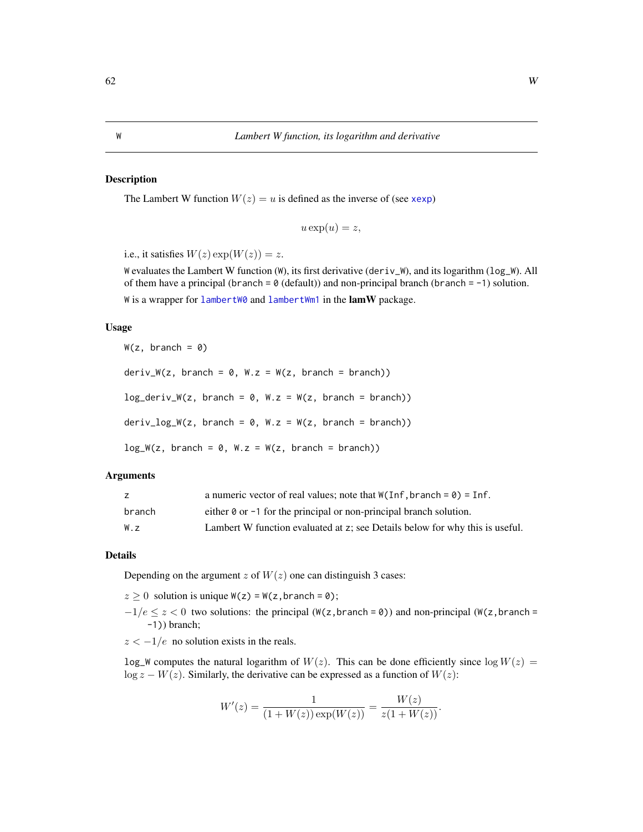The Lambert W function  $W(z) = u$  is defined as the inverse of (see [xexp](#page-65-1))

$$
u\exp(u)=z,
$$

i.e., it satisfies  $W(z) \exp(W(z)) = z$ .

W evaluates the Lambert W function (W), its first derivative (deriv\_W), and its logarithm ( $log_W$ ). All of them have a principal (branch =  $\theta$  (default)) and non-principal branch (branch = -1) solution. W is a wrapper for [lambertW0](#page-0-0) and [lambertWm1](#page-0-0) in the lamW package.

#### Usage

 $W(z, branch = 0)$ 

 $deriv_W(z, branch = 0, W.z = W(z, branch = branch))$ 

 $log\_deriv_W(z, branch = 0, W.z = W(z, branch = branch))$ 

 $deriv\_log_W(z, branch = 0, W.z = W(z, branch = branch))$ 

 $log_W(z, branch = 0, W.z = W(z, branch = branch))$ 

#### Arguments

| z      | a numeric vector of real values; note that $W(Inf,hranch = \emptyset) = Inf.$ |
|--------|-------------------------------------------------------------------------------|
| branch | either $\theta$ or $-1$ for the principal or non-principal branch solution.   |
| W.z    | Lambert W function evaluated at z; see Details below for why this is useful.  |

#### Details

Depending on the argument z of  $W(z)$  one can distinguish 3 cases:

 $z \ge 0$  solution is unique  $W(z) = W(z, \text{branch} = \emptyset);$ 

 $-1/e \le z < 0$  two solutions: the principal (W(z,branch = 0)) and non-principal (W(z,branch = -1)) branch;

 $z < -1/e$  no solution exists in the reals.

log\_W computes the natural logarithm of  $W(z)$ . This can be done efficiently since  $\log W(z)$  =  $\log z - W(z)$ . Similarly, the derivative can be expressed as a function of  $W(z)$ :

$$
W'(z) = \frac{1}{(1 + W(z)) \exp(W(z))} = \frac{W(z)}{z(1 + W(z))}.
$$

<span id="page-61-2"></span><span id="page-61-1"></span><span id="page-61-0"></span>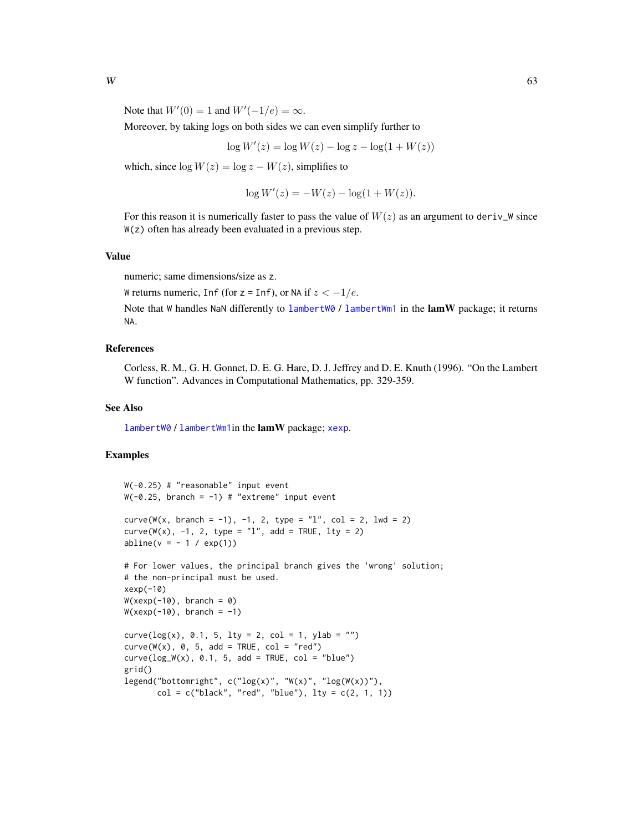<span id="page-62-0"></span>Note that  $W'(0) = 1$  and  $W'(-1/e) = \infty$ .

Moreover, by taking logs on both sides we can even simplify further to

$$
\log W'(z) = \log W(z) - \log z - \log(1 + W(z))
$$

which, since  $\log W(z) = \log z - W(z)$ , simplifies to

$$
\log W'(z) = -W(z) - \log(1 + W(z)).
$$

For this reason it is numerically faster to pass the value of  $W(z)$  as an argument to deriv\_W since W(z) often has already been evaluated in a previous step.

#### Value

numeric; same dimensions/size as z.

W returns numeric, Inf (for z = Inf), or NA if  $z < -1/e$ .

Note that W handles NaN differently to [lambertW0](#page-0-0) / [lambertWm1](#page-0-0) in the lamW package; it returns NA.

#### References

Corless, R. M., G. H. Gonnet, D. E. G. Hare, D. J. Jeffrey and D. E. Knuth (1996). "On the Lambert W function". Advances in Computational Mathematics, pp. 329-359.

#### See Also

[lambertW0](#page-0-0) / [lambertWm1](#page-0-0)in the lamW package; [xexp](#page-65-1).

```
W(-0.25) # "reasonable" input event
W(-0.25, branch = -1) # "extreme" input eventcurve(W(x, branch = -1), -1, 2, type = "1", col = 2, lwd = 2)
curve(W(x), -1, 2, type = "l", add = TRUE, lty = 2)
abline(v = - 1 / exp(1))# For lower values, the principal branch gives the 'wrong' solution;
# the non-principal must be used.
xexp(-10)
W(xexp(-10), branch = 0)
W(xexp(-10), branch = -1)
curve(log(x), 0.1, 5, 1ty = 2, col = 1, ylab = "")curve(W(x), 0, 5, add = TRUE, col = "red")curve(log_W(x), 0.1, 5, add = TRUE, col = "blue")grid()
legend("bottomright", c("log(x)", "W(x)", "log(W(x))").col = c("black", "red", "blue"), lty = c(2, 1, 1))
```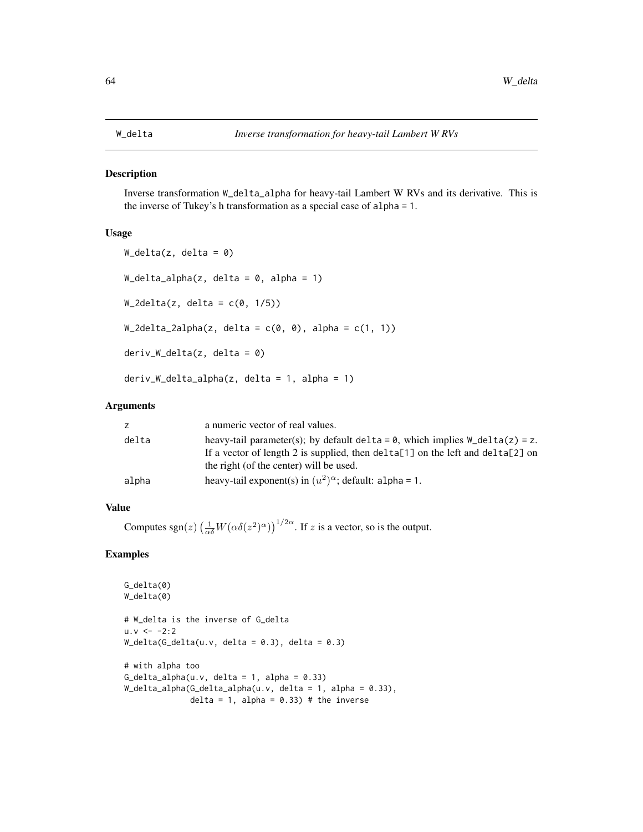<span id="page-63-0"></span>Inverse transformation W\_delta\_alpha for heavy-tail Lambert W RVs and its derivative. This is the inverse of Tukey's h transformation as a special case of alpha = 1.

#### Usage

```
W<sup>-</sup>delta(z, delta = 0)
W<sup>delta_alpha(z, delta = 0, alpha = 1)</sup>
W_2delta(z, delta = c(0, 1/5))
W_2delta_2alpha(z, delta = c(0, 0), alpha = c(1, 1))
deriv_W_delta(z, delta = 0)
deriv_W_delta_alpha(z, delta = 1, alpha = 1)
```
#### Arguments

| z     | a numeric vector of real values.                                                                                                            |
|-------|---------------------------------------------------------------------------------------------------------------------------------------------|
| delta | heavy-tail parameter(s); by default delta = 0, which implies $W_{\alpha}$ delta(z) = z.                                                     |
|       | If a vector of length 2 is supplied, then $\text{delta}[1]$ on the left and $\text{delta}[2]$ on<br>the right (of the center) will be used. |
| alpha | heavy-tail exponent(s) in $(u^2)^\alpha$ ; default: alpha = 1.                                                                              |

#### Value

Computes sgn(z)  $\left(\frac{1}{\alpha\delta}W(\alpha\delta(z^2)^{\alpha})\right)^{1/2\alpha}$ . If z is a vector, so is the output.

```
G_delta(0)
W_delta(0)
# W_delta is the inverse of G_delta
u.v < -2:2W_delta(G_delta(u.v, delta = 0.3), delta = 0.3)
# with alpha too
G<sup>delta_alpha(u.v, delta = 1, alpha = 0.33)</sup>
W_delta_alpha(G_delta_alpha(u.v, delta = 1, alpha = 0.33),
              delta = 1, alpha = 0.33) # the inverse
```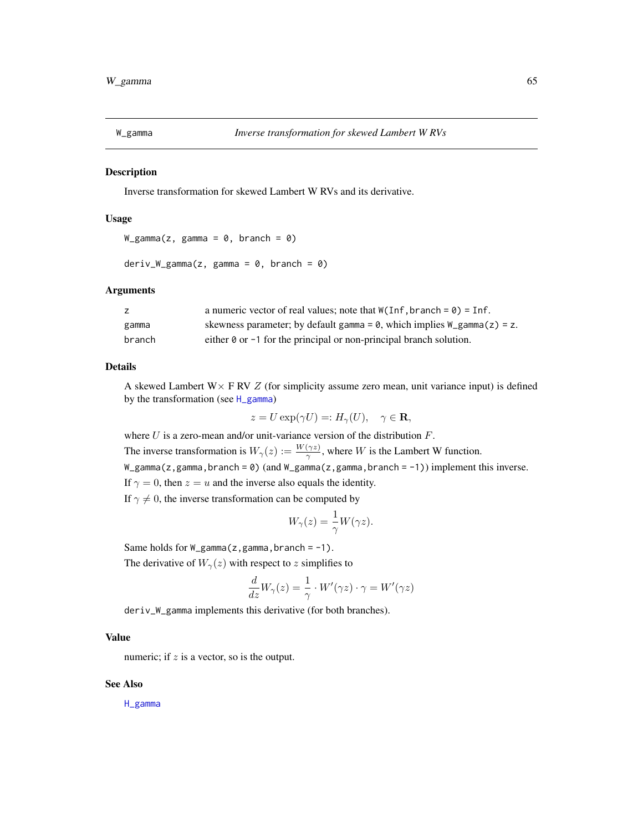<span id="page-64-1"></span><span id="page-64-0"></span>

Inverse transformation for skewed Lambert W RVs and its derivative.

#### Usage

```
W_{g}amma(z, gamma = 0, branch = 0)
```

```
deriv_W_gamma(z, gamma = 0, branch = 0)
```
#### **Arguments**

| Z.     | a numeric vector of real values; note that $W(Inf, branch = 0) = Inf.$                      |
|--------|---------------------------------------------------------------------------------------------|
| gamma  | skewness parameter; by default gamma = $\theta$ , which implies $W_{\text{gamma}}(z) = z$ . |
| branch | either $\theta$ or $-1$ for the principal or non-principal branch solution.                 |

#### Details

A skewed Lambert  $W \times F RV Z$  (for simplicity assume zero mean, unit variance input) is defined by the transformation (see [H\\_gamma](#page-26-2))

$$
z = U \exp(\gamma U) =: H_{\gamma}(U), \quad \gamma \in \mathbf{R},
$$

where  $U$  is a zero-mean and/or unit-variance version of the distribution  $F$ .

The inverse transformation is  $W_{\gamma}(z) := \frac{W(\gamma z)}{\gamma}$ , where W is the Lambert W function.

W\_gamma(z,gamma,branch = 0) (and W\_gamma(z,gamma,branch = -1)) implement this inverse.

If  $\gamma = 0$ , then  $z = u$  and the inverse also equals the identity.

If  $\gamma \neq 0$ , the inverse transformation can be computed by

$$
W_{\gamma}(z) = \frac{1}{\gamma}W(\gamma z).
$$

Same holds for  $W_{\text{gamma}}(z,gamma, b \text{ranch} = -1)$ . The derivative of  $W_{\gamma}(z)$  with respect to z simplifies to

$$
\frac{d}{dz}W_{\gamma}(z) = \frac{1}{\gamma}\cdot W'(\gamma z)\cdot \gamma = W'(\gamma z)
$$

deriv\_W\_gamma implements this derivative (for both branches).

#### Value

numeric; if  $z$  is a vector, so is the output.

#### See Also

[H\\_gamma](#page-26-2)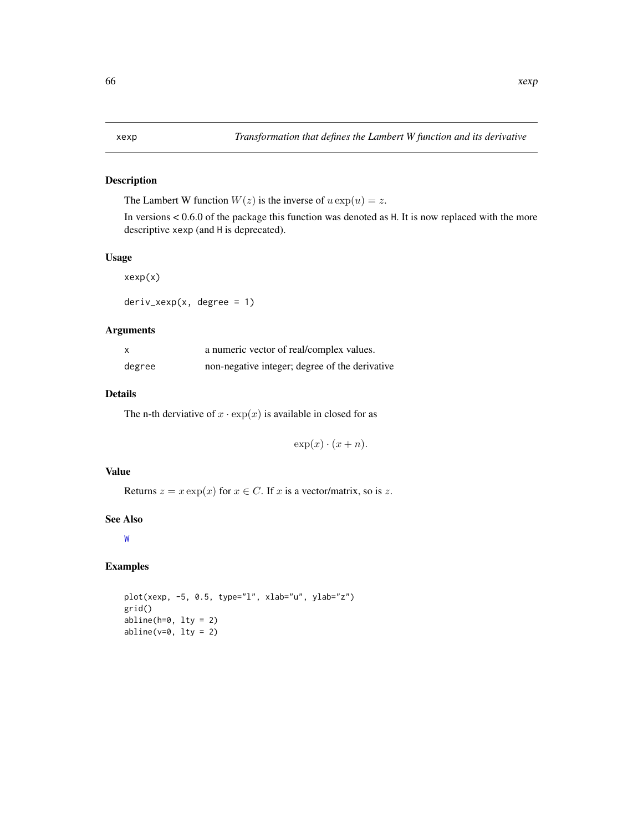<span id="page-65-1"></span><span id="page-65-0"></span>The Lambert W function  $W(z)$  is the inverse of  $u \exp(u) = z$ .

In versions < 0.6.0 of the package this function was denoted as H. It is now replaced with the more descriptive xexp (and H is deprecated).

#### Usage

xexp(x)

 $deriv\_xexp(x, degree = 1)$ 

#### Arguments

| $\mathsf{x}$ | a numeric vector of real/complex values.       |
|--------------|------------------------------------------------|
| degree       | non-negative integer; degree of the derivative |

#### Details

The n-th derviative of  $x \cdot \exp(x)$  is available in closed for as

 $\exp(x) \cdot (x+n).$ 

#### Value

Returns  $z = x \exp(x)$  for  $x \in C$ . If x is a vector/matrix, so is z.

#### See Also

[W](#page-61-2)

```
plot(xexp, -5, 0.5, type="l", xlab="u", ylab="z")
grid()
abline(h=0, 1ty = 2)abline(v=0, lty = 2)
```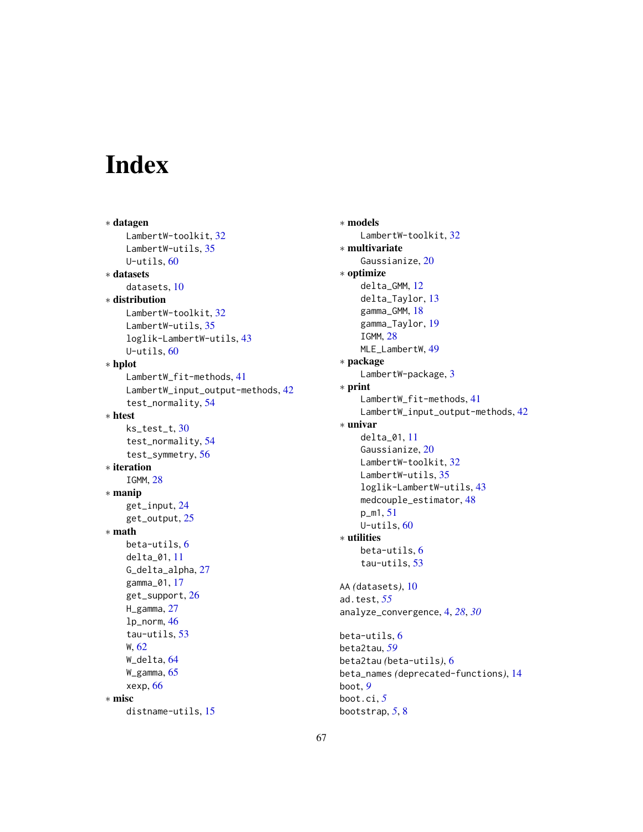# <span id="page-66-0"></span>Index

∗ datagen LambertW-toolkit, [32](#page-31-0) LambertW-utils, [35](#page-34-0) U-utils, [60](#page-59-0) ∗ datasets datasets, [10](#page-9-0) ∗ distribution LambertW-toolkit, [32](#page-31-0) LambertW-utils, [35](#page-34-0) loglik-LambertW-utils, [43](#page-42-0) U-utils, [60](#page-59-0) ∗ hplot LambertW\_fit-methods, [41](#page-40-0) LambertW\_input\_output-methods, [42](#page-41-0) test\_normality, [54](#page-53-0) ∗ htest ks\_test\_t, [30](#page-29-0) test\_normality, [54](#page-53-0) test\_symmetry, [56](#page-55-0) ∗ iteration IGMM, [28](#page-27-0) ∗ manip get\_input, [24](#page-23-0) get\_output, [25](#page-24-0) ∗ math beta-utils, [6](#page-5-0) delta\_01, [11](#page-10-0) G\_delta\_alpha, [27](#page-26-0) gamma\_01, [17](#page-16-0) get\_support, [26](#page-25-0) H\_gamma, [27](#page-26-0) lp\_norm, [46](#page-45-0) tau-utils, [53](#page-52-0) W, [62](#page-61-0) W\_delta, [64](#page-63-0) W\_gamma, [65](#page-64-0) xexp, [66](#page-65-0) ∗ misc distname-utils, [15](#page-14-0)

∗ models LambertW-toolkit, [32](#page-31-0) ∗ multivariate Gaussianize, [20](#page-19-0) ∗ optimize delta\_GMM, [12](#page-11-0) delta\_Taylor, [13](#page-12-0) gamma\_GMM, [18](#page-17-0) gamma\_Taylor, [19](#page-18-0) IGMM, [28](#page-27-0) MLE\_LambertW, [49](#page-48-0) ∗ package LambertW-package, [3](#page-2-0) ∗ print LambertW\_fit-methods, [41](#page-40-0) LambertW\_input\_output-methods, [42](#page-41-0) ∗ univar delta\_01, [11](#page-10-0) Gaussianize, [20](#page-19-0) LambertW-toolkit, [32](#page-31-0) LambertW-utils, [35](#page-34-0) loglik-LambertW-utils, [43](#page-42-0) medcouple\_estimator, [48](#page-47-0) p\_m1, [51](#page-50-0) U-utils, [60](#page-59-0) ∗ utilities beta-utils, [6](#page-5-0) tau-utils, [53](#page-52-0) AA *(*datasets*)*, [10](#page-9-0) ad.test, *[55](#page-54-0)* analyze\_convergence, [4,](#page-3-0) *[28](#page-27-0)*, *[30](#page-29-0)* beta-utils, [6](#page-5-0) beta2tau, *[59](#page-58-0)* beta2tau *(*beta-utils*)*, [6](#page-5-0) beta\_names *(*deprecated-functions*)*, [14](#page-13-0) boot, *[9](#page-8-0)* boot.ci, *[5](#page-4-0)* bootstrap, *[5](#page-4-0)*, [8](#page-7-0)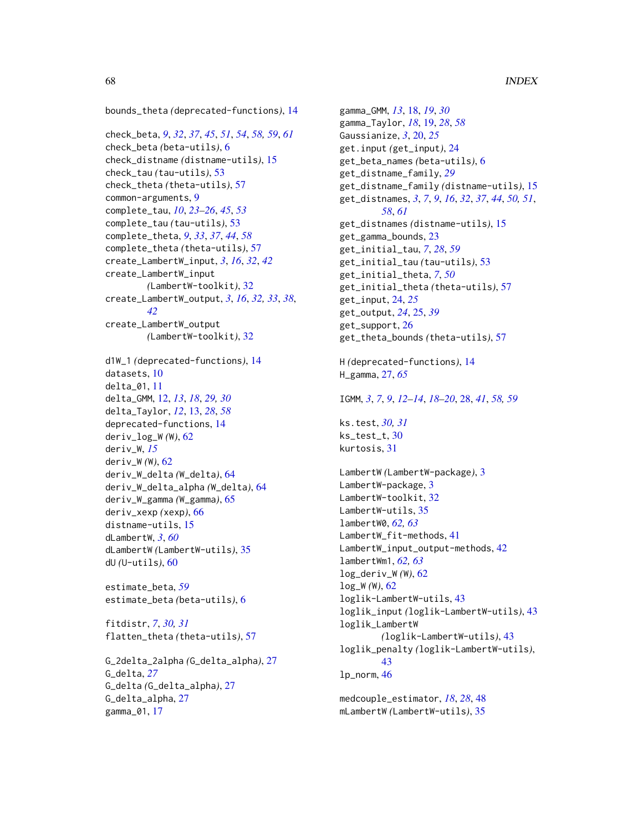```
bounds_theta (deprecated-functions), 14
```
check\_beta, *[9](#page-8-0)*, *[32](#page-31-0)*, *[37](#page-36-0)*, *[45](#page-44-0)*, *[51](#page-50-0)*, *[54](#page-53-0)*, *[58,](#page-57-0) [59](#page-58-0)*, *[61](#page-60-0)* check\_beta *(*beta-utils*)*, [6](#page-5-0) check\_distname *(*distname-utils*)*, [15](#page-14-0) check\_tau *(*tau-utils*)*, [53](#page-52-0) check\_theta *(*theta-utils*)*, [57](#page-56-0) common-arguments, [9](#page-8-0) complete\_tau, *[10](#page-9-0)*, *[23](#page-22-0)[–26](#page-25-0)*, *[45](#page-44-0)*, *[53](#page-52-0)* complete\_tau *(*tau-utils*)*, [53](#page-52-0) complete\_theta, *[9](#page-8-0)*, *[33](#page-32-0)*, *[37](#page-36-0)*, *[44](#page-43-0)*, *[58](#page-57-0)* complete\_theta *(*theta-utils*)*, [57](#page-56-0) create\_LambertW\_input, *[3](#page-2-0)*, *[16](#page-15-0)*, *[32](#page-31-0)*, *[42](#page-41-0)* create\_LambertW\_input *(*LambertW-toolkit*)*, [32](#page-31-0) create\_LambertW\_output, *[3](#page-2-0)*, *[16](#page-15-0)*, *[32,](#page-31-0) [33](#page-32-0)*, *[38](#page-37-0)*, *[42](#page-41-0)* create\_LambertW\_output *(*LambertW-toolkit*)*, [32](#page-31-0) d1W\_1 *(*deprecated-functions*)*, [14](#page-13-0) datasets, [10](#page-9-0) delta\_01, [11](#page-10-0) delta\_GMM, [12,](#page-11-0) *[13](#page-12-0)*, *[18](#page-17-0)*, *[29,](#page-28-0) [30](#page-29-0)* delta\_Taylor, *[12](#page-11-0)*, [13,](#page-12-0) *[28](#page-27-0)*, *[58](#page-57-0)* deprecated-functions, [14](#page-13-0) deriv\_log\_W *(*W*)*, [62](#page-61-0) deriv\_W, *[15](#page-14-0)* deriv\_W *(*W*)*, [62](#page-61-0) deriv\_W\_delta *(*W\_delta*)*, [64](#page-63-0) deriv\_W\_delta\_alpha *(*W\_delta*)*, [64](#page-63-0) deriv\_W\_gamma *(*W\_gamma*)*, [65](#page-64-0) deriv\_xexp *(*xexp*)*, [66](#page-65-0) distname-utils, [15](#page-14-0) dLambertW, *[3](#page-2-0)*, *[60](#page-59-0)* dLambertW *(*LambertW-utils*)*, [35](#page-34-0) dU *(*U-utils*)*, [60](#page-59-0)

estimate\_beta, *[59](#page-58-0)* estimate\_beta *(*beta-utils*)*, [6](#page-5-0)

fitdistr, *[7](#page-6-0)*, *[30,](#page-29-0) [31](#page-30-0)* flatten\_theta *(*theta-utils*)*, [57](#page-56-0)

G\_2delta\_2alpha *(*G\_delta\_alpha*)*, [27](#page-26-0) G\_delta, *[27](#page-26-0)* G\_delta *(*G\_delta\_alpha*)*, [27](#page-26-0) G\_delta\_alpha, [27](#page-26-0) gamma\_01, [17](#page-16-0)

gamma\_GMM, *[13](#page-12-0)*, [18,](#page-17-0) *[19](#page-18-0)*, *[30](#page-29-0)* gamma\_Taylor, *[18](#page-17-0)*, [19,](#page-18-0) *[28](#page-27-0)*, *[58](#page-57-0)* Gaussianize, *[3](#page-2-0)*, [20,](#page-19-0) *[25](#page-24-0)* get.input *(*get\_input*)*, [24](#page-23-0) get\_beta\_names *(*beta-utils*)*, [6](#page-5-0) get\_distname\_family, *[29](#page-28-0)* get\_distname\_family *(*distname-utils*)*, [15](#page-14-0) get\_distnames, *[3](#page-2-0)*, *[7](#page-6-0)*, *[9](#page-8-0)*, *[16](#page-15-0)*, *[32](#page-31-0)*, *[37](#page-36-0)*, *[44](#page-43-0)*, *[50,](#page-49-0) [51](#page-50-0)*, *[58](#page-57-0)*, *[61](#page-60-0)* get\_distnames *(*distname-utils*)*, [15](#page-14-0) get\_gamma\_bounds, [23](#page-22-0) get\_initial\_tau, *[7](#page-6-0)*, *[28](#page-27-0)*, *[59](#page-58-0)* get\_initial\_tau *(*tau-utils*)*, [53](#page-52-0) get\_initial\_theta, *[7](#page-6-0)*, *[50](#page-49-0)* get\_initial\_theta *(*theta-utils*)*, [57](#page-56-0) get\_input, [24,](#page-23-0) *[25](#page-24-0)* get\_output, *[24](#page-23-0)*, [25,](#page-24-0) *[39](#page-38-0)* get\_support, [26](#page-25-0) get\_theta\_bounds *(*theta-utils*)*, [57](#page-56-0) H *(*deprecated-functions*)*, [14](#page-13-0) H\_gamma, [27,](#page-26-0) *[65](#page-64-0)* IGMM, *[3](#page-2-0)*, *[7](#page-6-0)*, *[9](#page-8-0)*, *[12](#page-11-0)[–14](#page-13-0)*, *[18](#page-17-0)[–20](#page-19-0)*, [28,](#page-27-0) *[41](#page-40-0)*, *[58,](#page-57-0) [59](#page-58-0)* ks.test, *[30,](#page-29-0) [31](#page-30-0)* ks test t.  $30$ kurtosis, [31](#page-30-0) LambertW *(*LambertW-package*)*, [3](#page-2-0) LambertW-package, [3](#page-2-0) LambertW-toolkit, [32](#page-31-0) LambertW-utils, [35](#page-34-0) lambertW0, *[62,](#page-61-0) [63](#page-62-0)* LambertW\_fit-methods, [41](#page-40-0) LambertW\_input\_output-methods, [42](#page-41-0) lambertWm1, *[62,](#page-61-0) [63](#page-62-0)* log\_deriv\_W *(*W*)*, [62](#page-61-0) log\_W *(*W*)*, [62](#page-61-0) loglik-LambertW-utils, [43](#page-42-0) loglik\_input *(*loglik-LambertW-utils*)*, [43](#page-42-0) loglik\_LambertW *(*loglik-LambertW-utils*)*, [43](#page-42-0) loglik\_penalty *(*loglik-LambertW-utils*)*, [43](#page-42-0) lp\_norm, [46](#page-45-0)

medcouple\_estimator, *[18](#page-17-0)*, *[28](#page-27-0)*, [48](#page-47-0) mLambertW *(*LambertW-utils*)*, [35](#page-34-0)